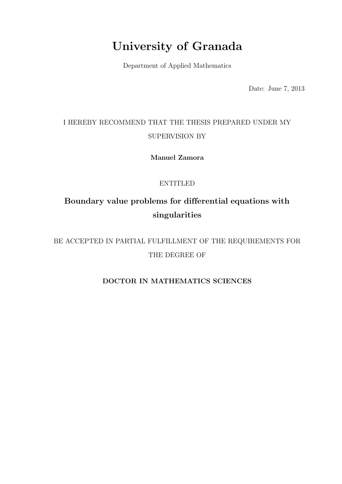## University of Granada

Department of Applied Mathematics

Date: June 7, 2013

### I HEREBY RECOMMEND THAT THE THESIS PREPARED UNDER MY SUPERVISION BY

Manuel Zamora

#### ENTITLED

### Boundary value problems for differential equations with singularities

BE ACCEPTED IN PARTIAL FULFILLMENT OF THE REQUIREMENTS FOR THE DEGREE OF

#### DOCTOR IN MATHEMATICS SCIENCES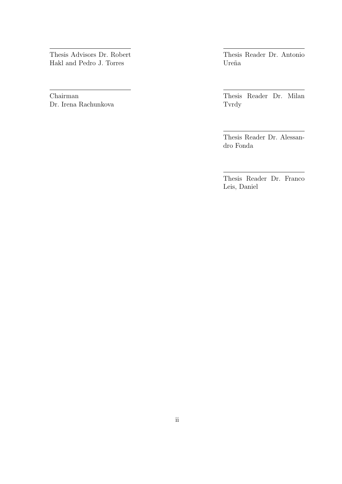Thesis Advisors Dr. Robert Hakl and Pedro J. Torres

Chairman Dr. Irena Rachunkova Thesis Reader Dr. Antonio Ureña

Thesis Reader Dr. Milan Tvrdy

Thesis Reader Dr. Alessandro Fonda

Thesis Reader Dr. Franco Leis, Daniel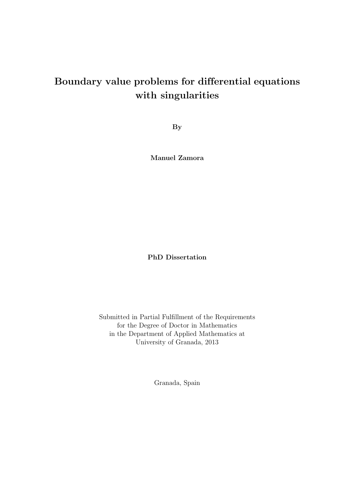### Boundary value problems for differential equations with singularities

By

Manuel Zamora

PhD Dissertation

Submitted in Partial Fulfillment of the Requirements for the Degree of Doctor in Mathematics in the Department of Applied Mathematics at University of Granada, 2013

Granada, Spain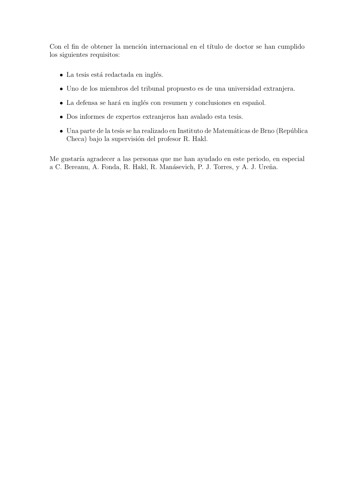Con el fin de obtener la mención internacional en el título de doctor se han cumplido los siguientes requisitos:

- $\bullet$  La tesis está redactada en inglés.
- Uno de los miembros del tribunal propuesto es de una universidad extranjera.
- $\bullet$  La defensa se hará en inglés con resumen y conclusiones en español.
- Dos informes de expertos extranjeros han avalado esta tesis.
- $\bullet$  Una parte de la tesis se ha realizado en Instituto de Matemáticas de Brno (República Checa) bajo la supervisión del profesor R. Hakl.

Me gustaría agradecer a las personas que me han ayudado en este periodo, en especial a C. Bereanu, A. Fonda, R. Hakl, R. Manásevich, P. J. Torres, y A. J. Ureña.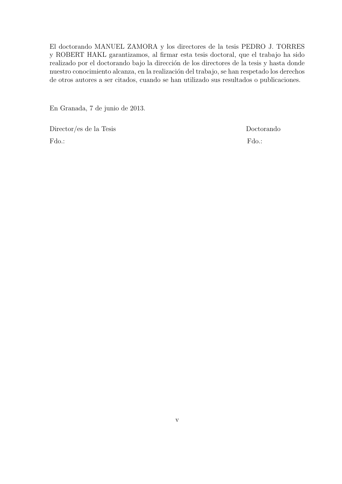El doctorando MANUEL ZAMORA y los directores de la tesis PEDRO J. TORRES y ROBERT HAKL garantizamos, al firmar esta tesis doctoral, que el trabajo ha sido realizado por el doctorando bajo la dirección de los directores de la tesis y hasta donde nuestro conocimiento alcanza, en la realización del trabajo, se han respetado los derechos de otros autores a ser citados, cuando se han utilizado sus resultados o publicaciones.

En Granada, 7 de junio de 2013.

Director/es de la Tesis Doctorando Fdo.: Formulation of the state of the state of the state of the state of the state of the state of the state of the state of the state of the state of the state of the state of the state of the state of the state of the st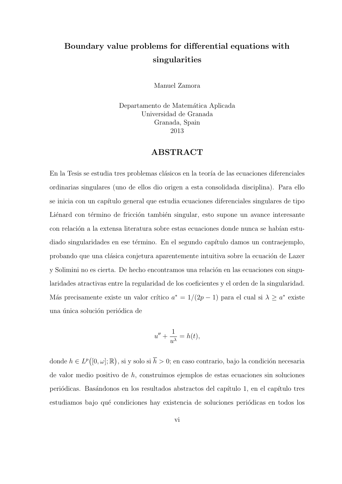### Boundary value problems for differential equations with singularities

Manuel Zamora

Departamento de Matemática Aplicada Universidad de Granada Granada, Spain 2013

#### ABSTRACT

En la Tesis se estudia tres problemas clásicos en la teoría de las ecuaciones diferenciales ordinarias singulares (uno de ellos dio origen a esta consolidada disciplina). Para ello se inicia con un capítulo general que estudia ecuaciones diferenciales singulares de tipo Liénard con término de fricción también singular, esto supone un avance interesante con relación a la extensa literatura sobre estas ecuaciones donde nunca se habían estudiado singularidades en ese término. En el segundo capítulo damos un contraejemplo, probando que una clásica conjetura aparentemente intuitiva sobre la ecuación de Lazer y Solimini no es cierta. De hecho encontramos una relación en las ecuaciones con singularidades atractivas entre la regularidad de los coeficientes y el orden de la singularidad. Más precisamente existe un valor crítico  $a^* = 1/(2p - 1)$  para el cual si  $\lambda \ge a^*$  existe una única solución periódica de

$$
u'' + \frac{1}{u^{\lambda}} = h(t),
$$

donde  $h \in L^p([0, \omega]; \mathbb{R})$ , si y solo si  $\overline{h} > 0$ ; en caso contrario, bajo la condición necesaria de valor medio positivo de h, construimos ejemplos de estas ecuaciones sin soluciones periódicas. Basándonos en los resultados abstractos del capítulo 1, en el capítulo tres estudiamos bajo qué condiciones hay existencia de soluciones periódicas en todos los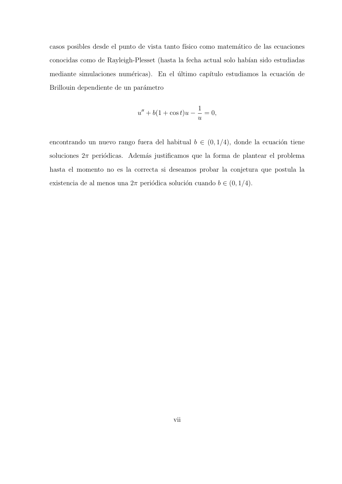casos posibles desde el punto de vista tanto físico como matemático de las ecuaciones conocidas como de Rayleigh-Plesset (hasta la fecha actual solo habían sido estudiadas mediante simulaciones numéricas). En el último capítulo estudiamos la ecuación de Brillouin dependiente de un parámetro

$$
u'' + b(1 + \cos t)u - \frac{1}{u} = 0,
$$

encontrando un nuevo rango fuera del habitual  $b \, \in \, (0,1/4),$ donde la ecuación tiene soluciones  $2\pi$  periódicas. Además justificamos que la forma de plantear el problema hasta el momento no es la correcta si deseamos probar la conjetura que postula la existencia de al menos una $2\pi$  periódica solución cuando  $b \in (0, 1/4).$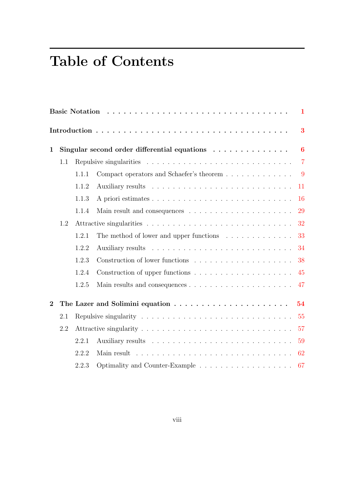# Table of Contents

| 1              |     |       |                                                                             |                |  |  |  |  |
|----------------|-----|-------|-----------------------------------------------------------------------------|----------------|--|--|--|--|
|                |     |       |                                                                             | 3              |  |  |  |  |
| $\mathbf{1}$   |     |       | Singular second order differential equations $\ldots \ldots \ldots \ldots$  | $\bf{6}$       |  |  |  |  |
|                | 1.1 |       |                                                                             | $\overline{7}$ |  |  |  |  |
|                |     | 1.1.1 |                                                                             | - 9            |  |  |  |  |
|                |     | 1.1.2 |                                                                             | 11             |  |  |  |  |
|                |     | 1.1.3 |                                                                             | 16             |  |  |  |  |
|                |     | 1.1.4 |                                                                             | 29             |  |  |  |  |
|                | 1.2 |       |                                                                             | 32             |  |  |  |  |
|                |     | 1.2.1 | The method of lower and upper functions $\dots \dots \dots \dots$           | 33             |  |  |  |  |
|                |     | 1.2.2 |                                                                             | 34             |  |  |  |  |
|                |     | 1.2.3 |                                                                             | 38             |  |  |  |  |
|                |     | 1.2.4 | Construction of upper functions $\dots \dots \dots \dots \dots \dots \dots$ | 45             |  |  |  |  |
|                |     | 1.2.5 |                                                                             | 47             |  |  |  |  |
| $\overline{2}$ |     |       | 54                                                                          |                |  |  |  |  |
|                | 2.1 |       |                                                                             | 55             |  |  |  |  |
|                | 2.2 |       |                                                                             | 57             |  |  |  |  |
|                |     | 2.2.1 |                                                                             | 59             |  |  |  |  |
|                |     | 2.2.2 |                                                                             | 62             |  |  |  |  |
|                |     | 2.2.3 |                                                                             |                |  |  |  |  |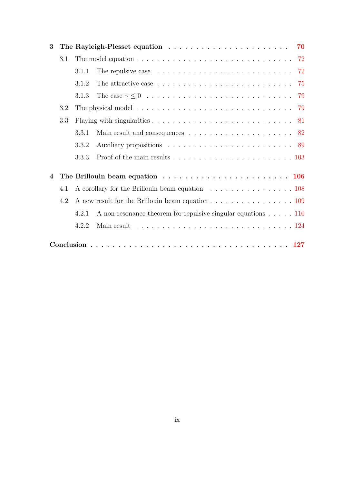| 3   |     |                                                                                                  |                                                                                                             |  |  |  |  |  |
|-----|-----|--------------------------------------------------------------------------------------------------|-------------------------------------------------------------------------------------------------------------|--|--|--|--|--|
|     | 3.1 | The model equation $\ldots \ldots \ldots \ldots \ldots \ldots \ldots \ldots \ldots \ldots$       |                                                                                                             |  |  |  |  |  |
|     |     | 3.1.1                                                                                            | The repulsive case $\ldots \ldots \ldots \ldots \ldots \ldots \ldots \ldots \ldots$ 72                      |  |  |  |  |  |
|     |     | 3.1.2                                                                                            | The attractive case $\ldots \ldots \ldots \ldots \ldots \ldots \ldots \ldots \ldots$ 75                     |  |  |  |  |  |
|     |     | 3.1.3                                                                                            |                                                                                                             |  |  |  |  |  |
| 3.2 |     |                                                                                                  | The physical model $\ldots \ldots \ldots \ldots \ldots \ldots \ldots \ldots \ldots \ldots \ldots \ldots$ 79 |  |  |  |  |  |
| 3.3 |     |                                                                                                  |                                                                                                             |  |  |  |  |  |
|     |     | 3.3.1                                                                                            | Main result and consequences $\ldots \ldots \ldots \ldots \ldots \ldots \ldots 82$                          |  |  |  |  |  |
|     |     | 3.3.2                                                                                            |                                                                                                             |  |  |  |  |  |
|     |     | 3.3.3                                                                                            |                                                                                                             |  |  |  |  |  |
| 4   |     | The Brillouin beam equation $\ldots \ldots \ldots \ldots \ldots \ldots \ldots \ldots \ldots 106$ |                                                                                                             |  |  |  |  |  |
|     | 4.1 |                                                                                                  | A corollary for the Brillouin beam equation 108                                                             |  |  |  |  |  |
|     | 4.2 |                                                                                                  |                                                                                                             |  |  |  |  |  |
|     |     | 4.2.1                                                                                            | A non-resonance theorem for repulsive singular equations $\dots$ . 110                                      |  |  |  |  |  |
|     |     | 4.2.2                                                                                            |                                                                                                             |  |  |  |  |  |
|     |     |                                                                                                  |                                                                                                             |  |  |  |  |  |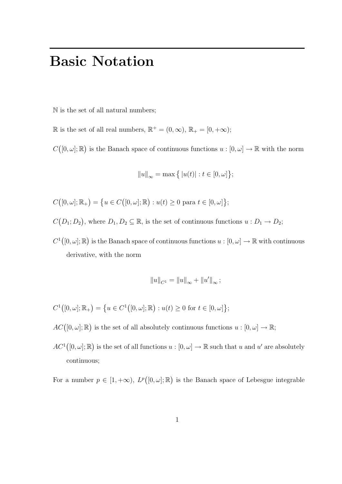# Basic Notation

<span id="page-9-0"></span>N is the set of all natural numbers;

 $\mathbb R$  is the set of all real numbers,  $\mathbb R^+ = (0, \infty)$ ,  $\mathbb R_+ = [0, +\infty)$ ;

 $C([0,\omega];\mathbb{R})$  is the Banach space of continuous functions  $u:[0,\omega]\to\mathbb{R}$  with the norm

$$
||u||_{\infty} = \max \{ |u(t)| : t \in [0, \omega] \};
$$

$$
C([0,\omega];\mathbb{R}_+)=\big\{u\in C\big([0,\omega];\mathbb{R}\big):u(t)\geq 0\text{ para }t\in[0,\omega]\big\};
$$

 $C(D_1; D_2)$ , where  $D_1, D_2 \subseteq \mathbb{R}$ , is the set of continuous functions  $u : D_1 \to D_2$ ;

 $C^1([0,\omega];\mathbb{R})$  is the Banach space of continuous functions  $u:[0,\omega]\to\mathbb{R}$  with continuous derivative, with the norm

$$
\left\|u\right\|_{C^1}=\left\|u\right\|_{\infty}+\left\|u'\right\|_{\infty};
$$

$$
C^{1}([0, \omega]; \mathbb{R}_{+}) = \left\{ u \in C^{1}([0, \omega]; \mathbb{R}) : u(t) \ge 0 \text{ for } t \in [0, \omega] \right\};
$$

 $AC([0, \omega]; \mathbb{R})$  is the set of all absolutely continuous functions  $u : [0, \omega] \to \mathbb{R}$ ;

 $AC^1([0,\omega];\mathbb{R})$  is the set of all functions  $u:[0,\omega]\to\mathbb{R}$  such that u and u' are absolutely continuous;

For a number  $p \in [1, +\infty)$ ,  $L^p([0, \omega]; \mathbb{R})$  is the Banach space of Lebesgue integrable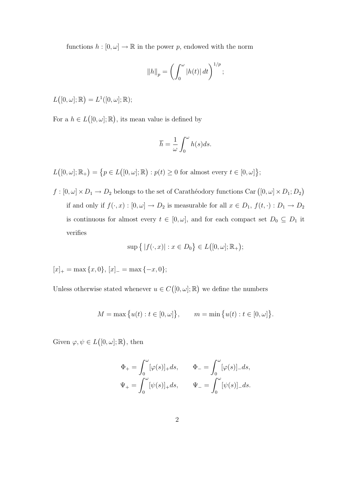functions  $h : [0, \omega] \to \mathbb{R}$  in the power p, endowed with the norm

$$
||h||_p = \left(\int_0^\omega |h(t)| dt\right)^{1/p};
$$

 $L([0, \omega]; \mathbb{R}) = L^1([0, \omega]; \mathbb{R});$ 

For a  $h \in L([0, \omega]; \mathbb{R})$ , its mean value is defined by

$$
\overline{h} = \frac{1}{\omega} \int_0^{\omega} h(s) ds.
$$

 $L([0, \omega]; \mathbb{R}_+) = \{p \in L([0, \omega]; \mathbb{R}) : p(t) \geq 0 \text{ for almost every } t \in [0, \omega]\};$ 

 $f: [0, \omega] \times D_1 \to D_2$  belongs to the set of Carathéodory functions Car  $([0, \omega] \times D_1; D_2)$ if and only if  $f(\cdot, x) : [0, \omega] \to D_2$  is measurable for all  $x \in D_1$ ,  $f(t, \cdot) : D_1 \to D_2$ is continuous for almost every  $t \in [0, \omega]$ , and for each compact set  $D_0 \subseteq D_1$  it verifies

$$
\sup\{|f(\cdot,x)| : x \in D_0\} \in L([0,\omega];\mathbb{R}_+);
$$

 $[x]_{+} = \max\{x, 0\}, [x]_{-} = \max\{-x, 0\};$ 

Unless otherwise stated whenever  $u \in C([0, \omega]; \mathbb{R})$  we define the numbers

 $M = \max \{u(t) : t \in [0, \omega] \}, \qquad m = \min \{u(t) : t \in [0, \omega] \}.$ 

Given  $\varphi, \psi \in L([0, \omega]; \mathbb{R})$ , then

$$
\Phi_+ = \int_0^\omega [\varphi(s)]_+ ds, \qquad \Phi_- = \int_0^\omega [\varphi(s)]_- ds,
$$
  

$$
\Psi_+ = \int_0^\omega [\psi(s)]_+ ds, \qquad \Psi_- = \int_0^\omega [\psi(s)]_- ds.
$$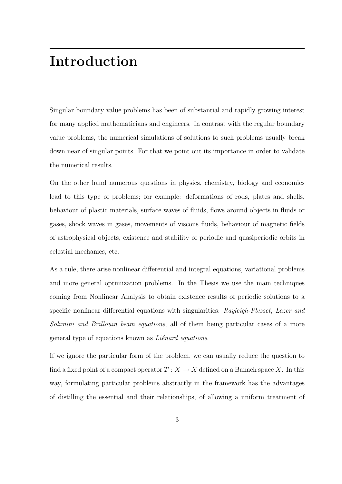## Introduction

<span id="page-11-0"></span>Singular boundary value problems has been of substantial and rapidly growing interest for many applied mathematicians and engineers. In contrast with the regular boundary value problems, the numerical simulations of solutions to such problems usually break down near of singular points. For that we point out its importance in order to validate the numerical results.

On the other hand numerous questions in physics, chemistry, biology and economics lead to this type of problems; for example: deformations of rods, plates and shells, behaviour of plastic materials, surface waves of fluids, flows around objects in fluids or gases, shock waves in gases, movements of viscous fluids, behaviour of magnetic fields of astrophysical objects, existence and stability of periodic and quasiperiodic orbits in celestial mechanics, etc.

As a rule, there arise nonlinear differential and integral equations, variational problems and more general optimization problems. In the Thesis we use the main techniques coming from Nonlinear Analysis to obtain existence results of periodic solutions to a specific nonlinear differential equations with singularities: Rayleigh-Plesset, Lazer and Solimini and Brillouin beam equations, all of them being particular cases of a more general type of equations known as  $Li\acute{e}nard$  equations.

If we ignore the particular form of the problem, we can usually reduce the question to find a fixed point of a compact operator  $T : X \to X$  defined on a Banach space X. In this way, formulating particular problems abstractly in the framework has the advantages of distilling the essential and their relationships, of allowing a uniform treatment of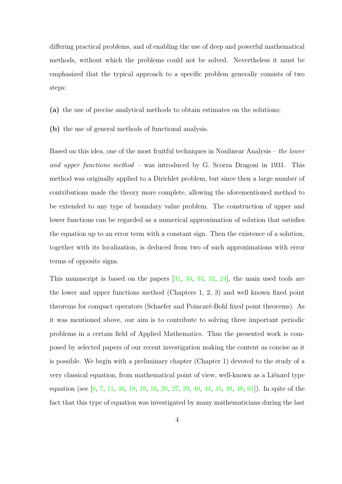differing practical problems, and of enabling the use of deep and powerful mathematical methods, without which the problems could not be solved. Nevertheless it must be emphasized that the typical approach to a specific problem generally consists of two steps:

- (a) the use of precise analytical methods to obtain estimates on the solutions;
- (b) the use of general methods of functional analysis.

Based on this idea, one of the most fruitful techniques in Nonlinear Analysis – the lower and upper functions method – was introduced by G. Scorza Dragoni in 1931. This method was originally applied to a Dirichlet problem, but since then a large number of contributions made the theory more complete, allowing the aforementioned method to be extended to any type of boundary value problem. The construction of upper and lower functions can be regarded as a numerical approximation of solution that satisfies the equation up to an error term with a constant sign. Then the existence of a solution, together with its localization, is deduced from two of such approximations with error terms of opposite signs.

This manuscript is based on the papers [\[31,](#page-140-0) [30,](#page-140-1) [33,](#page-140-2) [32,](#page-140-3) [24\]](#page-139-0), the main used tools are the lower and upper functions method (Chapters 1, 2, 3) and well known fixed point theorems for compact operators (Schaefer and Poincaré-Bohl fixed point theorems). As it was mentioned above, our aim is to contribute to solving three important periodic problems in a certain field of Applied Mathematics. Thus the presented work is composed by selected papers of our recent investigation making the content as concise as it is possible. We begin with a preliminary chapter (Chapter 1) devoted to the study of a very classical equation, from mathematical point of view, well-known as a Liénard type equation (see [\[6,](#page-137-0) [7,](#page-137-1) [11,](#page-138-0) [46,](#page-142-0) [18,](#page-139-1) [19,](#page-139-2) [16,](#page-138-1) [26,](#page-139-3) [27,](#page-140-4) [29,](#page-140-5) [40,](#page-141-0) [44,](#page-141-1) [45,](#page-142-1) [49,](#page-142-2) [48,](#page-142-3) [61\]](#page-143-0)). In spite of the fact that this type of equation was investigated by many mathematicians during the last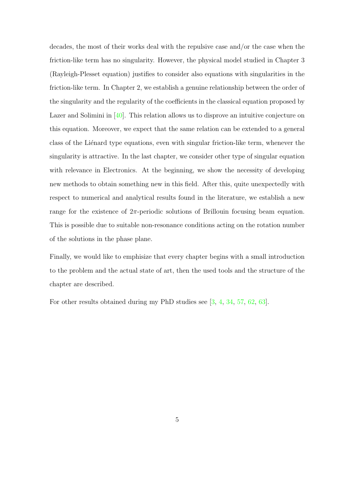decades, the most of their works deal with the repulsive case and/or the case when the friction-like term has no singularity. However, the physical model studied in Chapter 3 (Rayleigh-Plesset equation) justifies to consider also equations with singularities in the friction-like term. In Chapter 2, we establish a genuine relationship between the order of the singularity and the regularity of the coefficients in the classical equation proposed by Lazer and Solimini in [\[40\]](#page-141-0). This relation allows us to disprove an intuitive conjecture on this equation. Moreover, we expect that the same relation can be extended to a general class of the Liénard type equations, even with singular friction-like term, whenever the singularity is attractive. In the last chapter, we consider other type of singular equation with relevance in Electronics. At the beginning, we show the necessity of developing new methods to obtain something new in this field. After this, quite unexpectedly with respect to numerical and analytical results found in the literature, we establish a new range for the existence of  $2\pi$ -periodic solutions of Brillouin focusing beam equation. This is possible due to suitable non-resonance conditions acting on the rotation number of the solutions in the phase plane.

Finally, we would like to emphisize that every chapter begins with a small introduction to the problem and the actual state of art, then the used tools and the structure of the chapter are described.

For other results obtained during my PhD studies see [\[3,](#page-137-2) [4,](#page-137-3) [34,](#page-140-6) [57,](#page-143-1) [62,](#page-143-2) [63\]](#page-144-0).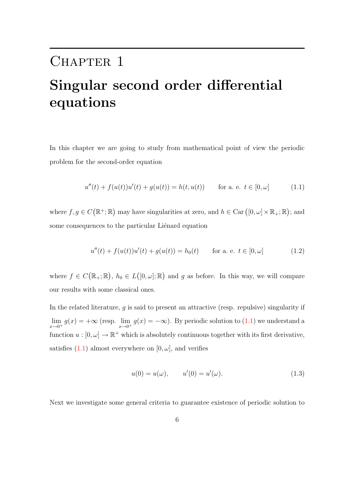## <span id="page-14-0"></span>CHAPTER 1

# Singular second order differential equations

In this chapter we are going to study from mathematical point of view the periodic problem for the second-order equation

<span id="page-14-1"></span>
$$
u''(t) + f(u(t))u'(t) + g(u(t)) = h(t, u(t)) \quad \text{for a. e. } t \in [0, \omega]
$$
 (1.1)

where  $f, g \in C(\mathbb{R}^+; \mathbb{R})$  may have singularities at zero, and  $h \in \text{Car} ([0, \omega] \times \mathbb{R}_+; \mathbb{R})$ ; and some consequences to the particular Liénard equation

$$
u''(t) + f(u(t))u'(t) + g(u(t)) = h_0(t) \quad \text{for a. e. } t \in [0, \omega]
$$
 (1.2)

where  $f \in C(\mathbb{R}_+;\mathbb{R})$ ,  $h_0 \in L([0,\omega];\mathbb{R})$  and g as before. In this way, we will compare our results with some classical ones.

In the related literature, g is said to present an attractive (resp. repulsive) singularity if  $\lim_{x\to 0^+} g(x) = +\infty$  (resp.  $\lim_{x\to 0^+} g(x) = -\infty$ ). By periodic solution to [\(1.1\)](#page-14-1) we understand a function  $u : [0, \omega] \to \mathbb{R}^+$  which is absolutely continuous together with its first derivative, satisfies  $(1.1)$  almost everywhere on  $[0, \omega]$ , and verifies

<span id="page-14-2"></span>
$$
u(0) = u(\omega), \qquad u'(0) = u'(\omega). \tag{1.3}
$$

Next we investigate some general criteria to guarantee existence of periodic solution to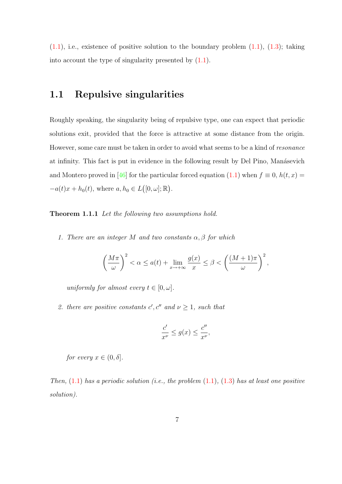$(1.1)$ , i.e., existence of positive solution to the boundary problem  $(1.1)$ ,  $(1.3)$ ; taking into account the type of singularity presented by  $(1.1)$ .

#### <span id="page-15-0"></span>1.1 Repulsive singularities

Roughly speaking, the singularity being of repulsive type, one can expect that periodic solutions exit, provided that the force is attractive at some distance from the origin. However, some care must be taken in order to avoid what seems to be a kind of resonance at infinity. This fact is put in evidence in the following result by Del Pino, Manásevich and Montero proved in [\[46\]](#page-142-0) for the particular forced equation [\(1.1\)](#page-14-1) when  $f \equiv 0$ ,  $h(t, x) =$  $-a(t)x + h_0(t)$ , where  $a, h_0 \in L([0, \omega]; \mathbb{R})$ .

<span id="page-15-1"></span>Theorem 1.1.1 Let the following two assumptions hold.

1. There are an integer M and two constants  $\alpha, \beta$  for which

$$
\left(\frac{M\pi}{\omega}\right)^2 < \alpha \le a(t) + \lim_{x \to +\infty} \frac{g(x)}{x} \le \beta < \left(\frac{(M+1)\pi}{\omega}\right)^2,
$$

uniformly for almost every  $t \in [0, \omega]$ .

2. there are positive constants  $c', c''$  and  $\nu \geq 1$ , such that

$$
\frac{c'}{x^{\nu}} \le g(x) \le \frac{c''}{x^{\nu}},
$$

for every  $x \in (0, \delta]$ .

Then,  $(1.1)$  has a periodic solution (i.e., the problem  $(1.1)$ ,  $(1.3)$  has at least one positive solution).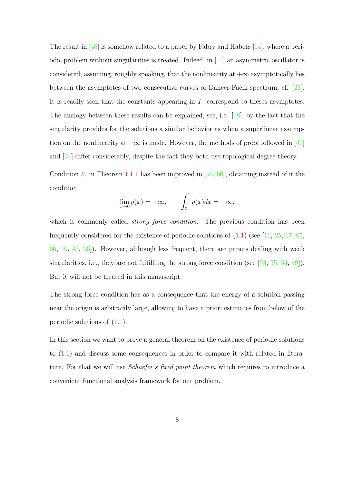The result in  $[46]$  is somehow related to a paper by Fabry and Habets  $[14]$ , where a periodic problem without singularities is treated. Indeed, in [\[14\]](#page-138-2) an asymmetric oscillator is considered, assuming, roughly speaking, that the nonlinearity at  $+\infty$  asymptotically lies between the asymptotes of two consecutive curves of Dancer-Fučik spectrum; cf. [\[23\]](#page-139-4). It is readily seen that the constants appearing in 1. correspond to theses asymptotes. The analogy between these results can be explained, see, i.e. [\[18\]](#page-139-1), by the fact that the singularity provides for the solutions a similar behavior as when a superlinear assumption on the nonlinearity at  $-\infty$  is made. However, the methods of proof followed in [\[46\]](#page-142-0) and [\[14\]](#page-138-2) differ considerably, despite the fact they both use topological degree theory.

Condition 2. in Theorem [1.1.1](#page-15-1) has been improved in [\[59,](#page-143-3) [60\]](#page-143-4), obtaining instead of it the condition

$$
\lim_{x \to 0} g(x) = -\infty, \qquad \int_0^1 g(x)dx = -\infty,
$$

which is commonly called *strong force condition*. The previous condition has been frequently considered for the existence of periodic solutions of  $(1.1)$  (see [\[16,](#page-138-1) [25,](#page-139-5) [67,](#page-144-1) [65,](#page-144-2) [66,](#page-144-3) [49,](#page-142-2) [40,](#page-141-0) [26\]](#page-139-3)). However, although less frequent, there are papers dealing with weak singularities, i.e., they are not fulfillling the strong force condition (see [\[53,](#page-143-5) [55,](#page-143-6) [54,](#page-143-7) [49\]](#page-142-2)). But it will not be treated in this manuscript.

The strong force condition has as a consequence that the energy of a solution passing near the origin is arbitrarily large, allowing to have a priori estimates from below of the periodic solutions of [\(1.1\)](#page-14-1).

In this section we want to prove a general theorem on the existence of periodic solutions to [\(1.1\)](#page-14-1) and discuss some consequences in order to compare it with related in literature. For that we will use *Schaefer's fixed point theorem* which requires to introduce a convenient functional analysis framework for our problem.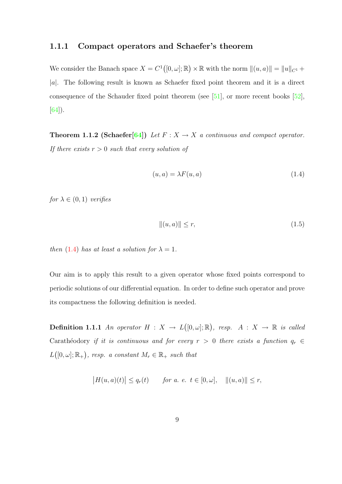#### <span id="page-17-0"></span>1.1.1 Compact operators and Schaefer's theorem

We consider the Banach space  $X = C^1([0, \omega]; \mathbb{R}) \times \mathbb{R}$  with the norm  $\|(u, a)\| = \|u\|_{C^1} +$  $|a|$ . The following result is known as Schaefer fixed point theorem and it is a direct consequence of the Schauder fixed point theorem (see  $[51]$ , or more recent books  $[52]$ , [\[64\]](#page-144-4)).

<span id="page-17-2"></span>**Theorem 1.1.2 (Schaefer[\[64\]](#page-144-4))** Let  $F : X \to X$  a continuous and compact operator. If there exists  $r > 0$  such that every solution of

<span id="page-17-1"></span>
$$
(u, a) = \lambda F(u, a) \tag{1.4}
$$

for  $\lambda \in (0,1)$  verifies

<span id="page-17-3"></span>
$$
||(u,a)|| \le r,\tag{1.5}
$$

then [\(1.4\)](#page-17-1) has at least a solution for  $\lambda = 1$ .

Our aim is to apply this result to a given operator whose fixed points correspond to periodic solutions of our differential equation. In order to define such operator and prove its compactness the following definition is needed.

**Definition 1.1.1** An operator  $H: X \to L([0, \omega]; \mathbb{R})$ , resp.  $A: X \to \mathbb{R}$  is called Carathéodory if it is continuous and for every  $r > 0$  there exists a function  $q_r \in$  $L([0, \omega]; \mathbb{R}_+)$ , resp. a constant  $M_r \in \mathbb{R}_+$  such that

$$
|H(u, a)(t)| \le q_r(t)
$$
 for a. e.  $t \in [0, \omega], ||(u, a)|| \le r$ ,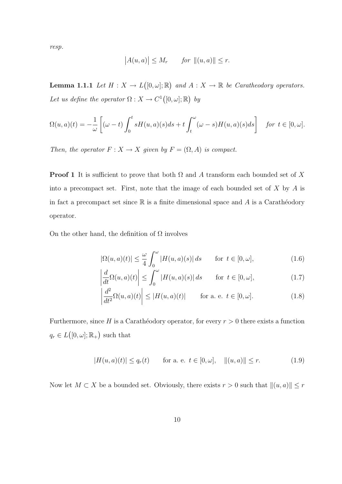resp.

$$
|A(u, a)| \le M_r \quad for \|(u, a)\| \le r.
$$

<span id="page-18-2"></span>**Lemma 1.1.1** Let  $H: X \to L([0, \omega]; \mathbb{R})$  and  $A: X \to \mathbb{R}$  be Caratheodory operators. Let us define the operator  $\Omega: X \to C^1([0,\omega];\mathbb{R})$  by

$$
\Omega(u,a)(t) = -\frac{1}{\omega} \left[ (\omega - t) \int_0^t s H(u,a)(s) ds + t \int_t^{\omega} (\omega - s) H(u,a)(s) ds \right] \quad \text{for } t \in [0, \omega].
$$

Then, the operator  $F : X \to X$  given by  $F = (\Omega, A)$  is compact.

**Proof 1** It is sufficient to prove that both  $\Omega$  and A transform each bounded set of X into a precompact set. First, note that the image of each bounded set of  $X$  by  $A$  is in fact a precompact set since  $\mathbb R$  is a finite dimensional space and A is a Carathéodory operator.

On the other hand, the definition of  $\Omega$  involves

<span id="page-18-0"></span>
$$
|\Omega(u, a)(t)| \leq \frac{\omega}{4} \int_0^{\omega} |H(u, a)(s)| ds \quad \text{for } t \in [0, \omega],
$$
 (1.6)

$$
\left| \frac{d}{dt} \Omega(u, a)(t) \right| \le \int_0^{\omega} |H(u, a)(s)| ds \quad \text{for } t \in [0, \omega], \tag{1.7}
$$

$$
\left| \frac{d^2}{dt^2} \Omega(u, a)(t) \right| \le |H(u, a)(t)| \quad \text{for a. e. } t \in [0, \omega]. \tag{1.8}
$$

Furthermore, since H is a Caratheodory operator, for every  $r > 0$  there exists a function  $q_r \in L([0, \omega]; \mathbb{R}_+)$  such that

<span id="page-18-1"></span>
$$
|H(u, a)(t)| \le q_r(t) \quad \text{for a. e. } t \in [0, \omega], \quad ||(u, a)|| \le r. \tag{1.9}
$$

Now let  $M \subset X$  be a bounded set. Obviously, there exists  $r > 0$  such that  $\|(u, a)\| \leq r$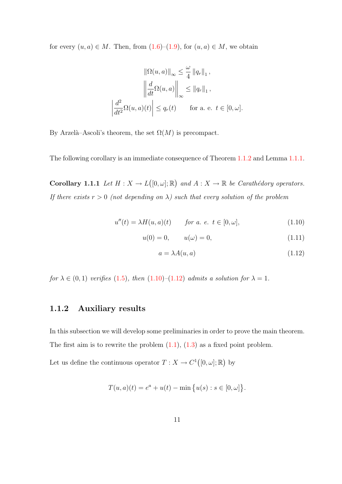for every  $(u, a) \in M$ . Then, from  $(1.6)$ – $(1.9)$ , for  $(u, a) \in M$ , we obtain

$$
\|\Omega(u, a)\|_{\infty} \leq \frac{\omega}{4} \|q_r\|_1,
$$

$$
\left\|\frac{d}{dt}\Omega(u, a)\right\|_{\infty} \leq \|q_r\|_1,
$$

$$
\left|\frac{d^2}{dt^2}\Omega(u, a)(t)\right| \leq q_r(t) \quad \text{for a. e. } t \in [0, \omega].
$$

By Arzelà–Ascoli's theorem, the set  $\Omega(M)$  is precompact.

<span id="page-19-3"></span>The following corollary is an immediate consequence of Theorem [1.1.2](#page-17-2) and Lemma [1.1.1.](#page-18-2)

**Corollary 1.1.1** Let  $H: X \to L([0, \omega]; \mathbb{R})$  and  $A: X \to \mathbb{R}$  be Carathédory operators. If there exists  $r > 0$  (not depending on  $\lambda$ ) such that every solution of the problem

$$
u''(t) = \lambda H(u, a)(t) \qquad \text{for a. e. } t \in [0, \omega], \tag{1.10}
$$

$$
u(0) = 0, \t u(\omega) = 0,
$$
\t(1.11)

<span id="page-19-2"></span><span id="page-19-1"></span>
$$
a = \lambda A(u, a) \tag{1.12}
$$

for  $\lambda \in (0,1)$  verifies  $(1.5)$ , then  $(1.10)$ - $(1.12)$  admits a solution for  $\lambda = 1$ .

#### <span id="page-19-0"></span>1.1.2 Auxiliary results

In this subsection we will develop some preliminaries in order to prove the main theorem. The first aim is to rewrite the problem  $(1.1)$ ,  $(1.3)$  as a fixed point problem.

Let us define the continuous operator  $T: X \to C^1([0, \omega]; \mathbb{R})$  by

$$
T(u, a)(t) = e^{a} + u(t) - \min \{ u(s) : s \in [0, \omega] \}.
$$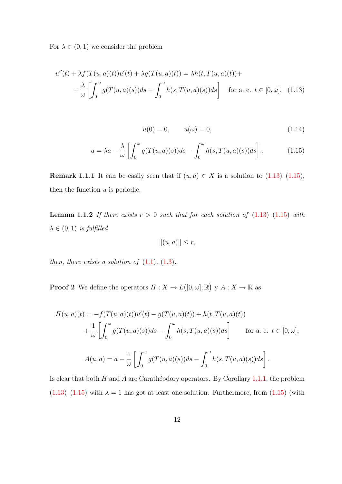For  $\lambda \in (0,1)$  we consider the problem

$$
u''(t) + \lambda f(T(u, a)(t))u'(t) + \lambda g(T(u, a)(t)) = \lambda h(t, T(u, a)(t)) +
$$
  
+ 
$$
\frac{\lambda}{\omega} \left[ \int_0^{\omega} g(T(u, a)(s))ds - \int_0^{\omega} h(s, T(u, a)(s))ds \right]
$$
 for a. e.  $t \in [0, \omega]$ , (1.13)

<span id="page-20-2"></span><span id="page-20-1"></span><span id="page-20-0"></span>
$$
u(0) = 0, \qquad u(\omega) = 0,
$$
\n(1.14)

$$
a = \lambda a - \frac{\lambda}{\omega} \left[ \int_0^{\omega} g(T(u, a)(s)) ds - \int_0^{\omega} h(s, T(u, a)(s)) ds \right].
$$
 (1.15)

<span id="page-20-3"></span>**Remark 1.1.1** It can be easily seen that if  $(u, a) \in X$  is a solution to  $(1.13)$ – $(1.15)$ , then the function  $u$  is periodic.

**Lemma 1.1.2** If there exists  $r > 0$  such that for each solution of  $(1.13)$ – $(1.15)$  with  $\lambda \in (0,1)$  is fulfilled

$$
||(u,a)|| \leq r,
$$

then, there exists a solution of  $(1.1)$ ,  $(1.3)$ .

**Proof 2** We define the operators  $H: X \to L([0, \omega]; \mathbb{R})$  y  $A: X \to \mathbb{R}$  as

$$
H(u, a)(t) = -f(T(u, a)(t))u'(t) - g(T(u, a)(t)) + h(t, T(u, a)(t))
$$
  
+ 
$$
\frac{1}{\omega} \left[ \int_0^{\omega} g(T(u, a)(s))ds - \int_0^{\omega} h(s, T(u, a)(s))ds \right]
$$
 for a. e.  $t \in [0, \omega],$   

$$
A(u, a) = a - \frac{1}{\omega} \left[ \int_0^{\omega} g(T(u, a)(s))ds - \int_0^{\omega} h(s, T(u, a)(s))ds \right].
$$

Is clear that both H and A are Carathéodory operators. By Corollary [1.1.1,](#page-19-3) the problem  $(1.13)$ – $(1.15)$  with  $\lambda = 1$  has got at least one solution. Furthermore, from  $(1.15)$  (with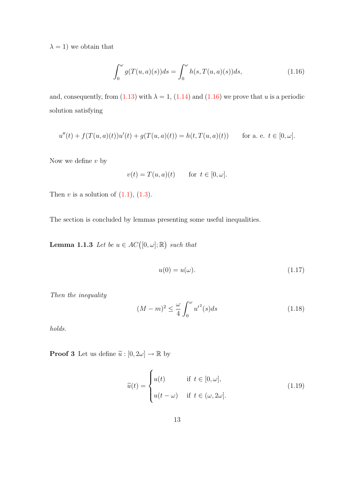$\lambda = 1$ ) we obtain that

<span id="page-21-0"></span>
$$
\int_0^{\omega} g(T(u,a)(s))ds = \int_0^{\omega} h(s,T(u,a)(s))ds,
$$
\n(1.16)

and, consequently, from [\(1.13\)](#page-20-0) with  $\lambda = 1$ , [\(1.14\)](#page-20-2) and [\(1.16\)](#page-21-0) we prove that u is a periodic solution satisfying

$$
u''(t) + f(T(u, a)(t))u'(t) + g(T(u, a)(t)) = h(t, T(u, a)(t)) \quad \text{for a. e. } t \in [0, \omega].
$$

Now we define  $v$  by

$$
v(t) = T(u, a)(t) \quad \text{for } t \in [0, \omega].
$$

Then  $v$  is a solution of  $(1.1)$ ,  $(1.3)$ .

<span id="page-21-4"></span>The section is concluded by lemmas presenting some useful inequalities.

**Lemma 1.1.3** Let be  $u \in AC([0, \omega]; \mathbb{R})$  such that

<span id="page-21-1"></span>
$$
u(0) = u(\omega). \tag{1.17}
$$

Then the inequality

<span id="page-21-3"></span>
$$
(M-m)^2 \le \frac{\omega}{4} \int_0^{\omega} u'^2(s)ds
$$
 (1.18)

holds.

**Proof 3** Let us define  $\widetilde{u}:[0,2\omega]\rightarrow \mathbb{R}$  by

<span id="page-21-2"></span>
$$
\widetilde{u}(t) = \begin{cases}\nu(t) & \text{if } t \in [0, \omega], \\
u(t - \omega) & \text{if } t \in (\omega, 2\omega].\n\end{cases}
$$
\n(1.19)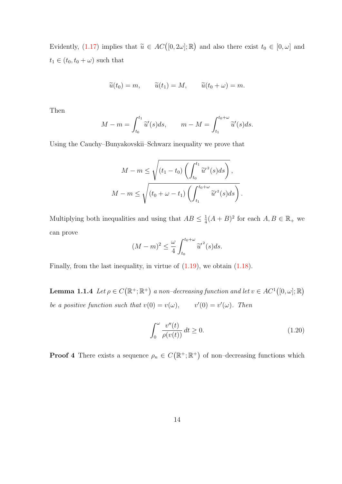Evidently, [\(1.17\)](#page-21-1) implies that  $\tilde{u} \in AC([0, 2\omega]; \mathbb{R})$  and also there exist  $t_0 \in [0, \omega]$  and  $t_1 \in (t_0, t_0 + \omega)$  such that

$$
\widetilde{u}(t_0) = m,
$$
  $\widetilde{u}(t_1) = M,$   $\widetilde{u}(t_0 + \omega) = m.$ 

Then

$$
M - m = \int_{t_0}^{t_1} \widetilde{u}'(s) ds, \qquad m - M = \int_{t_1}^{t_0 + \omega} \widetilde{u}'(s) ds.
$$

Using the Cauchy–Bunyakovskii–Schwarz inequality we prove that

$$
M - m \le \sqrt{\left(t_1 - t_0\right) \left(\int_{t_0}^{t_1} \widetilde{u}'^2(s)ds\right)},
$$
  

$$
M - m \le \sqrt{\left(t_0 + \omega - t_1\right) \left(\int_{t_1}^{t_0 + \omega} \widetilde{u}'^2(s)ds\right)}.
$$

Multiplying both inequalities and using that  $AB \leq \frac{1}{4}$  $\frac{1}{4}(A+B)^2$  for each  $A, B \in \mathbb{R}_+$  we can prove

$$
(M-m)^2 \leq \frac{\omega}{4} \int_{t_0}^{t_0+\omega} \widetilde{u}'^2(s)ds.
$$

Finally, from the last inequality, in virtue of  $(1.19)$ , we obtain  $(1.18)$ .

<span id="page-22-1"></span>**Lemma 1.1.4** Let  $\rho \in C(\mathbb{R}^+;\mathbb{R}^+)$  a non-decreasing function and let  $v \in AC^1([0,\omega];\mathbb{R})$ be a positive function such that  $v(0) = v(\omega)$ ,  $v'(0) = v'(\omega)$ . Then

<span id="page-22-0"></span>
$$
\int_0^\omega \frac{v''(t)}{\rho(v(t))} dt \ge 0.
$$
\n(1.20)

**Proof 4** There exists a sequence  $\rho_n \in C(\mathbb{R}^+;\mathbb{R}^+)$  of non-decreasing functions which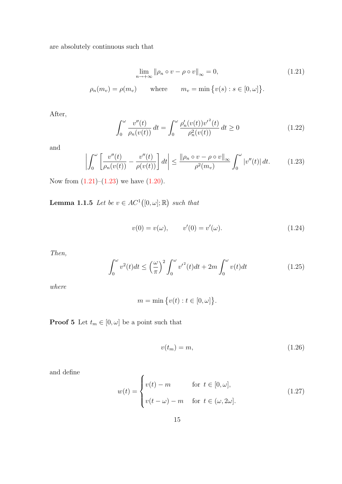are absolutely continuous such that

$$
\lim_{n \to +\infty} \|\rho_n \circ v - \rho \circ v\|_{\infty} = 0,
$$
\n
$$
\rho_n(m_v) = \rho(m_v) \quad \text{where} \quad m_v = \min \{v(s) : s \in [0, \omega] \}.
$$
\n(1.21)

After,

<span id="page-23-0"></span>
$$
\int_0^{\omega} \frac{v''(t)}{\rho_n(v(t))} dt = \int_0^{\omega} \frac{\rho_n'(v(t)){v'}^2(t)}{\rho_n^2(v(t))} dt \ge 0
$$
\n(1.22)

and

<span id="page-23-1"></span>
$$
\left| \int_0^\omega \left[ \frac{v''(t)}{\rho_n(v(t))} - \frac{v''(t)}{\rho(v(t))} \right] dt \right| \le \frac{\left\| \rho_n \circ v - \rho \circ v \right\|_\infty}{\rho^2(m_v)} \int_0^\omega |v''(t)| \, dt. \tag{1.23}
$$

Now from  $(1.21)$ – $(1.23)$  we have  $(1.20)$ .

<span id="page-23-6"></span>**Lemma 1.1.5** Let be  $v \in AC^1([0, \omega]; \mathbb{R})$  such that

<span id="page-23-2"></span>
$$
v(0) = v(\omega), \qquad v'(0) = v'(\omega). \tag{1.24}
$$

Then,

<span id="page-23-5"></span>
$$
\int_0^\omega v^2(t)dt \le \left(\frac{\omega}{\pi}\right)^2 \int_0^\omega v'^2(t)dt + 2m \int_0^\omega v(t)dt \tag{1.25}
$$

where

$$
m = \min\big\{v(t) : t \in [0, \omega]\big\}.
$$

**Proof 5** Let  $t_m \in [0, \omega]$  be a point such that

<span id="page-23-3"></span>
$$
v(t_m) = m,\t\t(1.26)
$$

and define

<span id="page-23-4"></span>
$$
w(t) = \begin{cases} v(t) - m & \text{for } t \in [0, \omega], \\ v(t - \omega) - m & \text{for } t \in (\omega, 2\omega]. \end{cases}
$$
(1.27)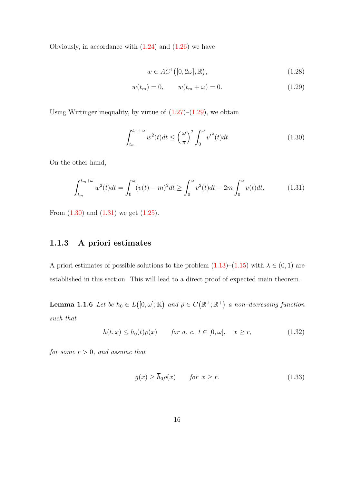Obviously, in accordance with  $(1.24)$  and  $(1.26)$  we have

<span id="page-24-1"></span>
$$
w \in AC^1([0, 2\omega]; \mathbb{R}), \tag{1.28}
$$

$$
w(t_m) = 0, \qquad w(t_m + \omega) = 0.
$$
 (1.29)

Using Wirtinger inequality, by virtue of  $(1.27)$ – $(1.29)$ , we obtain

<span id="page-24-2"></span>
$$
\int_{t_m}^{t_m+\omega} w^2(t)dt \le \left(\frac{\omega}{\pi}\right)^2 \int_0^{\omega} {v'}^2(t)dt.
$$
\n(1.30)

On the other hand,

<span id="page-24-3"></span>
$$
\int_{t_m}^{t_m+\omega} w^2(t)dt = \int_0^{\omega} (v(t)-m)^2 dt \ge \int_0^{\omega} v^2(t)dt - 2m \int_0^{\omega} v(t)dt.
$$
 (1.31)

From  $(1.30)$  and  $(1.31)$  we get  $(1.25)$ .

### <span id="page-24-0"></span>1.1.3 A priori estimates

A priori estimates of possible solutions to the problem  $(1.13)$ – $(1.15)$  with  $\lambda \in (0, 1)$  are established in this section. This will lead to a direct proof of expected main theorem.

**Lemma 1.1.6** Let be  $h_0 \in L([0, \omega]; \mathbb{R})$  and  $\rho \in C(\mathbb{R}^+; \mathbb{R}^+)$  a non-decreasing function such that

<span id="page-24-4"></span>
$$
h(t,x) \le h_0(t)\rho(x) \qquad \text{for a. e. } t \in [0,\omega], \quad x \ge r,
$$
\n
$$
(1.32)
$$

for some  $r > 0$ , and assume that

<span id="page-24-5"></span>
$$
g(x) \ge h_0 \rho(x) \qquad \text{for } x \ge r. \tag{1.33}
$$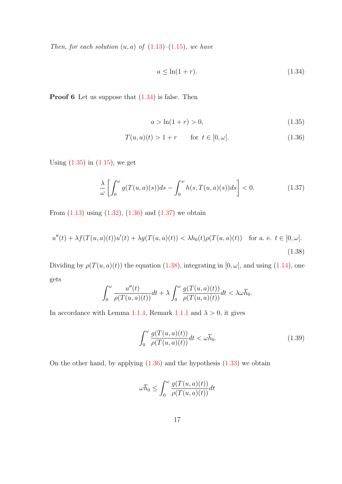Then, for each solution  $(u, a)$  of  $(1.13)$ – $(1.15)$ , we have

<span id="page-25-1"></span><span id="page-25-0"></span>
$$
a \le \ln(1+r). \tag{1.34}
$$

**Proof 6** Let us suppose that  $(1.34)$  is false. Then

<span id="page-25-2"></span>
$$
a > \ln(1+r) > 0,\tag{1.35}
$$

$$
T(u, a)(t) > 1 + r \qquad \text{for } t \in [0, \omega].
$$
 (1.36)

Using  $(1.35)$  in  $(1.15)$ , we get

<span id="page-25-3"></span>
$$
\frac{\lambda}{\omega} \left[ \int_0^{\omega} g(T(u, a)(s)) ds - \int_0^{\omega} h(s, T(u, a)(s)) ds \right] < 0.
$$
\n(1.37)

From  $(1.13)$  using  $(1.32)$ ,  $(1.36)$  and  $(1.37)$  we obtain

<span id="page-25-4"></span>
$$
u''(t) + \lambda f(T(u, a)(t))u'(t) + \lambda g(T(u, a)(t)) < \lambda h_0(t)\rho(T(u, a)(t)) \quad \text{for a. e. } t \in [0, \omega].
$$
\n(1.38)

Dividing by  $\rho(T(u, a)(t))$  the equation [\(1.38\)](#page-25-4), integrating in [0,  $\omega$ ], and using [\(1.14\)](#page-20-2), one gets

$$
\int_0^{\omega} \frac{u''(t)}{\rho(T(u,a)(t))} dt + \lambda \int_0^{\omega} \frac{g(T(u,a)(t))}{\rho(T(u,a)(t))} dt < \lambda \omega \overline{h}_0.
$$

In accordance with Lemma [1.1.4,](#page-22-1) Remark [1.1.1](#page-20-3) and  $\lambda > 0$ , it gives

<span id="page-25-5"></span>
$$
\int_0^\omega \frac{g(T(u,a)(t))}{\rho(T(u,a)(t))} dt < \omega \overline{h}_0. \tag{1.39}
$$

On the other hand, by applying  $(1.36)$  and the hypothesis  $(1.33)$  we obtain

$$
\omega \overline{h}_0 \le \int_0^\omega \frac{g(T(u,a)(t))}{\rho(T(u,a)(t))} dt
$$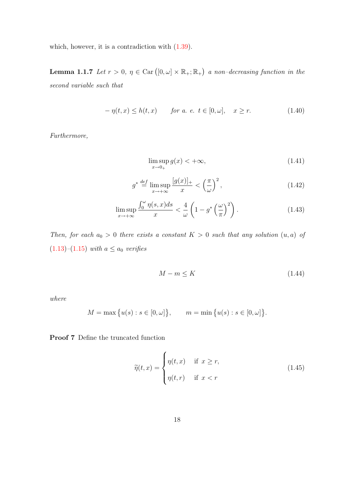which, however, it is a contradiction with  $(1.39)$ .

**Lemma 1.1.7** Let  $r > 0$ ,  $\eta \in \text{Car}([0,\omega] \times \mathbb{R}_+;\mathbb{R}_+)$  a non-decreasing function in the second variable such that

<span id="page-26-0"></span>
$$
-\eta(t,x) \le h(t,x) \qquad \text{for a. e. } t \in [0,\omega], \quad x \ge r. \tag{1.40}
$$

Furthermore,

<span id="page-26-4"></span><span id="page-26-3"></span><span id="page-26-2"></span>
$$
\limsup_{x \to 0_+} g(x) < +\infty,\tag{1.41}
$$

$$
g^* \stackrel{\text{def}}{=} \limsup_{x \to +\infty} \frac{[g(x)]_+}{x} < \left(\frac{\pi}{\omega}\right)^2,\tag{1.42}
$$

$$
\limsup_{x \to +\infty} \frac{\int_0^{\omega} \eta(s, x) ds}{x} < \frac{4}{\omega} \left( 1 - g^* \left( \frac{\omega}{\pi} \right)^2 \right). \tag{1.43}
$$

Then, for each  $a_0 > 0$  there exists a constant  $K > 0$  such that any solution  $(u, a)$  of  $(1.13)$ – $(1.15)$  with  $a \le a_0$  verifies

<span id="page-26-5"></span>
$$
M - m \le K \tag{1.44}
$$

where

$$
M = \max \{ u(s) : s \in [0, \omega] \}, \qquad m = \min \{ u(s) : s \in [0, \omega] \}.
$$

Proof 7 Define the truncated function

<span id="page-26-1"></span>
$$
\widetilde{\eta}(t,x) = \begin{cases} \eta(t,x) & \text{if } x \ge r, \\ \eta(t,r) & \text{if } x < r \end{cases} \tag{1.45}
$$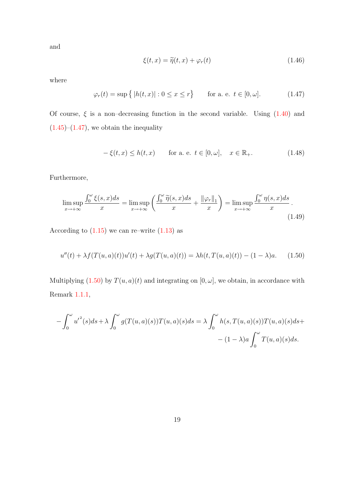and

$$
\xi(t,x) = \widetilde{\eta}(t,x) + \varphi_r(t) \tag{1.46}
$$

where

<span id="page-27-0"></span>
$$
\varphi_r(t) = \sup\left\{ |h(t, x)| : 0 \le x \le r \right\} \quad \text{for a. e. } t \in [0, \omega]. \tag{1.47}
$$

Of course,  $\xi$  is a non-decreasing function in the second variable. Using  $(1.40)$  and  $(1.45)$ – $(1.47)$ , we obtain the inequality

<span id="page-27-2"></span>
$$
-\xi(t,x) \le h(t,x) \qquad \text{for a. e. } t \in [0,\omega], \quad x \in \mathbb{R}_+.
$$
 (1.48)

Furthermore,

<span id="page-27-3"></span>
$$
\limsup_{x \to +\infty} \frac{\int_0^{\omega} \xi(s, x) ds}{x} = \limsup_{x \to +\infty} \left( \frac{\int_0^{\omega} \widetilde{\eta}(s, x) ds}{x} + \frac{\|\varphi_r\|_1}{x} \right) = \limsup_{x \to +\infty} \frac{\int_0^{\omega} \eta(s, x) ds}{x}.
$$
\n(1.49)

According to  $(1.15)$  we can re–write  $(1.13)$  as

<span id="page-27-1"></span>
$$
u''(t) + \lambda f(T(u, a)(t))u'(t) + \lambda g(T(u, a)(t)) = \lambda h(t, T(u, a)(t)) - (1 - \lambda)a.
$$
 (1.50)

Multiplying [\(1.50\)](#page-27-1) by  $T(u, a)(t)$  and integrating on  $[0, \omega]$ , we obtain, in accordance with Remark [1.1.1,](#page-20-3)

$$
-\int_0^{\omega} {u'}^2(s)ds + \lambda \int_0^{\omega} g(T(u,a)(s))T(u,a)(s)ds = \lambda \int_0^{\omega} h(s,T(u,a)(s))T(u,a)(s)ds +
$$

$$
-(1-\lambda)a \int_0^{\omega} T(u,a)(s)ds.
$$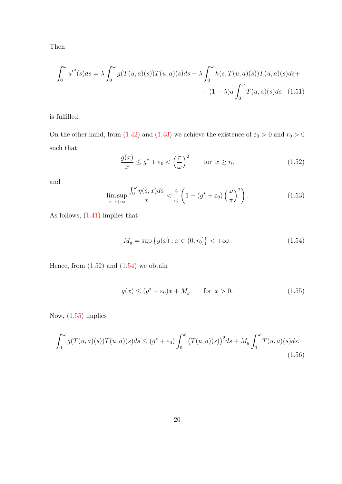Then

$$
\int_0^{\omega} u'^2(s)ds = \lambda \int_0^{\omega} g(T(u,a)(s))T(u,a)(s)ds - \lambda \int_0^{\omega} h(s,T(u,a)(s))T(u,a)(s)ds + (1-\lambda)a \int_0^{\omega} T(u,a)(s)ds \quad (1.51)
$$

is fulfilled.

On the other hand, from [\(1.42\)](#page-26-2) and [\(1.43\)](#page-26-3) we achieve the existence of  $\varepsilon_0 > 0$  and  $r_0 > 0$ such that

<span id="page-28-4"></span><span id="page-28-0"></span>
$$
\frac{g(x)}{x} \le g^* + \varepsilon_0 < \left(\frac{\pi}{\omega}\right)^2 \qquad \text{for } x \ge r_0 \tag{1.52}
$$

and

<span id="page-28-5"></span>
$$
\limsup_{x \to +\infty} \frac{\int_0^{\omega} \eta(s, x) ds}{x} < \frac{4}{\omega} \left( 1 - \left( g^* + \varepsilon_0 \right) \left( \frac{\omega}{\pi} \right)^2 \right). \tag{1.53}
$$

As follows, [\(1.41\)](#page-26-4) implies that

<span id="page-28-1"></span>
$$
M_g = \sup \{ g(x) : x \in (0, r_0] \} < +\infty.
$$
 (1.54)

Hence, from  $(1.52)$  and  $(1.54)$  we obtain

<span id="page-28-2"></span>
$$
g(x) \le (g^* + \varepsilon_0)x + M_g \qquad \text{for } x > 0. \tag{1.55}
$$

Now, [\(1.55\)](#page-28-2) implies

<span id="page-28-3"></span>
$$
\int_0^\omega g(T(u,a)(s))T(u,a)(s)ds \le (g^* + \varepsilon_0) \int_0^\omega \left(T(u,a)(s)\right)^2 ds + M_g \int_0^\omega T(u,a)(s)ds.
$$
\n(1.56)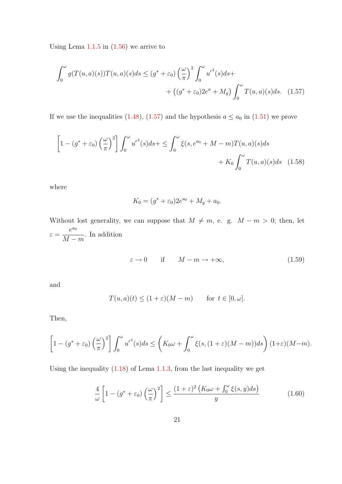Using Lema  $1.1.5$  in  $(1.56)$  we arrive to

$$
\int_0^{\omega} g(T(u,a)(s))T(u,a)(s)ds \le (g^* + \varepsilon_0) \left(\frac{\omega}{\pi}\right)^2 \int_0^{\omega} u'^2(s)ds + \left((g^* + \varepsilon_0)2e^a + M_g\right) \int_0^{\omega} T(u,a)(s)ds. \tag{1.57}
$$

If we use the inequalities [\(1.48\)](#page-27-2), [\(1.57\)](#page-29-0) and the hypothesis  $a \le a_0$  in [\(1.51\)](#page-28-4) we prove

$$
\left[1 - (g^* + \varepsilon_0) \left(\frac{\omega}{\pi}\right)^2\right] \int_0^{\omega} u'^2(s)ds + \le \int_0^{\omega} \xi(s, e^{a_0} + M - m)T(u, a)(s)ds + K_0 \int_0^{\omega} T(u, a)(s)ds \quad (1.58)
$$

where

<span id="page-29-0"></span>
$$
K_0 = (g^* + \varepsilon_0)2e^{a_0} + M_g + a_0.
$$

Without lost generality, we can suppose that  $M \neq m$ , e. g.  $M - m > 0$ ; then, let  $\varepsilon =$  $e^{a_0}$  $M - m$ . In addition

<span id="page-29-1"></span>
$$
\varepsilon \to 0 \quad \text{if} \quad M - m \to +\infty,\tag{1.59}
$$

and

$$
T(u, a)(t) \le (1 + \varepsilon)(M - m) \quad \text{for } t \in [0, \omega].
$$

Then,

$$
\left[1 - (g^* + \varepsilon_0) \left(\frac{\omega}{\pi}\right)^2\right] \int_0^{\omega} u'^2(s)ds \le \left(K_0 \omega + \int_0^{\omega} \xi(s, (1+\varepsilon)(M-m))ds\right) (1+\varepsilon)(M-m).
$$

Using the inequality  $(1.18)$  of Lema [1.1.3,](#page-21-4) from the last inequality we get

<span id="page-29-2"></span>
$$
\frac{4}{\omega} \left[ 1 - (g^* + \varepsilon_0) \left( \frac{\omega}{\pi} \right)^2 \right] \le \frac{(1 + \varepsilon)^2 \left( K_0 \omega + \int_0^\omega \xi(s, y) ds \right)}{y} \tag{1.60}
$$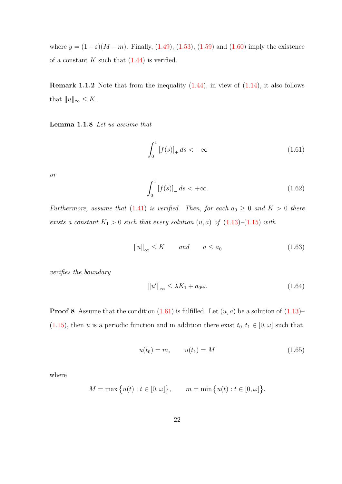where  $y = (1 + \varepsilon)(M - m)$ . Finally, [\(1.49\)](#page-27-3), [\(1.53\)](#page-28-5), [\(1.59\)](#page-29-1) and [\(1.60\)](#page-29-2) imply the existence of a constant  $K$  such that  $(1.44)$  is verified.

**Remark 1.1.2** Note that from the inequality  $(1.44)$ , in view of  $(1.14)$ , it also follows that  $||u||_{\infty} \leq K$ .

<span id="page-30-5"></span>Lemma 1.1.8 Let us assume that

<span id="page-30-0"></span>
$$
\int_{0}^{1} [f(s)]_{+} ds < +\infty
$$
\n(1.61)

or

<span id="page-30-4"></span>
$$
\int_{0}^{1} [f(s)]_{-} ds < +\infty.
$$
 (1.62)

Furthermore, assume that [\(1.41\)](#page-26-4) is verified. Then, for each  $a_0 \geq 0$  and  $K > 0$  there exists a constant  $K_1 > 0$  such that every solution  $(u, a)$  of  $(1.13)$ – $(1.15)$  with

<span id="page-30-1"></span>
$$
||u||_{\infty} \le K \qquad and \qquad a \le a_0 \tag{1.63}
$$

verifies the boundary

<span id="page-30-3"></span>
$$
||u'||_{\infty} \leq \lambda K_1 + a_0 \omega.
$$
\n(1.64)

**Proof 8** Assume that the condition  $(1.61)$  is fulfilled. Let  $(u, a)$  be a solution of  $(1.13)$ – [\(1.15\)](#page-20-1), then u is a periodic function and in addition there exist  $t_0, t_1 \in [0, \omega]$  such that

<span id="page-30-2"></span>
$$
u(t_0) = m, \qquad u(t_1) = M \tag{1.65}
$$

where

$$
M = \max \{ u(t) : t \in [0, \omega] \}, \qquad m = \min \{ u(t) : t \in [0, \omega] \}.
$$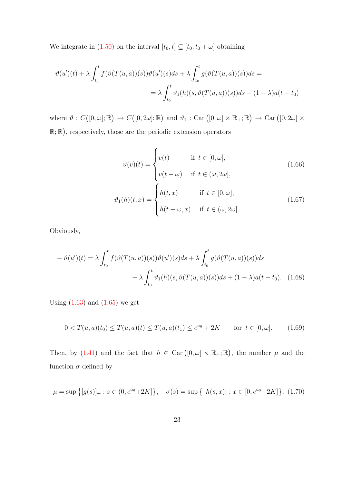We integrate in [\(1.50\)](#page-27-1) on the interval  $[t_0, t] \subseteq [t_0, t_0 + \omega]$  obtaining

$$
\vartheta(u')(t) + \lambda \int_{t_0}^t f(\vartheta(T(u,a))(s))\vartheta(u')(s)ds + \lambda \int_{t_0}^t g(\vartheta(T(u,a))(s))ds =
$$
  

$$
= \lambda \int_{t_0}^t \vartheta_1(h)(s, \vartheta(T(u,a))(s))ds - (1 - \lambda)a(t - t_0)
$$

where  $\vartheta : C([0,\omega];\mathbb{R}) \to C([0,2\omega];\mathbb{R})$  and  $\vartheta_1 : \text{Car}([0,\omega] \times \mathbb{R}_+;\mathbb{R}) \to \text{Car}([0,2\omega] \times$  $\mathbb{R}; \mathbb{R}$ , respectively, those are the periodic extension operators

<span id="page-31-4"></span><span id="page-31-3"></span><span id="page-31-1"></span>
$$
\vartheta(v)(t) = \begin{cases}\nv(t) & \text{if } t \in [0, \omega], \\
v(t - \omega) & \text{if } t \in (\omega, 2\omega], \\
\vartheta_1(h)(t, x) = \begin{cases}\nh(t, x) & \text{if } t \in [0, \omega], \\
h(t - \omega, x) & \text{if } t \in (\omega, 2\omega].\n\end{cases}\n\end{cases}
$$
\n(1.67)

Obviously,

$$
- \vartheta(u')(t) = \lambda \int_{t_0}^t f(\vartheta(T(u, a))(s))\vartheta(u')(s)ds + \lambda \int_{t_0}^t g(\vartheta(T(u, a))(s))ds
$$

$$
- \lambda \int_{t_0}^t \vartheta_1(h)(s, \vartheta(T(u, a))(s))ds + (1 - \lambda)a(t - t_0). \quad (1.68)
$$

Using  $(1.63)$  and  $(1.65)$  we get

<span id="page-31-0"></span>
$$
0 < T(u, a)(t_0) \le T(u, a)(t) \le T(u, a)(t_1) \le e^{a_0} + 2K \quad \text{for } t \in [0, \omega]. \tag{1.69}
$$

Then, by [\(1.41\)](#page-26-4) and the fact that  $h \in \text{Car} ([0, \omega] \times \mathbb{R}_+; \mathbb{R})$ , the number  $\mu$  and the function  $\sigma$  defined by

<span id="page-31-2"></span>
$$
\mu = \sup \{ [g(s)]_+ : s \in (0, e^{a_0} + 2K] \}, \quad \sigma(s) = \sup \{ |h(s, x)| : x \in [0, e^{a_0} + 2K] \}, \tag{1.70}
$$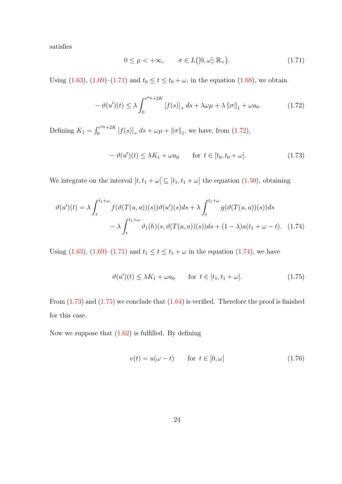satisfies

<span id="page-32-0"></span>
$$
0 \le \mu < +\infty, \qquad \sigma \in L([0,\omega]; \mathbb{R}_+). \tag{1.71}
$$

Using [\(1.63\)](#page-30-1), [\(1.69\)](#page-31-0)–[\(1.71\)](#page-32-0) and  $t_0 \le t \le t_0 + \omega$ , in the equation [\(1.68\)](#page-31-1), we obtain

<span id="page-32-1"></span>
$$
-\vartheta(u')(t) \leq \lambda \int_0^{e^{a_0} + 2K} [f(s)]_+ ds + \lambda \omega \mu + \lambda ||\sigma||_1 + \omega a_0.
$$
 (1.72)

Defining  $K_1 = \int_0^{e^{a_0} + 2K}$  $\int_0^{\pi e^{-0}+2K} [f(s)]_+ ds + \omega \mu + ||\sigma||_1$ , we have, from [\(1.72\)](#page-32-1),

<span id="page-32-3"></span>
$$
-\vartheta(u')(t) \le \lambda K_1 + \omega a_0 \qquad \text{for } t \in [t_0, t_0 + \omega]. \tag{1.73}
$$

We integrate on the interval  $[t, t_1 + \omega] \subseteq [t_1, t_1 + \omega]$  the equation [\(1.50\)](#page-27-1), obtaining

$$
\vartheta(u')(t) = \lambda \int_{t}^{t_1+\omega} f(\vartheta(T(u,a))(s))\vartheta(u')(s)ds + \lambda \int_{t}^{t_1+\omega} g(\vartheta(T(u,a))(s))ds
$$

$$
- \lambda \int_{t}^{t_1+\omega} \vartheta_1(h)(s, \vartheta(T(u,a))(s))ds + (1-\lambda)a(t_1+\omega-t). \quad (1.74)
$$

Using [\(1.63\)](#page-30-1), [\(1.69\)](#page-31-0)–[\(1.71\)](#page-32-0) and  $t_1 \le t \le t_1 + \omega$  in the equation [\(1.74\)](#page-32-2), we have

<span id="page-32-4"></span><span id="page-32-2"></span>
$$
\vartheta(u')(t) \le \lambda K_1 + \omega a_0 \qquad \text{for } t \in [t_1, t_1 + \omega]. \tag{1.75}
$$

From [\(1.73\)](#page-32-3) and [\(1.75\)](#page-32-4) we conclude that [\(1.64\)](#page-30-3) is verified. Therefore the proof is finished for this case.

Now we suppose that  $(1.62)$  is fulfilled. By defining

<span id="page-32-5"></span>
$$
v(t) = u(\omega - t) \qquad \text{for } t \in [0, \omega] \tag{1.76}
$$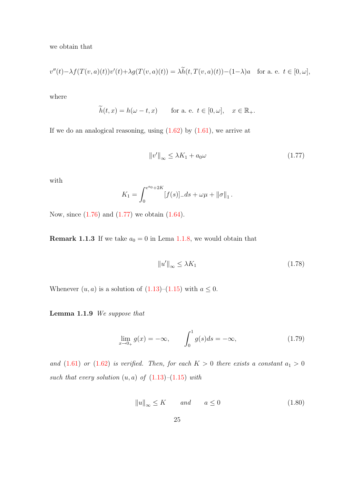we obtain that

$$
v''(t) - \lambda f(T(v, a)(t))v'(t) + \lambda g(T(v, a)(t)) = \lambda \widetilde{h}(t, T(v, a)(t)) - (1 - \lambda)a \quad \text{for a. e. } t \in [0, \omega],
$$

where

$$
\widetilde{h}(t,x) = h(\omega - t, x) \quad \text{for a. e. } t \in [0, \omega], \quad x \in \mathbb{R}_+.
$$

If we do an analogical reasoning, using  $(1.62)$  by  $(1.61)$ , we arrive at

<span id="page-33-0"></span>
$$
||v'||_{\infty} \le \lambda K_1 + a_0 \omega \tag{1.77}
$$

with

$$
K_1 = \int_0^{e^{a_0} + 2K} [f(s)]_- ds + \omega \mu + ||\sigma||_1.
$$

Now, since  $(1.76)$  and  $(1.77)$  we obtain  $(1.64)$ .

**Remark 1.1.3** If we take  $a_0 = 0$  in Lema [1.1.8,](#page-30-5) we would obtain that

$$
||u'||_{\infty} \le \lambda K_1 \tag{1.78}
$$

Whenever  $(u, a)$  is a solution of  $(1.13)$ – $(1.15)$  with  $a \leq 0$ .

Lemma 1.1.9 We suppose that

<span id="page-33-1"></span>
$$
\lim_{x \to 0+} g(x) = -\infty, \qquad \int_0^1 g(s)ds = -\infty,
$$
\n(1.79)

and  $(1.61)$  or  $(1.62)$  is verified. Then, for each  $K > 0$  there exists a constant  $a_1 > 0$ such that every solution  $(u, a)$  of  $(1.13)$ – $(1.15)$  with

<span id="page-33-2"></span>
$$
||u||_{\infty} \le K \qquad and \qquad a \le 0 \tag{1.80}
$$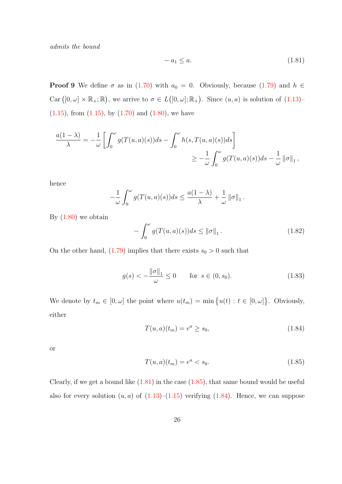admits the bound

<span id="page-34-0"></span>
$$
-a_1 \le a. \tag{1.81}
$$

**Proof 9** We define  $\sigma$  as in [\(1.70\)](#page-31-2) with  $a_0 = 0$ . Obviously, because [\(1.79\)](#page-33-1) and  $h \in$ Car  $([0, \omega] \times \mathbb{R}_+; \mathbb{R})$ , we arrive to  $\sigma \in L([0, \omega]; \mathbb{R}_+)$ . Since  $(u, a)$  is solution of  $(1.13)$ - $(1.15)$ , from  $(1.15)$ , by  $(1.70)$  and  $(1.80)$ , we have

$$
\frac{a(1-\lambda)}{\lambda} = -\frac{1}{\omega} \left[ \int_0^{\omega} g(T(u,a)(s))ds - \int_0^{\omega} h(s,T(u,a)(s))ds \right]
$$
  

$$
\geq -\frac{1}{\omega} \int_0^{\omega} g(T(u,a)(s))ds - \frac{1}{\omega} ||\sigma||_1,
$$

hence

$$
-\frac{1}{\omega}\int_0^{\omega}g(T(u,a)(s))ds\leq \frac{a(1-\lambda)}{\lambda}+\frac{1}{\omega}\left\|\sigma\right\|_1.
$$

By  $(1.80)$  we obtain

<span id="page-34-3"></span>
$$
-\int_0^\omega g(T(u,a)(s))ds \le ||\sigma||_1.
$$
\n(1.82)

On the other hand,  $(1.79)$  implies that there exists  $s_0 > 0$  such that

<span id="page-34-4"></span>
$$
g(s) < -\frac{\|\sigma\|_1}{\omega} \le 0
$$
 for  $s \in (0, s_0)$ . (1.83)

We denote by  $t_m \in [0, \omega]$  the point where  $u(t_m) = \min \{u(t) : t \in [0, \omega]\}\.$  Obviously, either

<span id="page-34-2"></span>
$$
T(u, a)(t_m) = e^a \ge s_0,
$$
\n(1.84)

or

<span id="page-34-1"></span>
$$
T(u, a)(t_m) = e^a < s_0. \tag{1.85}
$$

Clearly, if we get a bound like  $(1.81)$  in the case  $(1.85)$ , that same bound would be useful also for every solution  $(u, a)$  of  $(1.13)$ – $(1.15)$  verifying  $(1.84)$ . Hence, we can suppose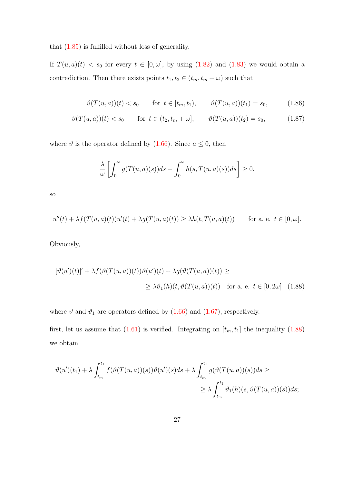that [\(1.85\)](#page-34-1) is fulfilled without loss of generality.

If  $T(u, a)(t) < s_0$  for every  $t \in [0, \omega]$ , by using [\(1.82\)](#page-34-3) and [\(1.83\)](#page-34-4) we would obtain a contradiction. Then there exists points  $t_1, t_2 \in (t_m, t_m + \omega)$  such that

$$
\vartheta(T(u,a))(t) < s_0 \qquad \text{for } t \in [t_m, t_1), \qquad \vartheta(T(u,a))(t_1) = s_0,\tag{1.86}
$$

$$
\vartheta(T(u,a))(t) < s_0 \quad \text{for } t \in (t_2, t_m + \omega], \qquad \vartheta(T(u,a))(t_2) = s_0,\tag{1.87}
$$

where  $\vartheta$  is the operator defined by [\(1.66\)](#page-31-3). Since  $a \leq 0$ , then

<span id="page-35-0"></span>
$$
\frac{\lambda}{\omega} \left[ \int_0^{\omega} g(T(u,a)(s))ds - \int_0^{\omega} h(s,T(u,a)(s))ds \right] \ge 0,
$$

so

$$
u''(t) + \lambda f(T(u, a)(t))u'(t) + \lambda g(T(u, a)(t)) \ge \lambda h(t, T(u, a)(t)) \quad \text{for a. e. } t \in [0, \omega].
$$

Obviously,

$$
[\vartheta(u')(t)]' + \lambda f(\vartheta(T(u,a))(t))\vartheta(u')(t) + \lambda g(\vartheta(T(u,a))(t)) \ge
$$
  
 
$$
\geq \lambda \vartheta_1(h)(t, \vartheta(T(u,a))(t)) \quad \text{for a. e. } t \in [0, 2\omega] \quad (1.88)
$$

where  $\vartheta$  and  $\vartheta_1$  are operators defined by [\(1.66\)](#page-31-3) and [\(1.67\)](#page-31-4), respectively.

first, let us assume that  $(1.61)$  is verified. Integrating on  $[t_m, t_1]$  the inequality  $(1.88)$ we obtain

$$
\vartheta(u')(t_1) + \lambda \int_{t_m}^{t_1} f(\vartheta(T(u,a))(s))\vartheta(u')(s)ds + \lambda \int_{t_m}^{t_1} g(\vartheta(T(u,a))(s))ds \ge
$$
  

$$
\ge \lambda \int_{t_m}^{t_1} \vartheta_1(h)(s, \vartheta(T(u,a))(s))ds;
$$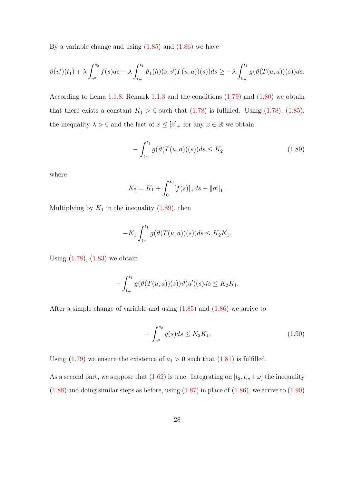By a variable change and using  $(1.85)$  and  $(1.86)$  we have

$$
\vartheta(u')(t_1) + \lambda \int_{e^a}^{s_0} f(s)ds - \lambda \int_{t_m}^{t_1} \vartheta_1(h)(s, \vartheta(T(u, a))(s))ds \geq -\lambda \int_{t_m}^{t_1} g(\vartheta(T(u, a))(s))ds.
$$

According to Lema [1.1.8,](#page-30-0) Remark [1.1.3](#page-33-0) and the conditions [\(1.79\)](#page-33-1) and [\(1.80\)](#page-33-2) we obtain that there exists a constant  $K_1 > 0$  such that [\(1.78\)](#page-33-3) is fulfilled. Using (1.78), [\(1.85\)](#page-34-0), the inequality  $\lambda > 0$  and the fact of  $x \leq [x]_+$  for any  $x \in \mathbb{R}$  we obtain

<span id="page-36-0"></span>
$$
-\int_{t_m}^{t_1} g(\vartheta(T(u,a))(s))ds \le K_2
$$
\n(1.89)

where

$$
K_2 = K_1 + \int_0^{s_0} [f(s)]_+ ds + ||\sigma||_1.
$$

Multiplying by  $K_1$  in the inequality [\(1.89\)](#page-36-0), then

$$
-K_1 \int_{t_m}^{t_1} g(\vartheta(T(u,a))(s))ds \leq K_2 K_1.
$$

Using  $(1.78)$ ,  $(1.83)$  we obtain

$$
-\int_{t_m}^{t_1} g(\vartheta(T(u,a))(s))\vartheta(u')(s)ds \leq K_2K_1.
$$

After a simple change of variable and using  $(1.85)$  and  $(1.86)$  we arrive to

<span id="page-36-1"></span>
$$
-\int_{e^a}^{s_0} g(s)ds \le K_2 K_1.
$$
\n(1.90)

Using  $(1.79)$  we ensure the existence of  $a_1 > 0$  such that  $(1.81)$  is fulfilled.

As a second part, we suppose that [\(1.62\)](#page-30-1) is true. Integrating on  $[t_2, t_m + \omega]$  the inequality  $(1.88)$  and doing similar steps as before, using  $(1.87)$  in place of  $(1.86)$ , we arrive to  $(1.90)$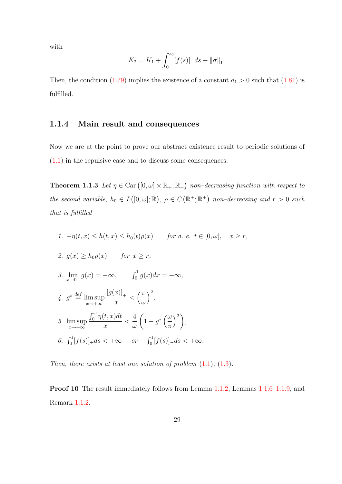with

$$
K_2 = K_1 + \int_0^{s_0} [f(s)]_- ds + ||\sigma||_1.
$$

Then, the condition [\(1.79\)](#page-33-1) implies the existence of a constant  $a_1 > 0$  such that [\(1.81\)](#page-34-2) is fulfilled.

#### 1.1.4 Main result and consequences

Now we are at the point to prove our abstract existence result to periodic solutions of [\(1.1\)](#page-14-0) in the repulsive case and to discuss some consequences.

<span id="page-37-0"></span>**Theorem 1.1.3** Let  $\eta \in \text{Car}([0,\omega] \times \mathbb{R}_+;\mathbb{R}_+)$  non-decreasing function with respect to the second variable,  $h_0 \in L([0,\omega];\mathbb{R})$ ,  $\rho \in C(\mathbb{R}^+;\mathbb{R}^+)$  non-decreasing and  $r > 0$  such that is fulfilled

1. 
$$
-\eta(t, x) \leq h(t, x) \leq h_0(t)\rho(x)
$$
 for a. e.  $t \in [0, \omega]$ ,  $x \geq r$ ,  
\n2.  $g(x) \geq \overline{h}_0 \rho(x)$  for  $x \geq r$ ,  
\n3.  $\lim_{x \to 0+} g(x) = -\infty$ ,  $\int_0^1 g(x) dx = -\infty$ ,  
\n4.  $g^* \stackrel{\text{def}}{=} \limsup_{x \to +\infty} \frac{[g(x)]_+}{x} < \left(\frac{\pi}{\omega}\right)^2$ ,  
\n5.  $\limsup_{x \to +\infty} \frac{\int_0^{\omega} \eta(t, x) dt}{x} < \frac{4}{\omega} \left(1 - g^* \left(\frac{\omega}{\pi}\right)^2\right)$ ,  
\n6.  $\int_0^1 [f(s)]_+ ds < +\infty$  or  $\int_0^1 [f(s)]_- ds < +\infty$ .

Then, there exists at least one solution of problem  $(1.1)$ ,  $(1.3)$ .

Proof 10 The result immediately follows from Lemma [1.1.2,](#page-20-0) Lemmas [1.1.6–](#page-24-0)[1.1.9,](#page-33-4) and Remark [1.1.2.](#page-30-2)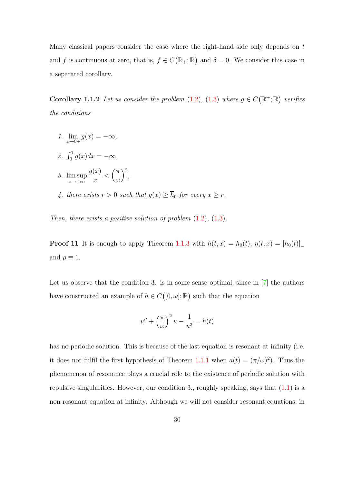Many classical papers consider the case where the right-hand side only depends on t and f is continuous at zero, that is,  $f \in C(\mathbb{R}_+;\mathbb{R})$  and  $\delta = 0$ . We consider this case in a separated corollary.

<span id="page-38-0"></span>**Corollary 1.1.2** Let us consider the problem [\(1.2\)](#page-14-2), [\(1.3\)](#page-14-1) where  $g \in C(\mathbb{R}^+;\mathbb{R})$  verifies the conditions

- 1.  $\lim_{x \to 0+} g(x) = -\infty$ ,
- 2.  $\int_0^1 g(x) dx = -\infty$ ,
- 3. lim sup  $x\rightarrow+\infty$  $g(x)$  $\overline{x}$  $\langle \frac{\pi}{2}$ ω  $\Big)^2$ ,
- 4. there exists  $r > 0$  such that  $g(x) \geq \overline{h}_0$  for every  $x \geq r$ .

Then, there exists a positive solution of problem  $(1.2)$ ,  $(1.3)$ .

**Proof 11** It is enough to apply Theorem [1.1.3](#page-37-0) with  $h(t, x) = h_0(t)$ ,  $\eta(t, x) = [h_0(t)]$ and  $\rho \equiv 1$ .

Let us observe that the condition 3. is in some sense optimal, since in  $[7]$  the authors have constructed an example of  $h \in C([0,\omega];\mathbb{R})$  such that the equation

$$
u'' + \left(\frac{\pi}{\omega}\right)^2 u - \frac{1}{u^3} = h(t)
$$

has no periodic solution. This is because of the last equation is resonant at infinity (i.e. it does not fulfil the first hypothesis of Theorem [1.1.1](#page-15-0) when  $a(t) = (\pi/\omega)^2$ . Thus the phenomenon of resonance plays a crucial role to the existence of periodic solution with repulsive singularities. However, our condition 3., roughly speaking, says that [\(1.1\)](#page-14-0) is a non-resonant equation at infinity. Although we will not consider resonant equations, in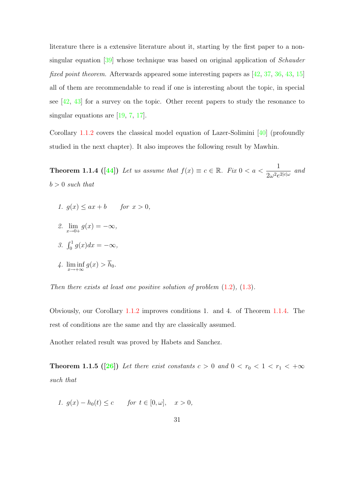literature there is a extensive literature about it, starting by the first paper to a nonsingular equation [\[39\]](#page-141-0) whose technique was based on original application of Schauder fixed point theorem. Afterwards appeared some interesting papers as [\[42,](#page-141-1) [37,](#page-141-2) [36,](#page-141-3) [43,](#page-141-4) [15\]](#page-138-0) all of them are recommendable to read if one is interesting about the topic, in special see [\[42,](#page-141-1) [43\]](#page-141-4) for a survey on the topic. Other recent papers to study the resonance to singular equations are  $[19, 7, 17]$  $[19, 7, 17]$  $[19, 7, 17]$  $[19, 7, 17]$ .

Corollary [1.1.2](#page-38-0) covers the classical model equation of Lazer-Solimini [\[40\]](#page-141-5) (profoundly studied in the next chapter). It also improves the following result by Mawhin.

<span id="page-39-0"></span>**Theorem 1.1.4 ([\[44\]](#page-141-6))** Let us assume that  $f(x) \equiv c \in \mathbb{R}$ . Fix  $0 < a < \frac{1}{2a-2}$  $\frac{1}{2\omega^2 e^{2|c|\omega}}$  and  $b > 0$  such that

- 1.  $g(x) \leq ax + b$  for  $x > 0$ ,
- 2.  $\lim_{x \to 0+} g(x) = -\infty$ ,
- 3.  $\int_0^1 g(x)dx = -\infty$ ,
- 4.  $\liminf_{x \to +\infty} g(x) > h_0$ .

Then there exists at least one positive solution of problem  $(1.2)$ ,  $(1.3)$ .

Obviously, our Corollary [1.1.2](#page-38-0) improves conditions 1. and 4. of Theorem [1.1.4.](#page-39-0) The rest of conditions are the same and thy are classically assumed.

<span id="page-39-1"></span>Another related result was proved by Habets and Sanchez.

**Theorem 1.1.5 ([\[26\]](#page-139-1))** Let there exist constants  $c > 0$  and  $0 < r_0 < 1 < r_1 < +\infty$ such that

1. 
$$
g(x) - h_0(t) \le c
$$
 for  $t \in [0, \omega]$ ,  $x > 0$ ,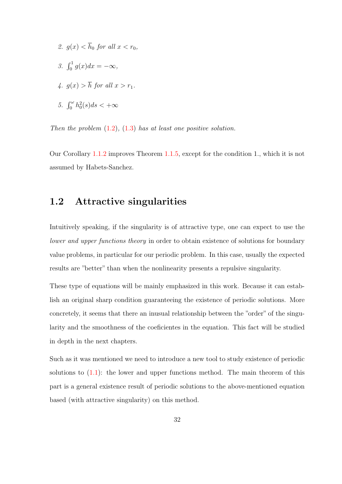- 2.  $q(x) < \overline{h}_0$  for all  $x < r_0$ ,
- 3.  $\int_0^1 g(x)dx = -\infty$ ,
- 4.  $q(x) > \overline{h}$  for all  $x > r_1$ .
- 5.  $\int_0^{\omega} h_0^2(s)ds < +\infty$

Then the problem  $(1.2)$ ,  $(1.3)$  has at least one positive solution.

Our Corollary [1.1.2](#page-38-0) improves Theorem [1.1.5,](#page-39-1) except for the condition 1., which it is not assumed by Habets-Sanchez.

## 1.2 Attractive singularities

Intuitively speaking, if the singularity is of attractive type, one can expect to use the lower and upper functions theory in order to obtain existence of solutions for boundary value problems, in particular for our periodic problem. In this case, usually the expected results are "better" than when the nonlinearity presents a repulsive singularity.

These type of equations will be mainly emphasized in this work. Because it can establish an original sharp condition guaranteeing the existence of periodic solutions. More concretely, it seems that there an inusual relationship between the "order" of the singularity and the smoothness of the coeficientes in the equation. This fact will be studied in depth in the next chapters.

Such as it was mentioned we need to introduce a new tool to study existence of periodic solutions to  $(1.1)$ : the lower and upper functions method. The main theorem of this part is a general existence result of periodic solutions to the above-mentioned equation based (with attractive singularity) on this method.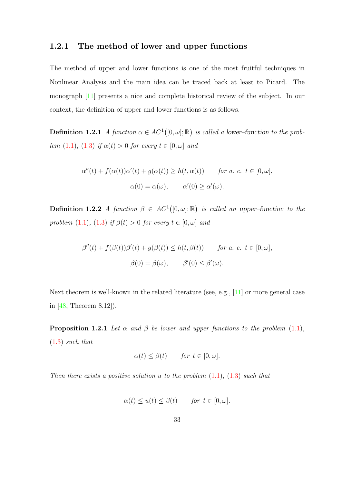#### 1.2.1 The method of lower and upper functions

The method of upper and lower functions is one of the most fruitful techniques in Nonlinear Analysis and the main idea can be traced back at least to Picard. The monograph [\[11\]](#page-138-2) presents a nice and complete historical review of the subject. In our context, the definition of upper and lower functions is as follows.

**Definition 1.2.1** A function  $\alpha \in AC^1([0, \omega]; \mathbb{R})$  is called a lower-function to the prob-lem [\(1.1\)](#page-14-0), [\(1.3\)](#page-14-1) if  $\alpha(t) > 0$  for every  $t \in [0, \omega]$  and

$$
\alpha''(t) + f(\alpha(t))\alpha'(t) + g(\alpha(t)) \ge h(t, \alpha(t)) \quad \text{for a. e. } t \in [0, \omega],
$$
  

$$
\alpha(0) = \alpha(\omega), \quad \alpha'(0) \ge \alpha'(\omega).
$$

**Definition 1.2.2** A function  $\beta \in AC^1([0,\omega];\mathbb{R})$  is called an upper-function to the problem [\(1.1\)](#page-14-0), [\(1.3\)](#page-14-1) if  $\beta(t) > 0$  for every  $t \in [0, \omega]$  and

$$
\beta''(t) + f(\beta(t))\beta'(t) + g(\beta(t)) \le h(t, \beta(t)) \quad \text{for a. e. } t \in [0, \omega],
$$
  

$$
\beta(0) = \beta(\omega), \quad \beta'(0) \le \beta'(\omega).
$$

Next theorem is well-known in the related literature (see, e.g., [\[11\]](#page-138-2) or more general case in [\[48,](#page-142-0) Theorem 8.12]).

<span id="page-41-0"></span>**Proposition 1.2.1** Let  $\alpha$  and  $\beta$  be lower and upper functions to the problem [\(1.1\)](#page-14-0), [\(1.3\)](#page-14-1) such that

$$
\alpha(t) \le \beta(t) \qquad \text{for } t \in [0, \omega].
$$

Then there exists a positive solution u to the problem  $(1.1)$ ,  $(1.3)$  such that

$$
\alpha(t) \le u(t) \le \beta(t) \quad \text{for } t \in [0, \omega].
$$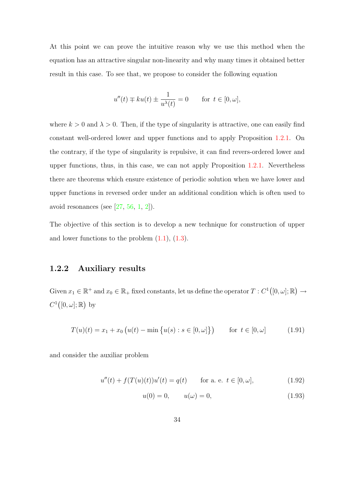At this point we can prove the intuitive reason why we use this method when the equation has an attractive singular non-linearity and why many times it obtained better result in this case. To see that, we propose to consider the following equation

$$
u''(t) \mp ku(t) \pm \frac{1}{u^{\lambda}(t)} = 0 \quad \text{for } t \in [0, \omega],
$$

where  $k > 0$  and  $\lambda > 0$ . Then, if the type of singularity is attractive, one can easily find constant well-ordered lower and upper functions and to apply Proposition [1.2.1.](#page-41-0) On the contrary, if the type of singularity is repulsive, it can find revers-ordered lower and upper functions, thus, in this case, we can not apply Proposition [1.2.1.](#page-41-0) Nevertheless there are theorems which ensure existence of periodic solution when we have lower and upper functions in reversed order under an additional condition which is often used to avoid resonances (see  $[27, 56, 1, 2]$  $[27, 56, 1, 2]$  $[27, 56, 1, 2]$  $[27, 56, 1, 2]$  $[27, 56, 1, 2]$  $[27, 56, 1, 2]$ ).

The objective of this section is to develop a new technique for construction of upper and lower functions to the problem  $(1.1)$ ,  $(1.3)$ .

#### 1.2.2 Auxiliary results

Given  $x_1 \in \mathbb{R}^+$  and  $x_0 \in \mathbb{R}_+$  fixed constants, let us define the operator  $T : C^1([0, \omega]; \mathbb{R}) \to$  $C^1([0,\omega];\mathbb{R})$  by

<span id="page-42-2"></span>
$$
T(u)(t) = x_1 + x_0 \left( u(t) - \min \{ u(s) : s \in [0, \omega] \} \right) \quad \text{for } t \in [0, \omega]
$$
 (1.91)

and consider the auxiliar problem

$$
u''(t) + f(T(u)(t))u'(t) = q(t) \qquad \text{for a. e. } t \in [0, \omega], \tag{1.92}
$$

<span id="page-42-1"></span><span id="page-42-0"></span>
$$
u(0) = 0, \t u(\omega) = 0,
$$
\t(1.93)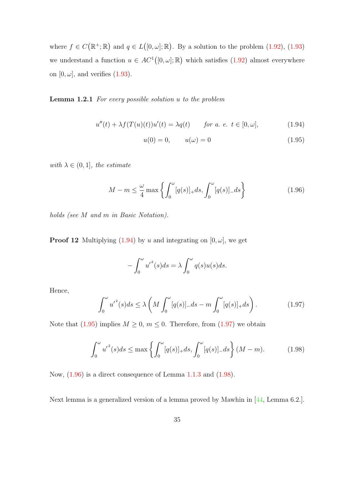where  $f \in C(\mathbb{R}^+;\mathbb{R})$  and  $q \in L([0,\omega];\mathbb{R})$ . By a solution to the problem  $(1.92)$ ,  $(1.93)$ we understand a function  $u \in AC^1([0, \omega]; \mathbb{R})$  which satisfies  $(1.92)$  almost everywhere on  $[0, \omega]$ , and verifies  $(1.93)$ .

#### <span id="page-43-5"></span>Lemma 1.2.1 For every possible solution u to the problem

$$
u''(t) + \lambda f(T(u)(t))u'(t) = \lambda q(t) \qquad \text{for a. e. } t \in [0, \omega], \tag{1.94}
$$

<span id="page-43-1"></span><span id="page-43-0"></span>
$$
u(0) = 0, \t u(\omega) = 0 \t (1.95)
$$

with  $\lambda \in (0,1]$ , the estimate

<span id="page-43-3"></span>
$$
M - m \le \frac{\omega}{4} \max \left\{ \int_0^{\omega} [q(s)]_+ ds, \int_0^{\omega} [q(s)]_- ds \right\} \tag{1.96}
$$

holds (see M and m in Basic Notation).

**Proof 12** Multiplying [\(1.94\)](#page-43-0) by u and integrating on  $[0, \omega]$ , we get

$$
-\int_0^{\omega} {u'}^2(s)ds = \lambda \int_0^{\omega} q(s)u(s)ds.
$$

Hence,

<span id="page-43-2"></span>
$$
\int_0^\omega u'^2(s)ds \le \lambda \left(M \int_0^\omega [q(s)]_- ds - m \int_0^\omega [q(s)]_+ ds\right). \tag{1.97}
$$

Note that [\(1.95\)](#page-43-1) implies  $M \geq 0$ ,  $m \leq 0$ . Therefore, from [\(1.97\)](#page-43-2) we obtain

<span id="page-43-4"></span>
$$
\int_0^{\omega} u'^2(s)ds \le \max\left\{ \int_0^{\omega} [q(s)]_+ ds, \int_0^{\omega} [q(s)]_- ds \right\} (M - m). \tag{1.98}
$$

Now, [\(1.96\)](#page-43-3) is a direct consequence of Lemma [1.1.3](#page-21-0) and [\(1.98\)](#page-43-4).

<span id="page-43-6"></span>Next lemma is a generalized version of a lemma proved by Mawhin in [\[44,](#page-141-6) Lemma 6.2.].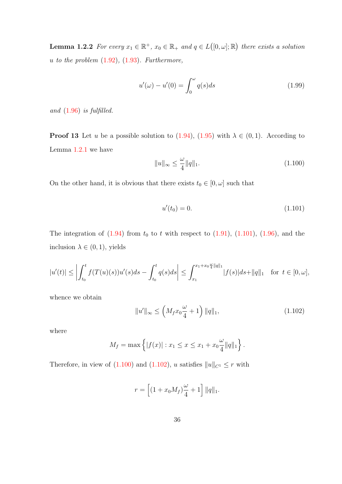**Lemma 1.2.2** For every  $x_1 \in \mathbb{R}^+$ ,  $x_0 \in \mathbb{R}_+$  and  $q \in L([0, \omega]; \mathbb{R})$  there exists a solution u to the problem  $(1.92)$ ,  $(1.93)$ . Furthermore,

<span id="page-44-3"></span>
$$
u'(\omega) - u'(0) = \int_0^{\omega} q(s)ds
$$
\n(1.99)

and  $(1.96)$  is fulfilled.

**Proof 13** Let u be a possible solution to  $(1.94)$ ,  $(1.95)$  with  $\lambda \in (0, 1)$ . According to Lemma [1.2.1](#page-43-5) we have

<span id="page-44-1"></span>
$$
||u||_{\infty} \le \frac{\omega}{4} ||q||_1.
$$
\n(1.100)

On the other hand, it is obvious that there exists  $t_0 \in [0, \omega]$  such that

<span id="page-44-0"></span>
$$
u'(t_0) = 0.\t(1.101)
$$

The integration of  $(1.94)$  from  $t_0$  to t with respect to  $(1.91)$ ,  $(1.101)$ ,  $(1.96)$ , and the inclusion  $\lambda \in (0,1)$ , yields

$$
|u'(t)| \le \left| \int_{t_0}^t f(T(u)(s))u'(s)ds - \int_{t_0}^t q(s)ds \right| \le \int_{x_1}^{x_1 + x_0 \frac{\omega}{4}||q||_1} |f(s)|ds + ||q||_1 \quad \text{for } t \in [0, \omega],
$$

whence we obtain

<span id="page-44-2"></span>
$$
||u'||_{\infty} \le \left(M_f x_0 \frac{\omega}{4} + 1\right) ||q||_1,
$$
\n(1.102)

where

$$
M_f = \max \left\{ |f(x)| : x_1 \le x \le x_1 + x_0 \frac{\omega}{4} ||q||_1 \right\}.
$$

Therefore, in view of [\(1.100\)](#page-44-1) and [\(1.102\)](#page-44-2), u satisfies  $||u||_{C^1} \leq r$  with

$$
r = \left[ (1 + x_0 M_f) \frac{\omega}{4} + 1 \right] ||q||_1.
$$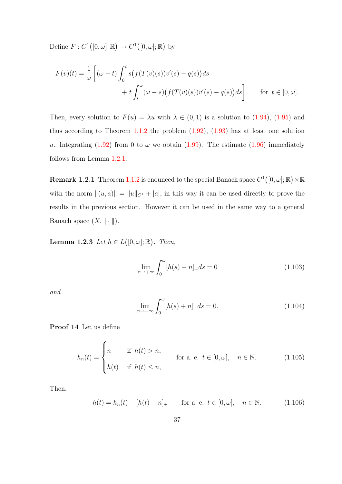Define  $F: C^1([0, \omega]; \mathbb{R}) \to C^1([0, \omega]; \mathbb{R})$  by

$$
F(v)(t) = \frac{1}{\omega} \left[ (\omega - t) \int_0^t s(f(T(v)(s))v'(s) - q(s))ds + t \int_t^{\omega} (\omega - s)(f(T(v)(s))v'(s) - q(s))ds \right]
$$
 for  $t \in [0, \omega]$ .

Then, every solution to  $F(u) = \lambda u$  with  $\lambda \in (0,1)$  is a solution to  $(1.94)$ ,  $(1.95)$  and thus according to Theorem  $1.1.2$  the problem  $(1.92)$ ,  $(1.93)$  has at least one solution u. Integrating [\(1.92\)](#page-42-0) from 0 to  $\omega$  we obtain [\(1.99\)](#page-44-3). The estimate [\(1.96\)](#page-43-3) immediately follows from Lemma [1.2.1.](#page-43-5)

**Remark 1.2.1** Theorem [1.1.2](#page-17-0) is enounced to the special Banach space  $C^1([0,\omega];\mathbb{R})\times\mathbb{R}$ with the norm  $\|(u, a)\| = \|u\|_{C^1} + |a|$ , in this way it can be used directly to prove the results in the previous section. However it can be used in the same way to a general Banach space  $(X, \|\cdot\|)$ .

<span id="page-45-4"></span>**Lemma 1.2.3** Let  $h \in L([0, \omega]; \mathbb{R})$ . Then,

<span id="page-45-2"></span>
$$
\lim_{n \to +\infty} \int_0^{\omega} [h(s) - n]_+ ds = 0 \tag{1.103}
$$

and

<span id="page-45-3"></span>
$$
\lim_{n \to +\infty} \int_0^{\omega} [h(s) + n] \, ds = 0. \tag{1.104}
$$

Proof 14 Let us define

<span id="page-45-1"></span>
$$
h_n(t) = \begin{cases} n & \text{if } h(t) > n, \\ h(t) & \text{if } h(t) \le n, \end{cases}
$$
 for a. e.  $t \in [0, \omega], \quad n \in \mathbb{N}.$  (1.105)

Then,

<span id="page-45-0"></span>
$$
h(t) = h_n(t) + [h(t) - n]_+ \quad \text{for a. e. } t \in [0, \omega], \quad n \in \mathbb{N}.
$$
 (1.106)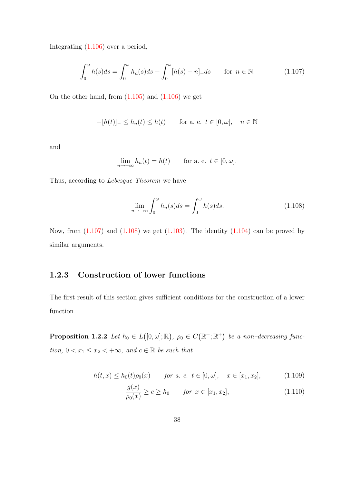Integrating [\(1.106\)](#page-45-0) over a period,

<span id="page-46-0"></span>
$$
\int_0^\omega h(s)ds = \int_0^\omega h_n(s)ds + \int_0^\omega [h(s) - n]_+ds \quad \text{for } n \in \mathbb{N}.
$$
 (1.107)

On the other hand, from  $(1.105)$  and  $(1.106)$  we get

$$
-[h(t)]_{-} \leq h_n(t) \leq h(t) \quad \text{for a. e. } t \in [0, \omega], \quad n \in \mathbb{N}
$$

and

$$
\lim_{n \to +\infty} h_n(t) = h(t) \quad \text{for a. e. } t \in [0, \omega].
$$

Thus, according to Lebesgue Theorem we have

<span id="page-46-1"></span>
$$
\lim_{n \to +\infty} \int_0^{\omega} h_n(s)ds = \int_0^{\omega} h(s)ds.
$$
\n(1.108)

Now, from  $(1.107)$  and  $(1.108)$  we get  $(1.103)$ . The identity  $(1.104)$  can be proved by similar arguments.

## 1.2.3 Construction of lower functions

<span id="page-46-4"></span>The first result of this section gives sufficient conditions for the construction of a lower function.

**Proposition 1.2.2** Let  $h_0 \in L([0, \omega]; \mathbb{R})$ ,  $\rho_0 \in C(\mathbb{R}^+; \mathbb{R}^+)$  be a non-decreasing function,  $0 < x_1 \leq x_2 < +\infty$ , and  $c \in \mathbb{R}$  be such that

$$
h(t, x) \le h_0(t)\rho_0(x) \qquad \text{for a. } e. \ t \in [0, \omega], \quad x \in [x_1, x_2], \tag{1.109}
$$

<span id="page-46-3"></span><span id="page-46-2"></span>
$$
\frac{g(x)}{\rho_0(x)} \ge c \ge \overline{h}_0 \qquad \text{for } x \in [x_1, x_2],\tag{1.110}
$$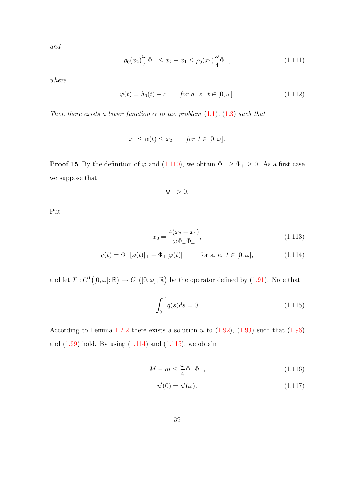and

<span id="page-47-4"></span>
$$
\rho_0(x_2)\frac{\omega}{4}\Phi_+ \le x_2 - x_1 \le \rho_0(x_1)\frac{\omega}{4}\Phi_-, \tag{1.111}
$$

where

<span id="page-47-5"></span>
$$
\varphi(t) = h_0(t) - c \qquad \text{for a. } e \text{. } t \in [0, \omega]. \tag{1.112}
$$

Then there exists a lower function  $\alpha$  to the problem [\(1.1\)](#page-14-0), [\(1.3\)](#page-14-1) such that

$$
x_1 \le \alpha(t) \le x_2 \qquad \text{for } t \in [0, \omega].
$$

**Proof 15** By the definition of  $\varphi$  and [\(1.110\)](#page-46-2), we obtain  $\Phi_{-} \ge \Phi_{+} \ge 0$ . As a first case we suppose that

<span id="page-47-2"></span><span id="page-47-0"></span>
$$
\Phi_{+}>0.
$$

Put

$$
x_0 = \frac{4(x_2 - x_1)}{\omega \Phi_- \Phi_+},\tag{1.113}
$$

$$
q(t) = \Phi_-[\varphi(t)]_+ - \Phi_+[\varphi(t)]_- \quad \text{for a. e. } t \in [0, \omega], \tag{1.114}
$$

and let  $T: C^1([0,\omega];\mathbb{R}) \to C^1([0,\omega];\mathbb{R})$  be the operator defined by [\(1.91\)](#page-42-2). Note that

<span id="page-47-1"></span>
$$
\int_0^\omega q(s)ds = 0.
$$
\n(1.115)

According to Lemma [1.2.2](#page-43-6) there exists a solution  $u$  to  $(1.92)$ ,  $(1.93)$  such that  $(1.96)$ and  $(1.99)$  hold. By using  $(1.114)$  and  $(1.115)$ , we obtain

$$
M - m \le \frac{\omega}{4} \Phi_+ \Phi_-, \tag{1.116}
$$

<span id="page-47-3"></span>
$$
u'(0) = u'(\omega).
$$
 (1.117)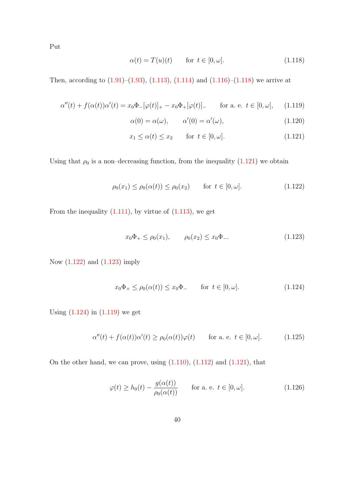Put

<span id="page-48-0"></span>
$$
\alpha(t) = T(u)(t) \qquad \text{for } t \in [0, \omega]. \tag{1.118}
$$

Then, according to  $(1.91)$ – $(1.93)$ ,  $(1.113)$ ,  $(1.114)$  and  $(1.116)$ – $(1.118)$  we arrive at

$$
\alpha''(t) + f(\alpha(t))\alpha'(t) = x_0 \Phi_-[\varphi(t)]_+ - x_0 \Phi_+[\varphi(t)]_-\qquad \text{for a. e. } t \in [0, \omega],\qquad(1.119)
$$

<span id="page-48-8"></span><span id="page-48-5"></span><span id="page-48-1"></span>
$$
\alpha(0) = \alpha(\omega), \qquad \alpha'(0) = \alpha'(\omega), \tag{1.120}
$$

$$
x_1 \le \alpha(t) \le x_2 \qquad \text{for } t \in [0, \omega]. \tag{1.121}
$$

Using that  $\rho_0$  is a non-decreasing function, from the inequality [\(1.121\)](#page-48-1) we obtain

<span id="page-48-2"></span>
$$
\rho_0(x_1) \le \rho_0(\alpha(t)) \le \rho_0(x_2) \quad \text{for } t \in [0, \omega]. \tag{1.122}
$$

From the inequality  $(1.111)$ , by virtue of  $(1.113)$ , we get

<span id="page-48-3"></span>
$$
x_0\Phi_+ \le \rho_0(x_1), \qquad \rho_0(x_2) \le x_0\Phi_-. \tag{1.123}
$$

Now [\(1.122\)](#page-48-2) and [\(1.123\)](#page-48-3) imply

<span id="page-48-4"></span>
$$
x_0\Phi_+ \le \rho_0(\alpha(t)) \le x_0\Phi_- \qquad \text{for } t \in [0,\omega]. \tag{1.124}
$$

Using  $(1.124)$  in  $(1.119)$  we get

<span id="page-48-6"></span>
$$
\alpha''(t) + f(\alpha(t))\alpha'(t) \ge \rho_0(\alpha(t))\varphi(t) \quad \text{for a. e. } t \in [0, \omega]. \tag{1.125}
$$

On the other hand, we can prove, using  $(1.110)$ ,  $(1.112)$  and  $(1.121)$ , that

<span id="page-48-7"></span>
$$
\varphi(t) \ge h_0(t) - \frac{g(\alpha(t))}{\rho_0(\alpha(t))} \qquad \text{for a. e. } t \in [0, \omega]. \tag{1.126}
$$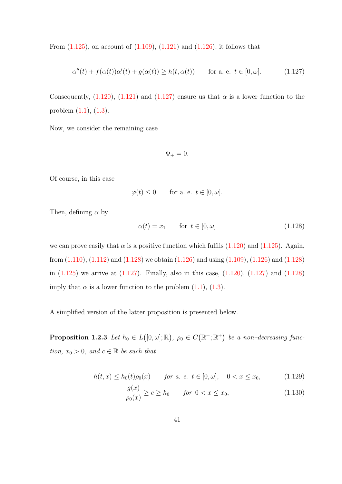From  $(1.125)$ , on account of  $(1.109)$ ,  $(1.121)$  and  $(1.126)$ , it follows that

<span id="page-49-0"></span>
$$
\alpha''(t) + f(\alpha(t))\alpha'(t) + g(\alpha(t)) \ge h(t, \alpha(t)) \quad \text{for a. e. } t \in [0, \omega]. \tag{1.127}
$$

Consequently,  $(1.120)$ ,  $(1.121)$  and  $(1.127)$  ensure us that  $\alpha$  is a lower function to the problem [\(1.1\)](#page-14-0), [\(1.3\)](#page-14-1).

Now, we consider the remaining case

$$
\Phi_+ = 0.
$$

Of course, in this case

$$
\varphi(t) \leq 0
$$
 for a. e.  $t \in [0, \omega]$ .

Then, defining  $\alpha$  by

<span id="page-49-1"></span>
$$
\alpha(t) = x_1 \qquad \text{for } t \in [0, \omega] \tag{1.128}
$$

we can prove easily that  $\alpha$  is a positive function which fulfils [\(1.120\)](#page-48-8) and [\(1.125\)](#page-48-6). Again, from  $(1.110)$ ,  $(1.112)$  and  $(1.128)$  we obtain  $(1.126)$  and using  $(1.109)$ ,  $(1.126)$  and  $(1.128)$ in [\(1.125\)](#page-48-6) we arrive at [\(1.127\)](#page-49-0). Finally, also in this case, [\(1.120\)](#page-48-8), [\(1.127\)](#page-49-0) and [\(1.128\)](#page-49-1) imply that  $\alpha$  is a lower function to the problem  $(1.1)$ ,  $(1.3)$ .

<span id="page-49-4"></span>A simplified version of the latter proposition is presented below.

**Proposition 1.2.3** Let  $h_0 \in L([0, \omega]; \mathbb{R})$ ,  $\rho_0 \in C(\mathbb{R}^+; \mathbb{R}^+)$  be a non-decreasing function,  $x_0 > 0$ , and  $c \in \mathbb{R}$  be such that

$$
h(t,x) \le h_0(t)\rho_0(x) \qquad \text{for a. e. } t \in [0,\omega], \quad 0 < x \le x_0,\tag{1.129}
$$

<span id="page-49-3"></span><span id="page-49-2"></span>
$$
\frac{g(x)}{\rho_0(x)} \ge c \ge \overline{h}_0 \qquad \text{for } 0 < x \le x_0,\tag{1.130}
$$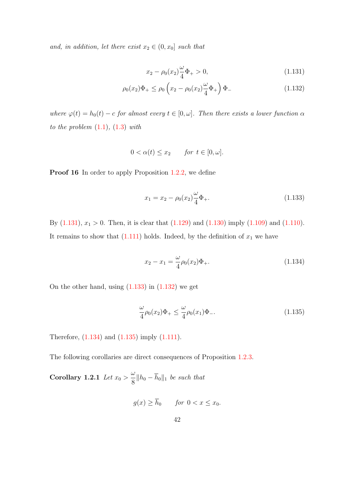and, in addition, let there exist  $x_2 \in (0, x_0]$  such that

<span id="page-50-2"></span><span id="page-50-0"></span>
$$
x_2 - \rho_0(x_2)\frac{\omega}{4}\Phi_+ > 0,\tag{1.131}
$$

$$
\rho_0(x_2)\Phi_+ \le \rho_0 \left(x_2 - \rho_0(x_2)\frac{\omega}{4}\Phi_+\right)\Phi_-\tag{1.132}
$$

where  $\varphi(t) = h_0(t) - c$  for almost every  $t \in [0, \omega]$ . Then there exists a lower function  $\alpha$ to the problem  $(1.1)$ ,  $(1.3)$  with

$$
0 < \alpha(t) \le x_2 \qquad \text{for } t \in [0, \omega].
$$

Proof 16 In order to apply Proposition [1.2.2,](#page-46-4) we define

<span id="page-50-1"></span>
$$
x_1 = x_2 - \rho_0(x_2) \frac{\omega}{4} \Phi_+.
$$
\n(1.133)

By  $(1.131)$ ,  $x_1 > 0$ . Then, it is clear that  $(1.129)$  and  $(1.130)$  imply  $(1.109)$  and  $(1.110)$ . It remains to show that  $(1.111)$  holds. Indeed, by the definition of  $x_1$  we have

<span id="page-50-3"></span>
$$
x_2 - x_1 = \frac{\omega}{4} \rho_0(x_2) \Phi_+.
$$
\n(1.134)

On the other hand, using  $(1.133)$  in  $(1.132)$  we get

<span id="page-50-4"></span>
$$
\frac{\omega}{4}\rho_0(x_2)\Phi_+ \le \frac{\omega}{4}\rho_0(x_1)\Phi_-. \tag{1.135}
$$

Therefore, [\(1.134\)](#page-50-3) and [\(1.135\)](#page-50-4) imply [\(1.111\)](#page-47-4).

<span id="page-50-5"></span>The following corollaries are direct consequences of Proposition [1.2.3.](#page-49-4)

Corollary 1.2.1 Let  $x_0 >$ ω  $\frac{\infty}{8}$  || $h_0 - h_0$ ||<sub>1</sub> be such that

$$
g(x) \ge \bar{h}_0 \qquad \text{for } 0 < x \le x_0.
$$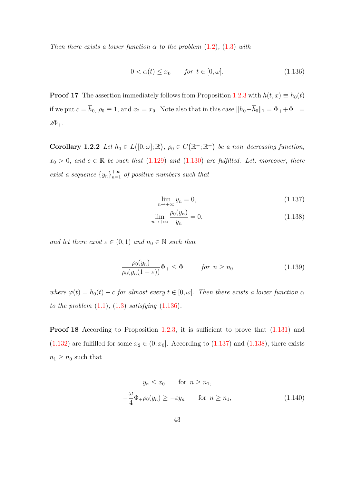Then there exists a lower function  $\alpha$  to the problem [\(1.2\)](#page-14-2), [\(1.3\)](#page-14-1) with

<span id="page-51-0"></span>
$$
0 < \alpha(t) \le x_0 \qquad \text{for } t \in [0, \omega]. \tag{1.136}
$$

**Proof 17** The assertion immediately follows from Proposition [1.2.3](#page-49-4) with  $h(t, x) \equiv h_0(t)$ if we put  $c = \overline{h}_0$ ,  $\rho_0 \equiv 1$ , and  $x_2 = x_0$ . Note also that in this case  $||h_0 - \overline{h}_0||_1 = \Phi_+ + \Phi_ 2\Phi_{+}$ .

<span id="page-51-5"></span>Corollary 1.2.2 Let  $h_0 \in L([0, \omega]; \mathbb{R})$ ,  $\rho_0 \in C(\mathbb{R}^+; \mathbb{R}^+)$  be a non-decreasing function,  $x_0 > 0$ , and  $c \in \mathbb{R}$  be such that [\(1.129\)](#page-49-2) and [\(1.130\)](#page-49-3) are fulfilled. Let, moreover, there exist a sequence  $\{y_n\}_{n=1}^{+\infty}$  of positive numbers such that

<span id="page-51-2"></span><span id="page-51-1"></span>
$$
\lim_{n \to +\infty} y_n = 0,\tag{1.137}
$$

$$
\lim_{n \to +\infty} \frac{\rho_0(y_n)}{y_n} = 0,\tag{1.138}
$$

and let there exist  $\varepsilon \in (0,1)$  and  $n_0 \in \mathbb{N}$  such that

<span id="page-51-4"></span>
$$
\frac{\rho_0(y_n)}{\rho_0(y_n(1-\varepsilon))}\Phi_+ \le \Phi_-\qquad \text{for } n \ge n_0\tag{1.139}
$$

where  $\varphi(t) = h_0(t) - c$  for almost every  $t \in [0, \omega]$ . Then there exists a lower function  $\alpha$ to the problem  $(1.1)$ ,  $(1.3)$  satisfying  $(1.136)$ .

Proof 18 According to Proposition [1.2.3,](#page-49-4) it is sufficient to prove that  $(1.131)$  and [\(1.132\)](#page-50-2) are fulfilled for some  $x_2 \in (0, x_0]$ . According to [\(1.137\)](#page-51-1) and [\(1.138\)](#page-51-2), there exists  $n_1 \geq n_0$  such that

<span id="page-51-3"></span>
$$
y_n \le x_0 \quad \text{for } n \ge n_1,
$$
  

$$
-\frac{\omega}{4}\Phi_+\rho_0(y_n) \ge -\varepsilon y_n \quad \text{for } n \ge n_1,
$$
 (1.140)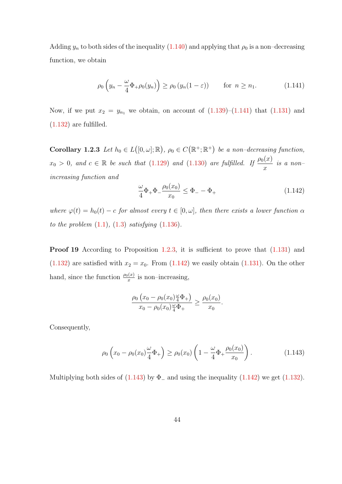Adding  $y_n$  to both sides of the inequality [\(1.140\)](#page-51-3) and applying that  $\rho_0$  is a non-decreasing function, we obtain

<span id="page-52-0"></span>
$$
\rho_0\left(y_n - \frac{\omega}{4}\Phi_+\rho_0(y_n)\right) \ge \rho_0\left(y_n(1-\varepsilon)\right) \qquad \text{for } n \ge n_1. \tag{1.141}
$$

Now, if we put  $x_2 = y_{n_1}$  we obtain, on account of  $(1.139)$ – $(1.141)$  that  $(1.131)$  and  $(1.132)$  are fulfilled.

<span id="page-52-3"></span>Corollary 1.2.3 Let  $h_0 \in L([0, \omega]; \mathbb{R})$ ,  $\rho_0 \in C(\mathbb{R}^+; \mathbb{R}^+)$  be a non-decreasing function,  $x_0 > 0$ , and  $c \in \mathbb{R}$  be such that [\(1.129\)](#page-49-2) and [\(1.130\)](#page-49-3) are fulfilled. If  $\frac{\rho_0(x)}{x}$ is a non– increasing function and

<span id="page-52-1"></span>
$$
\frac{\omega}{4}\Phi_+\Phi_-\frac{\rho_0(x_0)}{x_0} \le \Phi_- - \Phi_+\tag{1.142}
$$

where  $\varphi(t) = h_0(t) - c$  for almost every  $t \in [0, \omega]$ , then there exists a lower function  $\alpha$ to the problem  $(1.1)$ ,  $(1.3)$  satisfying  $(1.136)$ .

Proof 19 According to Proposition [1.2.3,](#page-49-4) it is sufficient to prove that  $(1.131)$  and  $(1.132)$  are satisfied with  $x_2 = x_0$ . From  $(1.142)$  we easily obtain  $(1.131)$ . On the other hand, since the function  $\frac{\rho_0(x)}{x}$  is non-increasing,

$$
\frac{\rho_0 (x_0 - \rho_0(x_0)\frac{\omega}{4}\Phi_+)}{x_0 - \rho_0(x_0)\frac{\omega}{4}\Phi_+} \geq \frac{\rho_0(x_0)}{x_0}.
$$

Consequently,

<span id="page-52-2"></span>
$$
\rho_0 \left( x_0 - \rho_0(x_0) \frac{\omega}{4} \Phi_+ \right) \ge \rho_0(x_0) \left( 1 - \frac{\omega}{4} \Phi_+ \frac{\rho_0(x_0)}{x_0} \right). \tag{1.143}
$$

Multiplying both sides of  $(1.143)$  by  $\Phi$ <sub>-</sub> and using the inequality  $(1.142)$  we get  $(1.132)$ .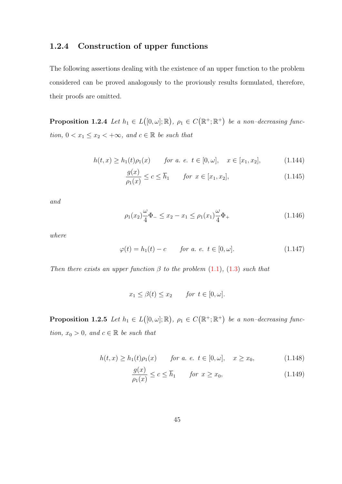### 1.2.4 Construction of upper functions

The following assertions dealing with the existence of an upper function to the problem considered can be proved analogously to the proviously results formulated, therefore, their proofs are omitted.

**Proposition 1.2.4** Let  $h_1 \in L([0, \omega]; \mathbb{R})$ ,  $\rho_1 \in C(\mathbb{R}^+; \mathbb{R}^+)$  be a non-decreasing function,  $0 < x_1 \leq x_2 < +\infty$ , and  $c \in \mathbb{R}$  be such that

$$
h(t,x) \ge h_1(t)\rho_1(x) \qquad \text{for a. e. } t \in [0,\omega], \quad x \in [x_1, x_2], \tag{1.144}
$$

$$
\frac{g(x)}{\rho_1(x)} \le c \le \overline{h}_1 \qquad \text{for } x \in [x_1, x_2],\tag{1.145}
$$

and

$$
\rho_1(x_2)\frac{\omega}{4}\Phi_-\leq x_2-x_1\leq \rho_1(x_1)\frac{\omega}{4}\Phi_+\tag{1.146}
$$

where

$$
\varphi(t) = h_1(t) - c \qquad \text{for a. e. } t \in [0, \omega]. \tag{1.147}
$$

Then there exists an upper function  $\beta$  to the problem [\(1.1\)](#page-14-0), [\(1.3\)](#page-14-1) such that

$$
x_1 \le \beta(t) \le x_2 \qquad \text{for } t \in [0, \omega].
$$

<span id="page-53-2"></span>**Proposition 1.2.5** Let  $h_1 \in L([0, \omega]; \mathbb{R})$ ,  $\rho_1 \in C(\mathbb{R}^+; \mathbb{R}^+)$  be a non-decreasing function,  $x_0 > 0$ , and  $c \in \mathbb{R}$  be such that

$$
h(t,x) \ge h_1(t)\rho_1(x) \qquad \text{for a. e. } t \in [0,\omega], \quad x \ge x_0,
$$
 (1.148)

<span id="page-53-1"></span><span id="page-53-0"></span>
$$
\frac{g(x)}{\rho_1(x)} \le c \le \overline{h}_1 \qquad \text{for } x \ge x_0,\tag{1.149}
$$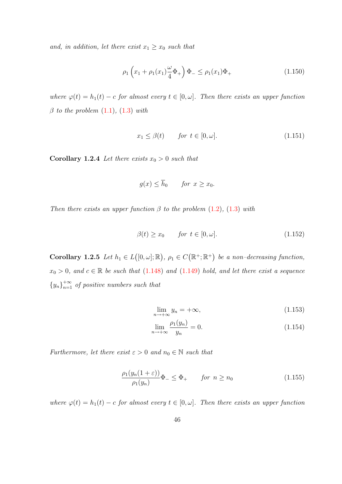and, in addition, let there exist  $x_1 \geq x_0$  such that

$$
\rho_1 \left( x_1 + \rho_1(x_1) \frac{\omega}{4} \Phi_+ \right) \Phi_- \le \rho_1(x_1) \Phi_+ \tag{1.150}
$$

where  $\varphi(t) = h_1(t) - c$  for almost every  $t \in [0, \omega]$ . Then there exists an upper function  $\beta$  to the problem  $(1.1)$ ,  $(1.3)$  with

$$
x_1 \le \beta(t) \qquad \text{for } t \in [0, \omega]. \tag{1.151}
$$

<span id="page-54-2"></span>**Corollary 1.2.4** Let there exists  $x_0 > 0$  such that

$$
g(x) \le \overline{h}_0 \qquad \text{for } x \ge x_0.
$$

Then there exists an upper function  $\beta$  to the problem [\(1.2\)](#page-14-2), [\(1.3\)](#page-14-1) with

<span id="page-54-0"></span>
$$
\beta(t) \ge x_0 \qquad \text{for } t \in [0, \omega]. \tag{1.152}
$$

<span id="page-54-1"></span>Corollary 1.2.5 Let  $h_1 \in L([0, \omega]; \mathbb{R})$ ,  $\rho_1 \in C(\mathbb{R}^+; \mathbb{R}^+)$  be a non-decreasing function,  $x_0 > 0$ , and  $c \in \mathbb{R}$  be such that  $(1.148)$  and  $(1.149)$  hold, and let there exist a sequence  ${y_n}_{n=1}^{+\infty}$  of positive numbers such that

$$
\lim_{n \to +\infty} y_n = +\infty,\tag{1.153}
$$

$$
\lim_{n \to +\infty} \frac{\rho_1(y_n)}{y_n} = 0.
$$
\n(1.154)

Furthermore, let there exist  $\varepsilon > 0$  and  $n_0 \in \mathbb{N}$  such that

$$
\frac{\rho_1(y_n(1+\varepsilon))}{\rho_1(y_n)}\Phi_{-} \le \Phi_{+} \qquad \text{for } n \ge n_0 \tag{1.155}
$$

where  $\varphi(t) = h_1(t) - c$  for almost every  $t \in [0, \omega]$ . Then there exists an upper function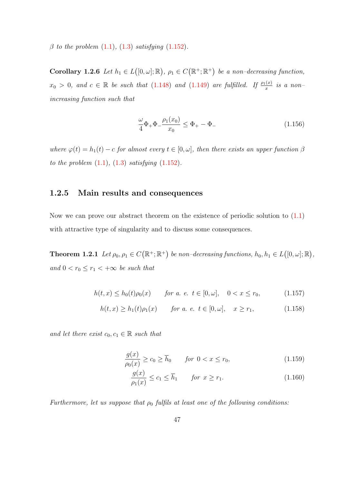$\beta$  to the problem  $(1.1)$ ,  $(1.3)$  satisfying  $(1.152)$ .

<span id="page-55-0"></span>Corollary 1.2.6 Let  $h_1 \in L([0, \omega]; \mathbb{R})$ ,  $\rho_1 \in C(\mathbb{R}^+; \mathbb{R}^+)$  be a non-decreasing function,  $x_0 > 0$ , and  $c \in \mathbb{R}$  be such that  $(1.148)$  and  $(1.149)$  are fulfilled. If  $\frac{\rho_1(x)}{x}$  is a nonincreasing function such that

$$
\frac{\omega}{4}\Phi_+\Phi_-\frac{\rho_1(x_0)}{x_0} \le \Phi_+ - \Phi_-\tag{1.156}
$$

where  $\varphi(t) = h_1(t) - c$  for almost every  $t \in [0, \omega]$ , then there exists an upper function  $\beta$ to the problem  $(1.1)$ ,  $(1.3)$  satisfying  $(1.152)$ .

#### 1.2.5 Main results and consequences

Now we can prove our abstract theorem on the existence of periodic solution to [\(1.1\)](#page-14-0) with attractive type of singularity and to discuss some consequences.

<span id="page-55-3"></span>**Theorem 1.2.1** Let  $\rho_0, \rho_1 \in C(\mathbb{R}^+;\mathbb{R}^+)$  be non-decreasing functions,  $h_0, h_1 \in L([0,\omega];\mathbb{R})$ , and  $0 < r_0 \leq r_1 < +\infty$  be such that

$$
h(t, x) \le h_0(t)\rho_0(x) \qquad \text{for a. } e. \ t \in [0, \omega], \quad 0 < x \le r_0,\tag{1.157}
$$

$$
h(t, x) \ge h_1(t)\rho_1(x) \qquad \text{for a. } e. \ t \in [0, \omega], \quad x \ge r_1,\tag{1.158}
$$

and let there exist  $c_0, c_1 \in \mathbb{R}$  such that

$$
\frac{g(x)}{\rho_0(x)} \ge c_0 \ge \overline{h}_0 \qquad \text{for } 0 < x \le r_0,\tag{1.159}
$$

<span id="page-55-2"></span><span id="page-55-1"></span>
$$
\frac{g(x)}{\rho_1(x)} \le c_1 \le \overline{h}_1 \qquad \text{for } x \ge r_1. \tag{1.160}
$$

Furthermore, let us suppose that  $\rho_0$  fulfils at least one of the following conditions: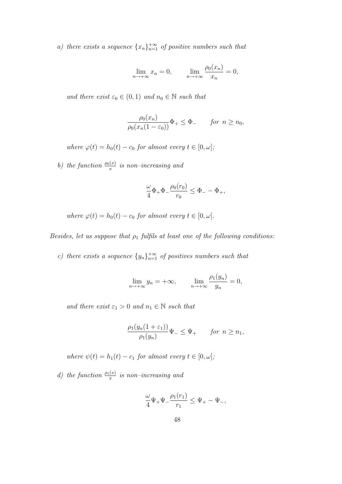a) there exists a sequence  $\{x_n\}_{n=1}^{+\infty}$  of positive numbers such that

$$
\lim_{n \to +\infty} x_n = 0, \qquad \lim_{n \to +\infty} \frac{\rho_0(x_n)}{x_n} = 0,
$$

and there exist  $\varepsilon_0 \in (0,1)$  and  $n_0 \in \mathbb{N}$  such that

$$
\frac{\rho_0(x_n)}{\rho_0(x_n(1-\varepsilon_0))}\Phi_+\leq \Phi_-\qquad\text{for }n\geq n_0,
$$

where  $\varphi(t) = h_0(t) - c_0$  for almost every  $t \in [0, \omega]$ ;

b) the function  $\frac{\rho_0(x)}{x}$  is non-increasing and

$$
\frac{\omega}{4}\Phi_+\Phi_-\frac{\rho_0(r_0)}{r_0}\leq \Phi_--\Phi_+,
$$

where  $\varphi(t) = h_0(t) - c_0$  for almost every  $t \in [0, \omega]$ .

Besides, let us suppose that  $\rho_1$  fulfils at least one of the following conditions:

c) there exists a sequence  $\{y_n\}_{n=1}^{+\infty}$  of positives numbers such that

$$
\lim_{n \to +\infty} y_n = +\infty, \qquad \lim_{n \to +\infty} \frac{\rho_1(y_n)}{y_n} = 0,
$$

and there exist  $\varepsilon_1 > 0$  and  $n_1 \in \mathbb{N}$  such that

$$
\frac{\rho_1(y_n(1+\varepsilon_1))}{\rho_1(y_n)}\Psi_-\leq \Psi_+\qquad \text{for } n\geq n_1,
$$

where  $\psi(t) = h_1(t) - c_1$  for almost every  $t \in [0, \omega]$ ;

d) the function  $\frac{\rho_1(x)}{x}$  is non-increasing and

$$
\frac{\omega}{4}\Psi_+\Psi_-\frac{\rho_1(r_1)}{r_1}\leq \Psi_+-\Psi_-,
$$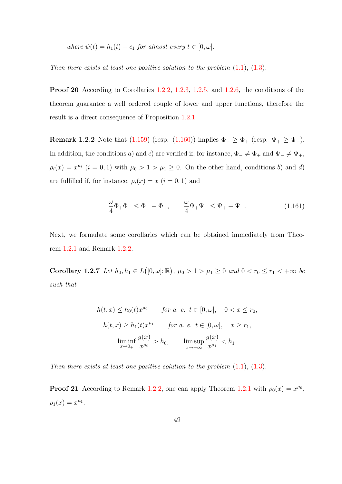where  $\psi(t) = h_1(t) - c_1$  for almost every  $t \in [0, \omega]$ .

Then there exists at least one positive solution to the problem  $(1.1)$ ,  $(1.3)$ .

Proof 20 According to Corollaries [1.2.2,](#page-51-5) [1.2.3,](#page-52-3) [1.2.5,](#page-54-1) and [1.2.6,](#page-55-0) the conditions of the theorem guarantee a well–ordered couple of lower and upper functions, therefore the result is a direct consequence of Proposition [1.2.1.](#page-41-0)

<span id="page-57-0"></span>**Remark 1.2.2** Note that [\(1.159\)](#page-55-1) (resp. [\(1.160\)](#page-55-2)) implies  $\Phi_{-} \geq \Phi_{+}$  (resp.  $\Psi_{+} \geq \Psi_{-}$ ). In addition, the conditions a) and c) are verified if, for instance,  $\Phi_{-} \neq \Phi_{+}$  and  $\Psi_{-} \neq \Psi_{+}$ ,  $\rho_i(x) = x^{\mu_i}$   $(i = 0, 1)$  with  $\mu_0 > 1 > \mu_1 \geq 0$ . On the other hand, conditions b) and d) are fulfilled if, for instance,  $\rho_i(x) = x$   $(i = 0, 1)$  and

<span id="page-57-1"></span>
$$
\frac{\omega}{4}\Phi_{+}\Phi_{-} \le \Phi_{-} - \Phi_{+}, \qquad \frac{\omega}{4}\Psi_{+}\Psi_{-} \le \Psi_{+} - \Psi_{-}.
$$
 (1.161)

Next, we formulate some corollaries which can be obtained immediately from Theorem [1.2.1](#page-55-3) and Remark [1.2.2.](#page-57-0)

Corollary 1.2.7 Let  $h_0, h_1 \in L([0, \omega]; \mathbb{R})$ ,  $\mu_0 > 1 > \mu_1 \geq 0$  and  $0 < r_0 \leq r_1 < +\infty$  be such that

$$
h(t, x) \le h_0(t)x^{\mu_0} \qquad \text{for a. e. } t \in [0, \omega], \quad 0 < x \le r_0,
$$
\n
$$
h(t, x) \ge h_1(t)x^{\mu_1} \qquad \text{for a. e. } t \in [0, \omega], \quad x \ge r_1,
$$
\n
$$
\liminf_{x \to 0+} \frac{g(x)}{x^{\mu_0}} > \overline{h}_0, \qquad \limsup_{x \to +\infty} \frac{g(x)}{x^{\mu_1}} < \overline{h}_1.
$$

Then there exists at least one positive solution to the problem  $(1.1)$ ,  $(1.3)$ .

**Proof 21** According to Remark [1.2.2,](#page-57-0) one can apply Theorem [1.2.1](#page-55-3) with  $\rho_0(x) = x^{\mu_0}$ ,  $\rho_1(x) = x^{\mu_1}.$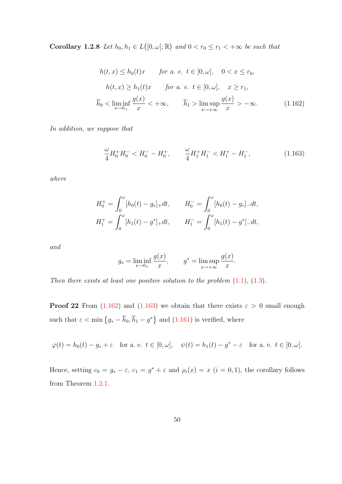**Corollary 1.2.8** Let  $h_0, h_1 \in L([0, \omega]; \mathbb{R})$  and  $0 < r_0 \leq r_1 < +\infty$  be such that

$$
h(t,x) \le h_0(t)x \quad \text{for a. } e. \ t \in [0,\omega], \quad 0 < x \le r_0,
$$
\n
$$
h(t,x) \ge h_1(t)x \quad \text{for a. } e. \ t \in [0,\omega], \quad x \ge r_1,
$$
\n
$$
\overline{h}_0 < \liminf_{x \to 0+} \frac{g(x)}{x} < +\infty, \quad \overline{h}_1 > \limsup_{x \to +\infty} \frac{g(x)}{x} > -\infty. \tag{1.162}
$$

In addition, we suppose that

<span id="page-58-1"></span><span id="page-58-0"></span>
$$
\frac{\omega}{4}H_0^+H_0^- < H_0^- - H_0^+, \qquad \frac{\omega}{4}H_1^+H_1^- < H_1^+ - H_1^-, \tag{1.163}
$$

where

$$
H_0^+ = \int_0^\omega [h_0(t) - g_*]_+ dt, \qquad H_0^- = \int_0^\omega [h_0(t) - g_*]_- dt,
$$
  

$$
H_1^+ = \int_0^\omega [h_1(t) - g^*]_+ dt, \qquad H_1^- = \int_0^\omega [h_1(t) - g^*]_- dt,
$$

and

$$
g_* = \liminf_{x \to 0+} \frac{g(x)}{x}, \qquad g^* = \limsup_{x \to +\infty} \frac{g(x)}{x}.
$$

Then there exists at least one positive solution to the problem  $(1.1)$ ,  $(1.3)$ .

**Proof 22** From [\(1.162\)](#page-58-0) and [\(1.163\)](#page-58-1) we obtain that there exists  $\varepsilon > 0$  small enough such that  $\varepsilon < \min \left\{ g_* - \overline{h}_0, \overline{h}_1 - g^* \right\}$  and  $(1.161)$  is verified, where

 $\varphi(t) = h_0(t) - g_* + \varepsilon$  for a. e.  $t \in [0, \omega], \quad \psi(t) = h_1(t) - g^* - \varepsilon$  for a. e.  $t \in [0, \omega].$ 

Hence, setting  $c_0 = g_* - \varepsilon$ ,  $c_1 = g^* + \varepsilon$  and  $\rho_i(x) = x$   $(i = 0, 1)$ , the corollary follows from Theorem [1.2.1.](#page-55-3)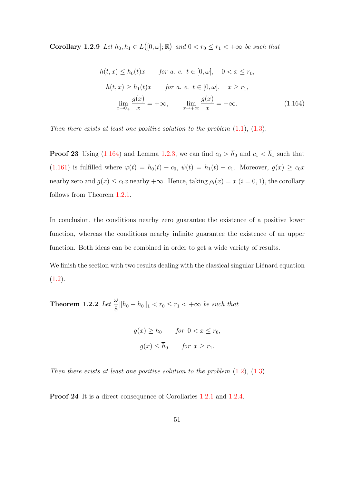**Corollary 1.2.9** Let  $h_0, h_1 \in L([0, \omega]; \mathbb{R})$  and  $0 < r_0 \leq r_1 < +\infty$  be such that

<span id="page-59-0"></span>
$$
h(t,x) \le h_0(t)x \quad \text{for a. } e. \ t \in [0,\omega], \quad 0 < x \le r_0,
$$
\n
$$
h(t,x) \ge h_1(t)x \quad \text{for a. } e. \ t \in [0,\omega], \quad x \ge r_1,
$$
\n
$$
\lim_{x \to 0+} \frac{g(x)}{x} = +\infty, \quad \lim_{x \to +\infty} \frac{g(x)}{x} = -\infty. \tag{1.164}
$$

Then there exists at least one positive solution to the problem  $(1.1)$ ,  $(1.3)$ .

**Proof 23** Using [\(1.164\)](#page-59-0) and Lemma [1.2.3,](#page-45-4) we can find  $c_0 > \overline{h}_0$  and  $c_1 < \overline{h}_1$  such that [\(1.161\)](#page-57-1) is fulfilled where  $\varphi(t) = h_0(t) - c_0$ ,  $\psi(t) = h_1(t) - c_1$ . Moreover,  $g(x) \ge c_0 x$ nearby zero and  $g(x) \leq c_1 x$  nearby  $+\infty$ . Hence, taking  $\rho_i(x) = x$   $(i = 0, 1)$ , the corollary follows from Theorem [1.2.1.](#page-55-3)

In conclusion, the conditions nearby zero guarantee the existence of a positive lower function, whereas the conditions nearby infinite guarantee the existence of an upper function. Both ideas can be combined in order to get a wide variety of results.

We finish the section with two results dealing with the classical singular Liénard equation  $(1.2).$  $(1.2).$ 

<span id="page-59-2"></span>Theorem 1.2.2 Let  $\frac{\omega}{\Omega}$  $\frac{\infty}{8}$  || $h_0 - h_0$ || $_1 < r_0 \le r_1 < +\infty$  be such that

$$
g(x) \ge \overline{h}_0 \qquad \text{for } 0 < x \le r_0,
$$
\n
$$
g(x) \le \overline{h}_0 \qquad \text{for } x \ge r_1.
$$

Then there exists at least one positive solution to the problem  $(1.2)$ ,  $(1.3)$ .

<span id="page-59-1"></span>Proof 24 It is a direct consequence of Corollaries [1.2.1](#page-50-5) and [1.2.4.](#page-54-2)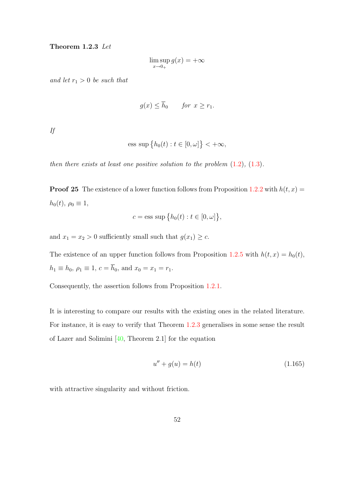#### Theorem 1.2.3 Let

$$
\limsup_{x \to 0_+} g(x) = +\infty
$$

and let  $r_1 > 0$  be such that

$$
g(x) \le \overline{h}_0 \qquad \text{for } x \ge r_1.
$$

If

$$
\text{ess sup }\big\{h_0(t): t\in [0,\omega]\big\}<+\infty,
$$

then there exists at least one positive solution to the problem  $(1.2)$ ,  $(1.3)$ .

**Proof 25** The existence of a lower function follows from Proposition [1.2.2](#page-46-4) with  $h(t, x) =$  $h_0(t)$ ,  $\rho_0 \equiv 1$ ,

$$
c = \text{ess sup }\big\{h_0(t) : t \in [0, \omega]\big\},\
$$

and  $x_1 = x_2 > 0$  sufficiently small such that  $g(x_1) \geq c$ .

The existence of an upper function follows from Proposition [1.2.5](#page-53-2) with  $h(t, x) = h_0(t)$ ,  $h_1 \equiv h_0, \, \rho_1 \equiv 1, \, c = \overline{h}_0, \, \text{and} \, x_0 = x_1 = r_1.$ 

Consequently, the assertion follows from Proposition [1.2.1.](#page-41-0)

It is interesting to compare our results with the existing ones in the related literature. For instance, it is easy to verify that Theorem [1.2.3](#page-59-1) generalises in some sense the result of Lazer and Solimini [\[40,](#page-141-5) Theorem 2.1] for the equation

<span id="page-60-0"></span>
$$
u'' + g(u) = h(t) \tag{1.165}
$$

with attractive singularity and without friction.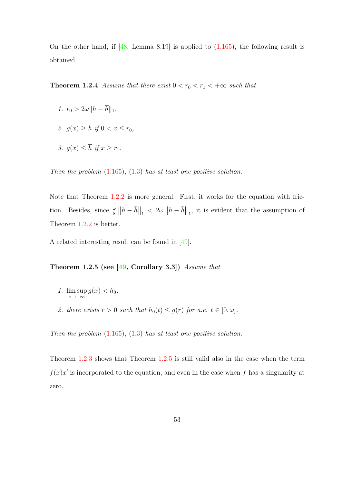On the other hand, if  $[48, \text{ Lemma } 8.19]$  is applied to  $(1.165)$ , the following result is obtained.

**Theorem 1.2.4** Assume that there exist  $0 < r_0 < r_1 < +\infty$  such that

- 1.  $r_0 > 2\omega \|h \overline{h}\|_1$ ,
- 2.  $g(x) \geq \overline{h}$  if  $0 < x \leq r_0$ ,
- 3.  $q(x) \leq \overline{h}$  if  $x \geq r_1$ .

Then the problem  $(1.165)$ ,  $(1.3)$  has at least one positive solution.

Note that Theorem [1.2.2](#page-59-2) is more general. First, it works for the equation with friction. Besides, since  $\frac{\omega}{8} \|h - \bar{h}\|_1 < 2\omega \|h - \bar{h}\|_1$ , it is evident that the assumption of Theorem [1.2.2](#page-59-2) is better.

<span id="page-61-0"></span>A related interesting result can be found in [\[49\]](#page-142-1).

Theorem 1.2.5 (see  $[49,$  Corollary 3.3)) Assume that

- 1. lim sup  $\limsup_{x\to+\infty} g(x) < h_0,$
- 2. there exists  $r > 0$  such that  $h_0(t) \leq g(r)$  for a.e.  $t \in [0, \omega]$ .

Then the problem  $(1.165)$ ,  $(1.3)$  has at least one positive solution.

Theorem [1.2.3](#page-59-1) shows that Theorem [1.2.5](#page-61-0) is still valid also in the case when the term  $f(x)x'$  is incorporated to the equation, and even in the case when f has a singularity at zero.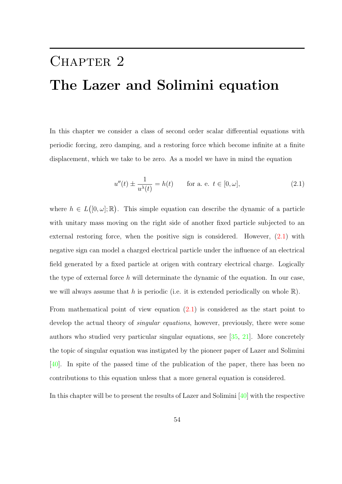# CHAPTER 2 The Lazer and Solimini equation

In this chapter we consider a class of second order scalar differential equations with periodic forcing, zero damping, and a restoring force which become infinite at a finite displacement, which we take to be zero. As a model we have in mind the equation

<span id="page-62-0"></span>
$$
u''(t) \pm \frac{1}{u^{\lambda}(t)} = h(t)
$$
 for a. e.  $t \in [0, \omega]$ , (2.1)

where  $h \in L([0,\omega];\mathbb{R})$ . This simple equation can describe the dynamic of a particle with unitary mass moving on the right side of another fixed particle subjected to an external restoring force, when the positive sign is considered. However, [\(2.1\)](#page-62-0) with negative sign can model a charged electrical particle under the influence of an electrical field generated by a fixed particle at origen with contrary electrical charge. Logically the type of external force h will determinate the dynamic of the equation. In our case, we will always assume that h is periodic (i.e. it is extended periodically on whole  $\mathbb{R}$ ).

From mathematical point of view equation  $(2.1)$  is considered as the start point to develop the actual theory of *singular equations*, however, previously, there were some authors who studied very particular singular equations, see [\[35,](#page-141-7) [21\]](#page-139-2). More concretely the topic of singular equation was instigated by the pioneer paper of Lazer and Solimini [\[40\]](#page-141-5). In spite of the passed time of the publication of the paper, there has been no contributions to this equation unless that a more general equation is considered.

In this chapter will be to present the results of Lazer and Solimini [\[40\]](#page-141-5) with the respective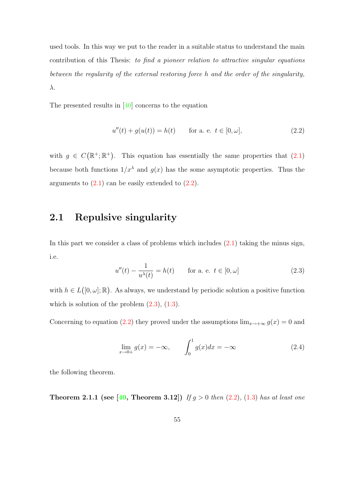used tools. In this way we put to the reader in a suitable status to understand the main contribution of this Thesis: to find a pioneer relation to attractive singular equations between the regularity of the external restoring force h and the order of the singularity, λ.

The presented results in [\[40\]](#page-141-5) concerns to the equation

<span id="page-63-0"></span>
$$
u''(t) + g(u(t)) = h(t) \quad \text{for a. e. } t \in [0, \omega], \tag{2.2}
$$

with  $g \in C(\mathbb{R}^+;\mathbb{R}^+)$ . This equation has essentially the same properties that  $(2.1)$ because both functions  $1/x^{\lambda}$  and  $g(x)$  has the some asymptotic properties. Thus the arguments to  $(2.1)$  can be easily extended to  $(2.2)$ .

# 2.1 Repulsive singularity

In this part we consider a class of problems which includes  $(2.1)$  taking the minus sign, i.e.

<span id="page-63-1"></span>
$$
u''(t) - \frac{1}{u^{\lambda}(t)} = h(t) \quad \text{for a. e. } t \in [0, \omega]
$$
 (2.3)

with  $h \in L([0, \omega]; \mathbb{R})$ . As always, we understand by periodic solution a positive function which is solution of the problem  $(2.3)$ ,  $(1.3)$ .

Concerning to equation [\(2.2\)](#page-63-0) they proved under the assumptions  $\lim_{x\to+\infty} g(x) = 0$  and

<span id="page-63-2"></span>
$$
\lim_{x \to 0+} g(x) = -\infty, \qquad \int_0^1 g(x)dx = -\infty \tag{2.4}
$$

<span id="page-63-3"></span>the following theorem.

**Theorem 2.1.1 (see [\[40,](#page-141-5) Theorem 3.12])** If  $g > 0$  then [\(2.2\)](#page-63-0), [\(1.3\)](#page-14-1) has at least one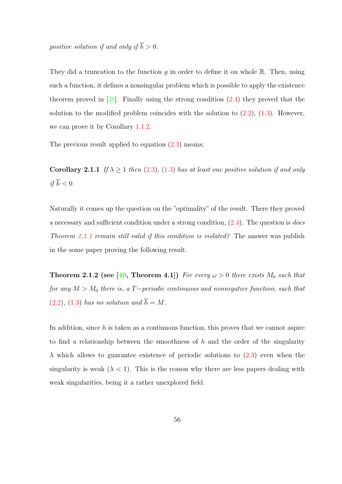positive solution if and only if  $\overline{h} > 0$ .

They did a truncation to the function  $g$  in order to define it on whole  $\mathbb R$ . Then, using such a function, it defines a nonsingular problem which is possible to apply the existence theorem proved in [\[38\]](#page-141-8). Finally using the strong condition [\(2.4\)](#page-63-2) they proved that the solution to the modified problem coincides with the solution to  $(2.2)$ ,  $(1.3)$ . However, we can prove it by Corollary [1.1.2.](#page-38-0)

The previous result applied to equation  $(2.3)$  means:

Corollary 2.1.1 If  $\lambda \geq 1$  then [\(2.3\)](#page-63-1), [\(1.3\)](#page-14-1) has at least one positive solution if and only if  $\overline{h} < 0$ .

Naturally it comes up the question on the "optimality" of the result. There they proved a necessary and sufficient condition under a strong condition, [\(2.4\)](#page-63-2). The question is does Theorem [2.1.1](#page-63-3) remain still valid if this condition is violated? The answer was publish in the some paper proving the following result.

**Theorem 2.1.2 (see [\[40,](#page-141-5) Theorem 4.1])** For every  $\omega > 0$  there exists  $M_0$  such that for any  $M > M_0$  there is, a T−periodic continuous and nonnegative function, such that  $(2.2), (1.3)$  $(2.2), (1.3)$  $(2.2), (1.3)$  has no solution and  $\overline{h} = M$ .

In addition, since  $h$  is taken as a continuous function, this proves that we cannot aspire to find a relationship between the smoothness of  $h$  and the order of the singularity  $\lambda$  which allows to guarantee existence of periodic solutions to [\(2.3\)](#page-63-1) even when the singularity is weak  $(\lambda \leq 1)$ . This is the reason why there are less papers dealing with weak singularities, being it a rather unexplored field.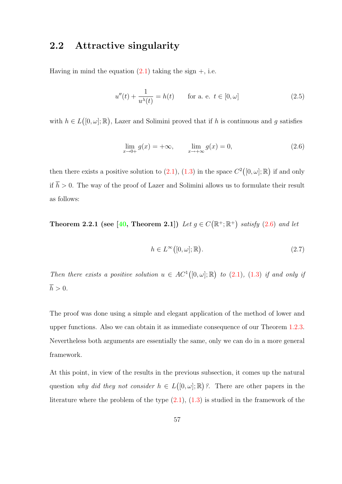## 2.2 Attractive singularity

Having in mind the equation  $(2.1)$  taking the sign  $+$ , i.e.

<span id="page-65-3"></span>
$$
u''(t) + \frac{1}{u^{\lambda}(t)} = h(t) \quad \text{for a. e. } t \in [0, \omega]
$$
 (2.5)

with  $h \in L([0, \omega]; \mathbb{R})$ , Lazer and Solimini proved that if h is continuous and g satisfies

<span id="page-65-0"></span>
$$
\lim_{x \to 0+} g(x) = +\infty, \qquad \lim_{x \to +\infty} g(x) = 0,
$$
\n(2.6)

then there exists a positive solution to [\(2.1\)](#page-62-0), [\(1.3\)](#page-14-1) in the space  $C^2([0,\omega];\mathbb{R})$  if and only if  $\overline{h} > 0$ . The way of the proof of Lazer and Solimini allows us to formulate their result as follows:

<span id="page-65-2"></span>**Theorem 2.2.1** (see [\[40,](#page-141-5) Theorem 2.1]) Let  $g \in C(\mathbb{R}^+;\mathbb{R}^+)$  satisfy [\(2.6\)](#page-65-0) and let

<span id="page-65-1"></span>
$$
h \in L^{\infty}([0,\omega];\mathbb{R}).
$$
\n
$$
(2.7)
$$

Then there exists a positive solution  $u \in AC^1([0, \omega]; \mathbb{R})$  to  $(2.1)$ ,  $(1.3)$  if and only if  $\overline{h} > 0.$ 

The proof was done using a simple and elegant application of the method of lower and upper functions. Also we can obtain it as immediate consequence of our Theorem [1.2.3.](#page-59-1) Nevertheless both arguments are essentially the same, only we can do in a more general framework.

At this point, in view of the results in the previous subsection, it comes up the natural question why did they not consider  $h \in L([0, \omega]; \mathbb{R})$ ?. There are other papers in the literature where the problem of the type  $(2.1)$ ,  $(1.3)$  is studied in the framework of the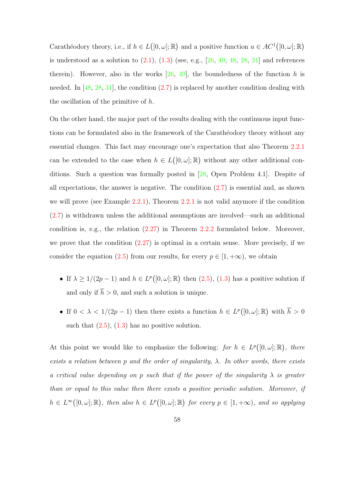Carathéodory theory, i.e., if  $h \in L([0, \omega]; \mathbb{R})$  and a positive function  $u \in AC^1([0, \omega]; \mathbb{R})$ is understood as a solution to  $(2.1)$ ,  $(1.3)$  (see, e.g.,  $[26, 49, 48, 28, 31]$  $[26, 49, 48, 28, 31]$  $[26, 49, 48, 28, 31]$  $[26, 49, 48, 28, 31]$  $[26, 49, 48, 28, 31]$  $[26, 49, 48, 28, 31]$  $[26, 49, 48, 28, 31]$  $[26, 49, 48, 28, 31]$  and references therein). However, also in the works  $[26, 49]$  $[26, 49]$ , the boundedness of the function h is needed. In  $[48, 28, 31]$  $[48, 28, 31]$  $[48, 28, 31]$  $[48, 28, 31]$ , the condition  $(2.7)$  is replaced by another condition dealing with the oscillation of the primitive of h.

On the other hand, the major part of the results dealing with the continuous input functions can be formulated also in the framework of the Carathéodory theory without any essential changes. This fact may encourage one's expectation that also Theorem [2.2.1](#page-65-2) can be extended to the case when  $h \in L([0,\omega];\mathbb{R})$  without any other additional conditions. Such a question was formally posted in [\[28,](#page-140-1) Open Problem 4.1]. Despite of all expectations, the answer is negative. The condition  $(2.7)$  is essential and, as shown we will prove (see Example [2.2.1\)](#page-76-0), Theorem [2.2.1](#page-65-2) is not valid anymore if the condition [\(2.7\)](#page-65-1) is withdrawn unless the additional assumptions are involved—such an additional condition is, e.g., the relation [\(2.27\)](#page-71-0) in Theorem [2.2.2](#page-70-0) formulated below. Moreover, we prove that the condition  $(2.27)$  is optimal in a certain sense. More precisely, if we consider the equation [\(2.5\)](#page-65-3) from our results, for every  $p \in [1, +\infty)$ , we obtain

- If  $\lambda \geq 1/(2p-1)$  and  $h \in L^p([0,\omega];\mathbb{R})$  then  $(2.5)$ ,  $(1.3)$  has a positive solution if and only if  $\overline{h} > 0$ , and such a solution is unique.
- If  $0 < \lambda < 1/(2p-1)$  then there exists a function  $h \in L^p([0,\omega];\mathbb{R})$  with  $\overline{h} > 0$ such that  $(2.5)$ ,  $(1.3)$  has no positive solution.

At this point we would like to emphasize the following: for  $h \in L^p([0,\omega];\mathbb{R})$ , there exists a relation between p and the order of singularity,  $\lambda$ . In other words, there exists a critical value depending on p such that if the power of the singularity  $\lambda$  is greater than or equal to this value then there exists a positive periodic solution. Moreover, if  $h \in L^{\infty}([0,\omega];\mathbb{R})$ , then also  $h \in L^{p}([0,\omega];\mathbb{R})$  for every  $p \in [1,+\infty)$ , and so applying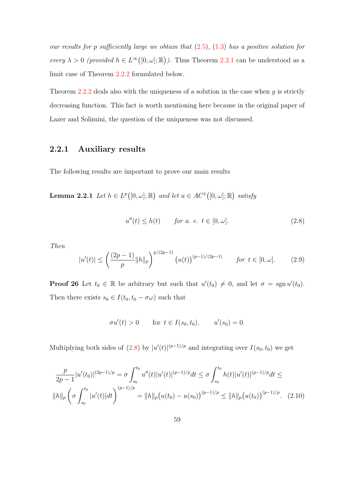our results for p sufficiently large we obtain that  $(2.5)$ ,  $(1.3)$  has a positive solution for every  $\lambda > 0$  (provided  $h \in L^{\infty}([0, \omega]; \mathbb{R})$ ). Thus Theorem [2.2.1](#page-65-2) can be understood as a limit case of Theorem [2.2.2](#page-70-0) formulated below.

Theorem [2.2.2](#page-70-0) deals also with the uniqueness of a solution in the case when  $g$  is strictly decreasing function. This fact is worth mentioning here because in the original paper of Lazer and Solimini, the question of the uniqueness was not discussed.

## 2.2.1 Auxiliary results

The following results are important to prove our main results

**Lemma 2.2.1** Let  $h \in L^p([0,\omega];\mathbb{R})$  and let  $u \in AC^1([0,\omega];\mathbb{R})$  satisfy

<span id="page-67-0"></span>
$$
u''(t) \le h(t) \qquad \text{for a. } e. \ t \in [0, \omega]. \tag{2.8}
$$

Then

<span id="page-67-1"></span>
$$
|u'(t)| \le \left(\frac{(2p-1)}{p} ||h||_p\right)^{p/(2p-1)} \left(u(t)\right)^{(p-1)/(2p-1)} \qquad \text{for } t \in [0, \omega]. \tag{2.9}
$$

**Proof 26** Let  $t_0 \in \mathbb{R}$  be arbitrary but such that  $u'(t_0) \neq 0$ , and let  $\sigma = \text{sgn } u'(t_0)$ . Then there exists  $s_0 \in I(t_0, t_0 - \sigma \omega)$  such that

<span id="page-67-2"></span>
$$
\sigma u'(t) > 0
$$
 for  $t \in I(s_0, t_0)$ ,  $u'(s_0) = 0$ .

Multiplying both sides of [\(2.8\)](#page-67-0) by  $|u'(t)|^{(p-1)/p}$  and integrating over  $I(s_0, t_0)$  we get

$$
\frac{p}{2p-1}|u'(t_0)|^{(2p-1)/p} = \sigma \int_{s_0}^{t_0} u''(t)|u'(t)|^{(p-1)/p}dt \le \sigma \int_{s_0}^{t_0} h(t)|u'(t)|^{(p-1)/p}dt \le
$$
  
\n
$$
||h||_p \left(\sigma \int_{s_0}^{t_0} |u'(t)|dt\right)^{(p-1)/p} = ||h||_p \left(u(t_0) - u(s_0)\right)^{(p-1)/p} \le ||h||_p \left(u(t_0)\right)^{(p-1)/p}.
$$
 (2.10)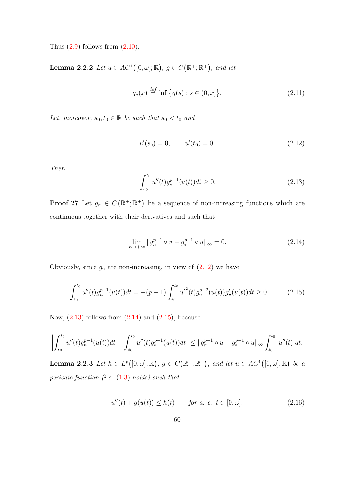Thus  $(2.9)$  follows from  $(2.10)$ .

<span id="page-68-6"></span>**Lemma 2.2.2** Let  $u \in AC^1([0, \omega]; \mathbb{R})$ ,  $g \in C(\mathbb{R}^+; \mathbb{R}^+)$ , and let

<span id="page-68-4"></span>
$$
g_*(x) \stackrel{def}{=} \inf \{ g(s) : s \in (0, x] \}. \tag{2.11}
$$

Let, moreover,  $s_0, t_0 \in \mathbb{R}$  be such that  $s_0 < t_0$  and

<span id="page-68-0"></span>
$$
u'(s_0) = 0, \qquad u'(t_0) = 0. \tag{2.12}
$$

Then

<span id="page-68-1"></span>
$$
\int_{s_0}^{t_0} u''(t) g_*^{p-1}(u(t)) dt \ge 0.
$$
\n(2.13)

**Proof 27** Let  $g_n \in C(\mathbb{R}^+;\mathbb{R}^+)$  be a sequence of non-increasing functions which are continuous together with their derivatives and such that

<span id="page-68-2"></span>
$$
\lim_{n \to +\infty} \|g_n^{p-1} \circ u - g_*^{p-1} \circ u\|_{\infty} = 0.
$$
\n(2.14)

Obviously, since  $g_n$  are non-increasing, in view of  $(2.12)$  we have

<span id="page-68-3"></span>
$$
\int_{s_0}^{t_0} u''(t)g_n^{p-1}(u(t))dt = -(p-1)\int_{s_0}^{t_0} {u'}^2(t)g_n^{p-2}(u(t))g_n'(u(t))dt \ge 0.
$$
 (2.15)

Now,  $(2.13)$  follows from  $(2.14)$  and  $(2.15)$ , because

$$
\left| \int_{s_0}^{t_0} u''(t) g_n^{p-1}(u(t)) dt - \int_{s_0}^{t_0} u''(t) g_*^{p-1}(u(t)) dt \right| \leq ||g_n^{p-1} \circ u - g_*^{p-1} \circ u||_{\infty} \int_{s_0}^{t_0} |u''(t)| dt.
$$

**Lemma 2.2.3** Let  $h \in L^p([0,\omega];\mathbb{R})$ ,  $g \in C(\mathbb{R}^+;\mathbb{R}^+)$ , and let  $u \in AC^1([0,\omega];\mathbb{R})$  be a periodic function (i.e.  $(1.3)$  holds) such that

<span id="page-68-5"></span>
$$
u''(t) + g(u(t)) \le h(t) \qquad \text{for a. } e. \ t \in [0, \omega]. \tag{2.16}
$$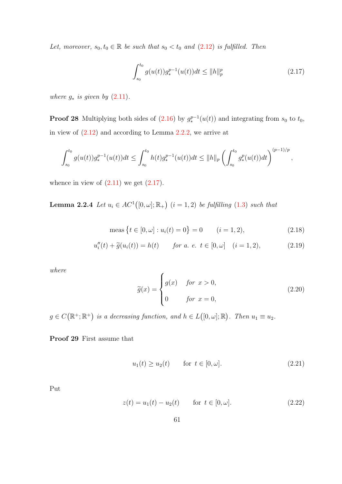Let, moreover,  $s_0, t_0 \in \mathbb{R}$  be such that  $s_0 < t_0$  and  $(2.12)$  is fulfilled. Then

<span id="page-69-0"></span>
$$
\int_{s_0}^{t_0} g(u(t))g_*^{p-1}(u(t))dt \le ||h||_p^p \tag{2.17}
$$

where  $g_*$  is given by  $(2.11)$ .

**Proof 28** Multiplying both sides of  $(2.16)$  by  $g_*^{p-1}(u(t))$  and integrating from  $s_0$  to  $t_0$ , in view of [\(2.12\)](#page-68-0) and according to Lemma [2.2.2,](#page-68-6) we arrive at

$$
\int_{s_0}^{t_0} g(u(t))g_*^{p-1}(u(t))dt \le \int_{s_0}^{t_0} h(t)g_*^{p-1}(u(t))dt \le ||h||_p \left(\int_{s_0}^{t_0} g_*^p(u(t))dt\right)^{(p-1)/p},
$$

whence in view of  $(2.11)$  we get  $(2.17)$ .

**Lemma 2.2.4** Let  $u_i \in AC^1([0, \omega]; \mathbb{R}_+)$   $(i = 1, 2)$  be fulfilling  $(1.3)$  such that

$$
\text{meas}\left\{t \in [0,\omega] : u_i(t) = 0\right\} = 0 \qquad (i = 1,2),\tag{2.18}
$$

$$
u''_i(t) + \tilde{g}(u_i(t)) = h(t) \quad \text{for a. e. } t \in [0, \omega] \quad (i = 1, 2), \tag{2.19}
$$

where

<span id="page-69-4"></span><span id="page-69-3"></span><span id="page-69-1"></span>
$$
\tilde{g}(x) = \begin{cases}\ng(x) & \text{for } x > 0, \\
0 & \text{for } x = 0,\n\end{cases}
$$
\n(2.20)

 $g \in C(\mathbb{R}^+;\mathbb{R}^+)$  is a decreasing function, and  $h \in L([0,\omega];\mathbb{R})$ . Then  $u_1 \equiv u_2$ .

Proof 29 First assume that

<span id="page-69-2"></span>
$$
u_1(t) \ge u_2(t) \qquad \text{for } t \in [0, \omega]. \tag{2.21}
$$

Put

<span id="page-69-5"></span>
$$
z(t) = u_1(t) - u_2(t) \quad \text{for } t \in [0, \omega].
$$
 (2.22)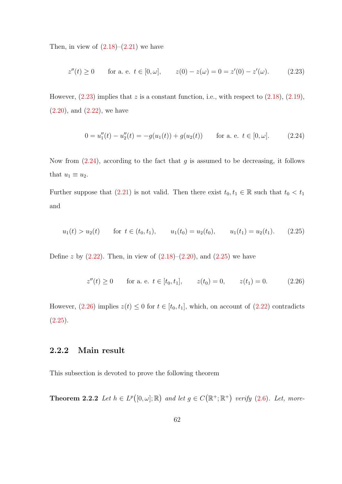Then, in view of  $(2.18)$ – $(2.21)$  we have

<span id="page-70-1"></span>
$$
z''(t) \ge 0 \qquad \text{for a. e. } t \in [0, \omega], \qquad z(0) - z(\omega) = 0 = z'(0) - z'(\omega). \tag{2.23}
$$

However,  $(2.23)$  implies that z is a constant function, i.e., with respect to  $(2.18)$ ,  $(2.19)$ ,  $(2.20)$ , and  $(2.22)$ , we have

<span id="page-70-2"></span>
$$
0 = u''_1(t) - u''_2(t) = -g(u_1(t)) + g(u_2(t)) \quad \text{for a. e. } t \in [0, \omega]. \tag{2.24}
$$

Now from  $(2.24)$ , according to the fact that q is assumed to be decreasing, it follows that  $u_1 \equiv u_2$ .

Further suppose that [\(2.21\)](#page-69-2) is not valid. Then there exist  $t_0, t_1 \in \mathbb{R}$  such that  $t_0 < t_1$ and

<span id="page-70-3"></span>
$$
u_1(t) > u_2(t)
$$
 for  $t \in (t_0, t_1)$ ,  $u_1(t_0) = u_2(t_0)$ ,  $u_1(t_1) = u_2(t_1)$ . (2.25)

Define z by  $(2.22)$ . Then, in view of  $(2.18)$ – $(2.20)$ , and  $(2.25)$  we have

<span id="page-70-4"></span>
$$
z''(t) \ge 0 \qquad \text{for a. e. } t \in [t_0, t_1], \qquad z(t_0) = 0, \qquad z(t_1) = 0. \tag{2.26}
$$

However, [\(2.26\)](#page-70-4) implies  $z(t) \leq 0$  for  $t \in [t_0, t_1]$ , which, on account of [\(2.22\)](#page-69-5) contradicts  $(2.25).$  $(2.25).$ 

#### 2.2.2 Main result

<span id="page-70-0"></span>This subsection is devoted to prove the following theorem

**Theorem 2.2.2** Let  $h \in L^p([0,\omega];\mathbb{R})$  and let  $g \in C(\mathbb{R}^+;\mathbb{R}^+)$  verify [\(2.6\)](#page-65-0). Let, more-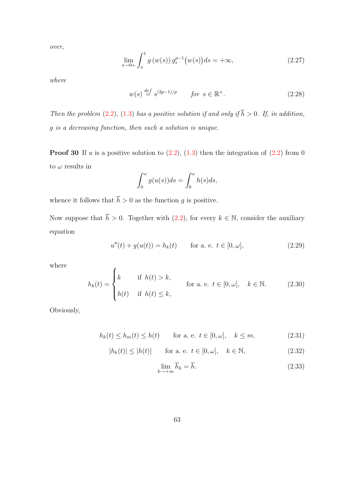over,

<span id="page-71-0"></span>
$$
\lim_{x \to 0+} \int_{x}^{1} g(w(s)) g_{*}^{p-1}(w(s)) ds = +\infty,
$$
\n(2.27)

where

$$
w(s) \stackrel{def}{=} s^{(2p-1)/p} \qquad for \ s \in \mathbb{R}^+.
$$
 (2.28)

Then the problem [\(2.2\)](#page-63-0), [\(1.3\)](#page-14-1) has a positive solution if and only if  $\overline{h} > 0$ . If, in addition, g is a decreasing function, then such a solution is unique.

**Proof 30** If u is a positive solution to  $(2.2)$ ,  $(1.3)$  then the integration of  $(2.2)$  from 0 to  $\omega$  results in

$$
\int_0^\omega g(u(s))ds = \int_0^\omega h(s)ds,
$$

whence it follows that  $\overline{h} > 0$  as the function g is positive.

Now suppose that  $\bar{h} > 0$ . Together with [\(2.2\)](#page-63-0), for every  $k \in \mathbb{N}$ , consider the auxiliary equation

$$
u''(t) + g(u(t)) = h_k(t) \quad \text{for a. e. } t \in [0, \omega], \tag{2.29}
$$

where

$$
h_k(t) = \begin{cases} k & \text{if } h(t) > k, \\ h(t) & \text{if } h(t) \le k, \end{cases}
$$
 for a. e.  $t \in [0, \omega], k \in \mathbb{N}.$  (2.30)

Obviously,

$$
h_k(t) \le h_m(t) \le h(t) \qquad \text{for a. e. } t \in [0, \omega], \quad k \le m,
$$
\n
$$
(2.31)
$$

$$
|h_k(t)| \le |h(t)| \qquad \text{for a. e. } t \in [0, \omega], \quad k \in \mathbb{N}, \tag{2.32}
$$

$$
\lim_{k \to +\infty} \overline{h}_k = \overline{h}.\tag{2.33}
$$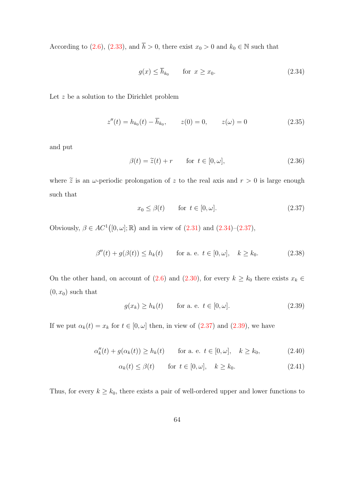According to [\(2.6\)](#page-65-0), [\(2.33\)](#page-71-0), and  $\bar{h} > 0$ , there exist  $x_0 > 0$  and  $k_0 \in \mathbb{N}$  such that

<span id="page-72-0"></span>
$$
g(x) \le \overline{h}_{k_0} \qquad \text{for } x \ge x_0. \tag{2.34}
$$

Let z be a solution to the Dirichlet problem

$$
z''(t) = h_{k_0}(t) - \overline{h}_{k_0}, \qquad z(0) = 0, \qquad z(\omega) = 0 \tag{2.35}
$$

and put

$$
\beta(t) = \tilde{z}(t) + r \qquad \text{for } t \in [0, \omega], \tag{2.36}
$$

where  $\tilde{z}$  is an  $\omega$ -periodic prolongation of z to the real axis and  $r > 0$  is large enough such that

<span id="page-72-1"></span>
$$
x_0 \le \beta(t) \qquad \text{for } t \in [0, \omega]. \tag{2.37}
$$

Obviously,  $\beta \in AC^1([0,\omega];\mathbb{R})$  and in view of  $(2.31)$  and  $(2.34)-(2.37)$  $(2.34)-(2.37)$ ,

$$
\beta''(t) + g(\beta(t)) \le h_k(t) \qquad \text{for a. e. } t \in [0, \omega], \quad k \ge k_0. \tag{2.38}
$$

On the other hand, on account of [\(2.6\)](#page-65-0) and [\(2.30\)](#page-71-2), for every  $k \geq k_0$  there exists  $x_k \in$  $(0, x_0)$  such that

<span id="page-72-2"></span>
$$
g(x_k) \ge h_k(t) \qquad \text{for a. e. } t \in [0, \omega]. \tag{2.39}
$$

If we put  $\alpha_k(t) = x_k$  for  $t \in [0, \omega]$  then, in view of  $(2.37)$  and  $(2.39)$ , we have

$$
\alpha_k''(t) + g(\alpha_k(t)) \ge h_k(t) \quad \text{for a. e. } t \in [0, \omega], \quad k \ge k_0,
$$
\n(2.40)

$$
\alpha_k(t) \le \beta(t) \qquad \text{for } t \in [0, \omega], \quad k \ge k_0. \tag{2.41}
$$

Thus, for every  $k \geq k_0$ , there exists a pair of well-ordered upper and lower functions to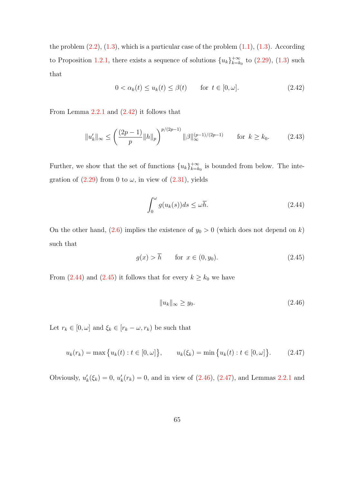the problem  $(2.2)$ ,  $(1.3)$ , which is a particular case of the problem  $(1.1)$ ,  $(1.3)$ . According to Proposition [1.2.1,](#page-41-0) there exists a sequence of solutions  ${u_k}_{k=k}^{+\infty}$  $_{k=k_0}^{+\infty}$  to  $(2.29)$ ,  $(1.3)$  such that

<span id="page-73-0"></span>
$$
0 < \alpha_k(t) \le u_k(t) \le \beta(t) \qquad \text{for } t \in [0, \omega]. \tag{2.42}
$$

From Lemma [2.2.1](#page-67-0) and [\(2.42\)](#page-73-0) it follows that

$$
||u'_k||_{\infty} \le \left(\frac{(2p-1)}{p}||h||_p\right)^{p/(2p-1)} ||\beta||_{\infty}^{(p-1)/(2p-1)} \qquad \text{for } k \ge k_0. \tag{2.43}
$$

Further, we show that the set of functions  ${u_k}_{k=k}^{+\infty}$  $_{k=k_0}^{+\infty}$  is bounded from below. The integration of  $(2.29)$  from 0 to  $\omega$ , in view of  $(2.31)$ , yields

<span id="page-73-1"></span>
$$
\int_0^\omega g(u_k(s))ds \le \omega \overline{h}.\tag{2.44}
$$

On the other hand, [\(2.6\)](#page-65-0) implies the existence of  $y_0 > 0$  (which does not depend on k) such that

<span id="page-73-2"></span>
$$
g(x) > \overline{h} \qquad \text{for } x \in (0, y_0). \tag{2.45}
$$

From [\(2.44\)](#page-73-1) and [\(2.45\)](#page-73-2) it follows that for every  $k \geq k_0$  we have

<span id="page-73-3"></span>
$$
||u_k||_{\infty} \ge y_0. \tag{2.46}
$$

Let  $r_k \in [0, \omega]$  and  $\xi_k \in [r_k - \omega, r_k)$  be such that

<span id="page-73-4"></span>
$$
u_k(r_k) = \max\{u_k(t) : t \in [0, \omega]\}, \qquad u_k(\xi_k) = \min\{u_k(t) : t \in [0, \omega]\}.
$$
 (2.47)

Obviously,  $u'_{k}(\xi_{k}) = 0$ ,  $u'_{k}(r_{k}) = 0$ , and in view of  $(2.46)$ ,  $(2.47)$ , and Lemmas [2.2.1](#page-67-0) and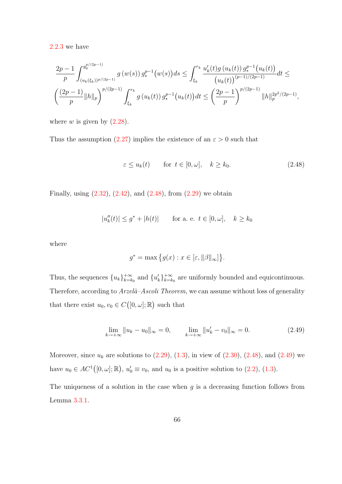[2.2.3](#page-68-0) we have

$$
\frac{2p-1}{p} \int_{(u_k(\xi_k))^{p/(2p-1)}}^{y_0^{p/(2p-1)}} g(w(s)) g_*^{p-1}(w(s)) ds \le \int_{\xi_k}^{r_k} \frac{u'_k(t)g(u_k(t)) g_*^{p-1}(u_k(t))}{(u_k(t))^{(p-1)/(2p-1)}} dt \le
$$
  

$$
\left(\frac{(2p-1)}{p} ||h||_p\right)^{p/(2p-1)} \int_{\xi_k}^{r_k} g(u_k(t)) g_*^{p-1}(u_k(t)) dt \le \left(\frac{2p-1}{p}\right)^{p/(2p-1)} ||h||_p^{2p^2/(2p-1)},
$$

where  $w$  is given by  $(2.28)$ .

Thus the assumption  $(2.27)$  implies the existence of an  $\varepsilon > 0$  such that

<span id="page-74-0"></span>
$$
\varepsilon \le u_k(t) \qquad \text{for } t \in [0, \omega], \quad k \ge k_0. \tag{2.48}
$$

Finally, using  $(2.32)$ ,  $(2.42)$ , and  $(2.48)$ , from  $(2.29)$  we obtain

$$
|u''_k(t)| \le g^* + |h(t)|
$$
 for a. e.  $t \in [0, \omega], \quad k \ge k_0$ 

where

$$
g^* = \max\big\{g(x) : x \in [\varepsilon, ||\beta||_{\infty}]\big\}.
$$

Thus, the sequences  ${u_k}_{k=k}^{+\infty}$  $_{k=k_0}^{+\infty}$  and  $\{u'_k\}_{k=k_0}^{+\infty}$  $\atop{k=k_0}^{+\infty}$  are uniformly bounded and equicontinuous. Therefore, according to  $Arzel\hat{a}-Ascoli Theorem$ , we can assume without loss of generality that there exist  $u_0, v_0 \in C([0, \omega]; \mathbb{R})$  such that

<span id="page-74-1"></span>
$$
\lim_{k \to +\infty} \|u_k - u_0\|_{\infty} = 0, \qquad \lim_{k \to +\infty} \|u_k' - v_0\|_{\infty} = 0.
$$
\n(2.49)

Moreover, since  $u_k$  are solutions to  $(2.29)$ ,  $(1.3)$ , in view of  $(2.30)$ ,  $(2.48)$ , and  $(2.49)$  we have  $u_0 \in AC^1([0,\omega];\mathbb{R}), u'_0 \equiv v_0$ , and  $u_0$  is a positive solution to [\(2.2\)](#page-63-0), [\(1.3\)](#page-14-0).

The uniqueness of a solution in the case when  $q$  is a decreasing function follows from Lemma [3.3.1.](#page-98-0)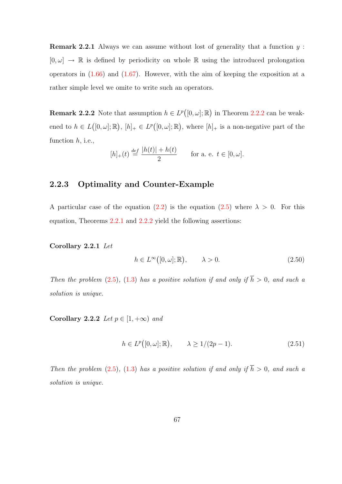Remark 2.2.1 Always we can assume without lost of generality that a function y :  $[0, \omega] \rightarrow \mathbb{R}$  is defined by periodicity on whole  $\mathbb{R}$  using the introduced prolongation operators in  $(1.66)$  and  $(1.67)$ . However, with the aim of keeping the exposition at a rather simple level we omite to write such an operators.

**Remark [2.2.2](#page-70-0)** Note that assumption  $h \in L^p([0,\omega];\mathbb{R})$  in Theorem 2.2.2 can be weakened to  $h \in L([0,\omega];\mathbb{R}), [h]_+ \in L^p([0,\omega];\mathbb{R}),$  where  $[h]_+$  is a non-negative part of the function  $h$ , i.e.,

$$
[h]_+(t) \stackrel{def}{=} \frac{|h(t)| + h(t)}{2}
$$
 for a. e.  $t \in [0, \omega]$ .

# 2.2.3 Optimality and Counter-Example

A particular case of the equation [\(2.2\)](#page-63-0) is the equation [\(2.5\)](#page-65-1) where  $\lambda > 0$ . For this equation, Theorems [2.2.1](#page-65-2) and [2.2.2](#page-70-0) yield the following assertions:

#### <span id="page-75-0"></span>Corollary 2.2.1 Let

$$
h \in L^{\infty}([0,\omega];\mathbb{R}), \qquad \lambda > 0. \tag{2.50}
$$

Then the problem [\(2.5\)](#page-65-1), [\(1.3\)](#page-14-0) has a positive solution if and only if  $\overline{h} > 0$ , and such a solution is unique.

<span id="page-75-2"></span>Corollary 2.2.2 Let  $p \in [1, +\infty)$  and

<span id="page-75-1"></span>
$$
h \in L^p([0,\omega];\mathbb{R}), \qquad \lambda \ge 1/(2p-1). \tag{2.51}
$$

Then the problem [\(2.5\)](#page-65-1), [\(1.3\)](#page-14-0) has a positive solution if and only if  $\overline{h} > 0$ , and such a solution is unique.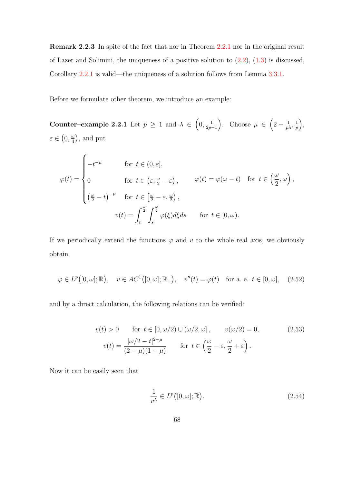Remark 2.2.3 In spite of the fact that nor in Theorem [2.2.1](#page-65-2) nor in the original result of Lazer and Solimini, the uniqueness of a positive solution to  $(2.2)$ ,  $(1.3)$  is discussed, Corollary [2.2.1](#page-75-0) is valid—the uniqueness of a solution follows from Lemma [3.3.1.](#page-98-0)

<span id="page-76-3"></span>Before we formulate other theorem, we introduce an example:

Counter–example 2.2.1 Let  $p \geq 1$  and  $\lambda \in (0, \frac{1}{2n})$  $\left(\frac{1}{2p-1}\right)$ . Choose  $\mu \in \left(2-\frac{1}{p\lambda},\frac{1}{p\lambda}\right)$  $\frac{1}{p}\biggr),$  $\varepsilon \in (0, \frac{\omega}{4})$  $\frac{\omega}{4}$ , and put

$$
\varphi(t) = \begin{cases}\n-t^{-\mu} & \text{for } t \in (0, \varepsilon], \\
0 & \text{for } t \in (\varepsilon, \frac{\omega}{2} - \varepsilon), \qquad \varphi(t) = \varphi(\omega - t) & \text{for } t \in (\frac{\omega}{2}, \omega), \\
(\frac{\omega}{2} - t)^{-\mu} & \text{for } t \in [\frac{\omega}{2} - \varepsilon, \frac{\omega}{2}), \\
v(t) = \int_t^{\frac{\omega}{2}} \int_s^{\frac{\omega}{2}} \varphi(\xi) d\xi ds & \text{for } t \in [0, \omega).\n\end{cases}
$$

If we periodically extend the functions  $\varphi$  and v to the whole real axis, we obviously obtain

<span id="page-76-0"></span>
$$
\varphi \in L^p([0,\omega];\mathbb{R}), \quad v \in AC^1([0,\omega];\mathbb{R}_+), \quad v''(t) = \varphi(t) \quad \text{for a. e. } t \in [0,\omega], \quad (2.52)
$$

and by a direct calculation, the following relations can be verified:

$$
v(t) > 0 \quad \text{for } t \in [0, \omega/2) \cup (\omega/2, \omega], \qquad v(\omega/2) = 0,
$$
  

$$
v(t) = \frac{|\omega/2 - t|^{2-\mu}}{(2-\mu)(1-\mu)} \quad \text{for } t \in \left(\frac{\omega}{2} - \varepsilon, \frac{\omega}{2} + \varepsilon\right).
$$
 (2.53)

Now it can be easily seen that

<span id="page-76-2"></span><span id="page-76-1"></span>
$$
\frac{1}{\nu^{\lambda}} \in L^p([0,\omega];\mathbb{R}).
$$
\n(2.54)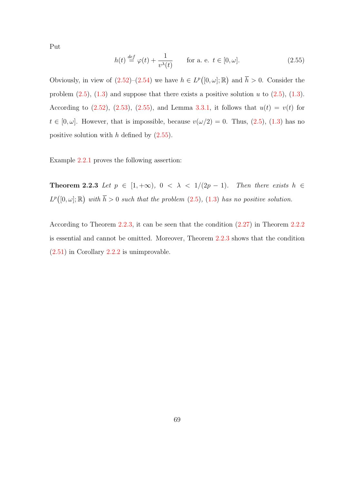Put

<span id="page-77-0"></span>
$$
h(t) \stackrel{\text{def}}{=} \varphi(t) + \frac{1}{v^{\lambda}(t)} \qquad \text{for a. e. } t \in [0, \omega]. \tag{2.55}
$$

Obviously, in view of  $(2.52)$ – $(2.54)$  we have  $h \in L^p([0,\omega];\mathbb{R})$  and  $\overline{h} > 0$ . Consider the problem  $(2.5)$ ,  $(1.3)$  and suppose that there exists a positive solution u to  $(2.5)$ ,  $(1.3)$ . According to  $(2.52)$ ,  $(2.53)$ ,  $(2.55)$ , and Lemma [3.3.1,](#page-98-0) it follows that  $u(t) = v(t)$  for  $t \in [0, \omega]$ . However, that is impossible, because  $v(\omega/2) = 0$ . Thus,  $(2.5)$ ,  $(1.3)$  has no positive solution with  $h$  defined by  $(2.55)$ .

<span id="page-77-1"></span>Example [2.2.1](#page-76-3) proves the following assertion:

Theorem 2.2.3 Let  $p \in [1, +\infty)$ ,  $0 < \lambda < 1/(2p - 1)$ . Then there exists  $h \in$  $L^p([0,\omega];\mathbb{R})$  with  $\overline{h} > 0$  such that the problem  $(2.5)$ ,  $(1.3)$  has no positive solution.

According to Theorem [2.2.3,](#page-77-1) it can be seen that the condition [\(2.27\)](#page-71-5) in Theorem [2.2.2](#page-70-0) is essential and cannot be omitted. Moreover, Theorem [2.2.3](#page-77-1) shows that the condition [\(2.51\)](#page-75-1) in Corollary [2.2.2](#page-75-2) is unimprovable.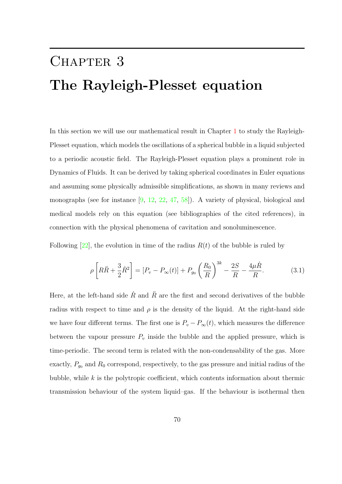# CHAPTER 3 The Rayleigh-Plesset equation

In this section we will use our mathematical result in Chapter [1](#page-14-2) to study the Rayleigh-Plesset equation, which models the oscillations of a spherical bubble in a liquid subjected to a periodic acoustic field. The Rayleigh-Plesset equation plays a prominent role in Dynamics of Fluids. It can be derived by taking spherical coordinates in Euler equations and assuming some physically admissible simplifications, as shown in many reviews and monographs (see for instance [\[9,](#page-138-0) [12,](#page-138-1) [22,](#page-139-0) [47,](#page-142-0) [58\]](#page-143-0)). A variety of physical, biological and medical models rely on this equation (see bibliographies of the cited references), in connection with the physical phenomena of cavitation and sonoluminescence.

Following  $[22]$ , the evolution in time of the radius  $R(t)$  of the bubble is ruled by

<span id="page-78-0"></span>
$$
\rho \left[ R\ddot{R} + \frac{3}{2} \dot{R}^2 \right] = [P_v - P_\infty(t)] + P_{g_0} \left( \frac{R_0}{R} \right)^{3k} - \frac{2S}{R} - \frac{4\mu \dot{R}}{R}.
$$
 (3.1)

Here, at the left-hand side  $\dot{R}$  and  $\ddot{R}$  are the first and second derivatives of the bubble radius with respect to time and  $\rho$  is the density of the liquid. At the right-hand side we have four different terms. The first one is  $P_v - P_\infty(t)$ , which measures the difference between the vapour pressure  $P_v$  inside the bubble and the applied pressure, which is time-periodic. The second term is related with the non-condensability of the gas. More exactly,  $P_{g_0}$  and  $R_0$  correspond, respectively, to the gas pressure and initial radius of the bubble, while  $k$  is the polytropic coefficient, which contents information about thermic transmission behaviour of the system liquid–gas. If the behaviour is isothermal then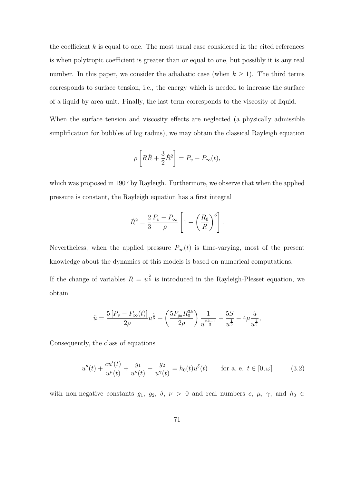the coefficient  $k$  is equal to one. The most usual case considered in the cited references is when polytropic coefficient is greater than or equal to one, but possibly it is any real number. In this paper, we consider the adiabatic case (when  $k \geq 1$ ). The third terms corresponds to surface tension, i.e., the energy which is needed to increase the surface of a liquid by area unit. Finally, the last term corresponds to the viscosity of liquid.

When the surface tension and viscosity effects are neglected (a physically admissible simplification for bubbles of big radius), we may obtain the classical Rayleigh equation

$$
\rho \left[ R\ddot{R} + \frac{3}{2}\dot{R}^2 \right] = P_v - P_\infty(t),
$$

which was proposed in 1907 by Rayleigh. Furthermore, we observe that when the applied pressure is constant, the Rayleigh equation has a first integral

$$
\dot{R}^2 = \frac{2}{3} \frac{P_v - P_\infty}{\rho} \left[ 1 - \left( \frac{R_0}{R} \right)^3 \right].
$$

Nevertheless, when the applied pressure  $P_{\infty}(t)$  is time-varying, most of the present knowledge about the dynamics of this models is based on numerical computations.

If the change of variables  $R = u^{\frac{2}{5}}$  is introduced in the Rayleigh-Plesset equation, we obtain

$$
\ddot{u} = \frac{5\left[P_v - P_\infty(t)\right]}{2\rho}u^{\frac{1}{5}} + \left(\frac{5P_{g_0}R_0^{3k}}{2\rho}\right)\frac{1}{u^{\frac{6k-1}{5}}} - \frac{5S}{u^{\frac{1}{5}}} - 4\mu\frac{\dot{u}}{u^{\frac{4}{5}}},
$$

Consequently, the class of equations

<span id="page-79-0"></span>
$$
u''(t) + \frac{cu'(t)}{u^{\mu}(t)} + \frac{g_1}{u^{\nu}(t)} - \frac{g_2}{u^{\gamma}(t)} = h_0(t)u^{\delta}(t) \quad \text{for a. e. } t \in [0, \omega]
$$
 (3.2)

with non-negative constants  $g_1, g_2, \delta, \nu > 0$  and real numbers  $c, \mu, \gamma$ , and  $h_0 \in$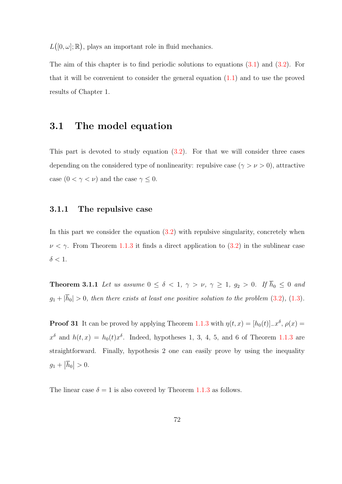$L([0, \omega]; \mathbb{R})$ , plays an important role in fluid mechanics.

The aim of this chapter is to find periodic solutions to equations [\(3.1\)](#page-78-0) and [\(3.2\)](#page-79-0). For that it will be convenient to consider the general equation [\(1.1\)](#page-14-1) and to use the proved results of Chapter 1.

# 3.1 The model equation

This part is devoted to study equation [\(3.2\)](#page-79-0). For that we will consider three cases depending on the considered type of nonlinearity: repulsive case ( $\gamma > \nu > 0$ ), attractive case  $(0 < \gamma < \nu)$  and the case  $\gamma \leq 0$ .

#### 3.1.1 The repulsive case

In this part we consider the equation  $(3.2)$  with repulsive singularity, concretely when  $\nu < \gamma$ . From Theorem [1.1.3](#page-37-0) it finds a direct application to [\(3.2\)](#page-79-0) in the sublinear case  $\delta < 1$ .

<span id="page-80-0"></span>**Theorem 3.1.1** Let us assume  $0 \le \delta < 1$ ,  $\gamma > \nu$ ,  $\gamma \ge 1$ ,  $g_2 > 0$ . If  $\overline{h}_0 \le 0$  and  $g_1 + |\overline{h}_0| > 0$ , then there exists at least one positive solution to the problem [\(3.2\)](#page-79-0), [\(1.3\)](#page-14-0).

**Proof 31** It can be proved by applying Theorem [1.1.3](#page-37-0) with  $\eta(t,x) = [h_0(t)]_x^{\delta}, \rho(x) =$  $x^{\delta}$  and  $h(t,x) = h_0(t)x^{\delta}$ . Indeed, hypotheses 1, 3, 4, 5, and 6 of Theorem [1.1.3](#page-37-0) are straightforward. Finally, hypothesis 2 one can easily prove by using the inequality  $g_1 + |\overline{h}_0| > 0.$ 

The linear case  $\delta = 1$  is also covered by Theorem [1.1.3](#page-37-0) as follows.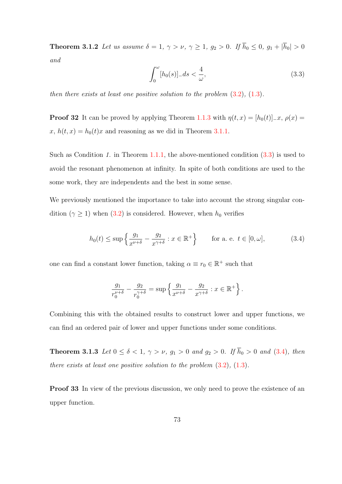**Theorem 3.1.2** Let us assume  $\delta = 1$ ,  $\gamma > \nu$ ,  $\gamma \ge 1$ ,  $g_2 > 0$ . If  $\overline{h}_0 \le 0$ ,  $g_1 + |\overline{h}_0| > 0$ and

<span id="page-81-0"></span>
$$
\int_0^\omega [h_0(s)]_- ds < \frac{4}{\omega},\tag{3.3}
$$

then there exists at least one positive solution to the problem  $(3.2)$ ,  $(1.3)$ .

**Proof 32** It can be proved by applying Theorem [1.1.3](#page-37-0) with  $\eta(t, x) = [h_0(t)]_x$ ,  $\rho(x) =$  $x, h(t, x) = h_0(t)x$  and reasoning as we did in Theorem [3.1.1.](#page-80-0)

Such as Condition 1. in Theorem [1.1.1,](#page-15-0) the above-mentioned condition  $(3.3)$  is used to avoid the resonant phenomenon at infinity. In spite of both conditions are used to the some work, they are independents and the best in some sense.

We previously mentioned the importance to take into account the strong singular condition ( $\gamma \geq 1$ ) when [\(3.2\)](#page-79-0) is considered. However, when  $h_0$  verifies

<span id="page-81-1"></span>
$$
h_0(t) \le \sup \left\{ \frac{g_1}{x^{\nu+\delta}} - \frac{g_2}{x^{\gamma+\delta}} : x \in \mathbb{R}^+ \right\} \qquad \text{for a. e. } t \in [0, \omega], \tag{3.4}
$$

one can find a constant lower function, taking  $\alpha \equiv r_0 \in \mathbb{R}^+$  such that

$$
\frac{g_1}{r_0^{\nu+\delta}} - \frac{g_2}{r_0^{\gamma+\delta}} = \sup \left\{ \frac{g_1}{x^{\nu+\delta}} - \frac{g_2}{x^{\gamma+\delta}} : x \in \mathbb{R}^+ \right\}.
$$

Combining this with the obtained results to construct lower and upper functions, we can find an ordered pair of lower and upper functions under some conditions.

<span id="page-81-2"></span>**Theorem 3.1.3** Let  $0 \le \delta < 1$ ,  $\gamma > \nu$ ,  $g_1 > 0$  and  $g_2 > 0$ . If  $\bar{h}_0 > 0$  and [\(3.4\)](#page-81-1), then there exists at least one positive solution to the problem  $(3.2)$ ,  $(1.3)$ .

**Proof 33** In view of the previous discussion, we only need to prove the existence of an upper function.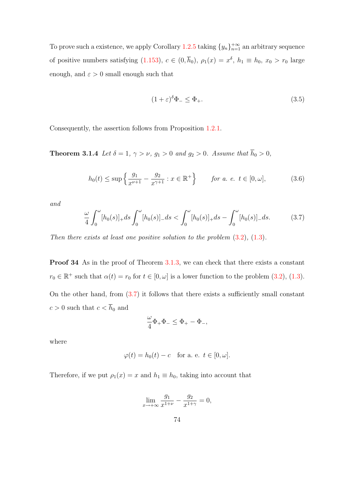To prove such a existence, we apply Corollary  $1.2.5$  taking  $\{y_n\}_{n=1}^{+\infty}$  an arbitrary sequence of positive numbers satisfying  $(1.153)$ ,  $c \in (0, \overline{h}_0)$ ,  $\rho_1(x) = x^{\delta}$ ,  $h_1 \equiv h_0$ ,  $x_0 > r_0$  large enough, and  $\varepsilon > 0$  small enough such that

<span id="page-82-1"></span>
$$
(1+\varepsilon)^{\delta}\Phi_{-} \leq \Phi_{+}.\tag{3.5}
$$

Consequently, the assertion follows from Proposition [1.2.1.](#page-41-0)

**Theorem 3.1.4** Let  $\delta = 1$ ,  $\gamma > \nu$ ,  $g_1 > 0$  and  $g_2 > 0$ . Assume that  $\overline{h}_0 > 0$ ,

$$
h_0(t) \le \sup \left\{ \frac{g_1}{x^{\nu+1}} - \frac{g_2}{x^{\gamma+1}} : x \in \mathbb{R}^+ \right\} \qquad \text{for a. e. } t \in [0, \omega], \tag{3.6}
$$

and

<span id="page-82-0"></span>
$$
\frac{\omega}{4} \int_0^{\omega} [h_0(s)]_+ ds \int_0^{\omega} [h_0(s)]_- ds < \int_0^{\omega} [h_0(s)]_+ ds - \int_0^{\omega} [h_0(s)]_- ds.
$$
 (3.7)

Then there exists at least one positive solution to the problem  $(3.2)$ ,  $(1.3)$ .

Proof 34 As in the proof of Theorem [3.1.3,](#page-81-2) we can check that there exists a constant  $r_0 \in \mathbb{R}^+$  such that  $\alpha(t) = r_0$  for  $t \in [0, \omega]$  is a lower function to the problem  $(3.2)$ ,  $(1.3)$ . On the other hand, from  $(3.7)$  it follows that there exists a sufficiently small constant  $c>0$  such that  $c<\overline{h}_0$  and

$$
\frac{\omega}{4}\Phi_+\Phi_-\leq \Phi_+-\Phi_-,
$$

where

$$
\varphi(t) = h_0(t) - c \quad \text{for a. e. } t \in [0, \omega].
$$

Therefore, if we put  $\rho_1(x) = x$  and  $h_1 \equiv h_0$ , taking into account that

$$
\lim_{x \to +\infty} \frac{g_1}{x^{1+\nu}} - \frac{g_2}{x^{1+\gamma}} = 0,
$$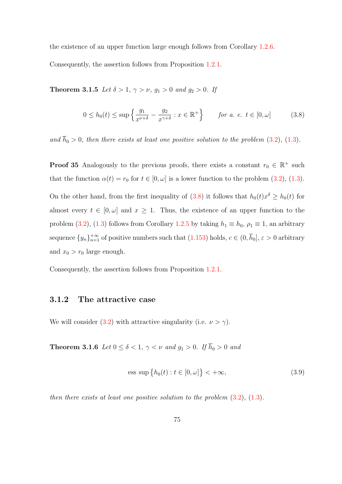the existence of an upper function large enough follows from Corollary [1.2.6.](#page-55-0) Consequently, the assertion follows from Proposition [1.2.1.](#page-41-0)

**Theorem 3.1.5** Let  $\delta > 1$ ,  $\gamma > \nu$ ,  $g_1 > 0$  and  $g_2 > 0$ . If

<span id="page-83-0"></span>
$$
0 \le h_0(t) \le \sup \left\{ \frac{g_1}{x^{\nu+\delta}} - \frac{g_2}{x^{\gamma+\delta}} : x \in \mathbb{R}^+ \right\} \qquad \text{for a. e. } t \in [0, \omega]
$$
 (3.8)

and  $\bar{h}_0 > 0$ , then there exists at least one positive solution to the problem [\(3.2\)](#page-79-0), [\(1.3\)](#page-14-0).

**Proof 35** Analogously to the previous proofs, there exists a constant  $r_0 \in \mathbb{R}^+$  such that the function  $\alpha(t) = r_0$  for  $t \in [0, \omega]$  is a lower function to the problem [\(3.2\)](#page-79-0), [\(1.3\)](#page-14-0). On the other hand, from the first inequality of [\(3.8\)](#page-83-0) it follows that  $h_0(t)x^{\delta} \geq h_0(t)$  for almost every  $t \in [0, \omega]$  and  $x \geq 1$ . Thus, the existence of an upper function to the problem [\(3.2\)](#page-79-0), [\(1.3\)](#page-14-0) follows from Corollary [1.2.5](#page-54-0) by taking  $h_1 \equiv h_0$ ,  $\rho_1 \equiv 1$ , an arbitrary sequence  $\{y_n\}_{n=1}^{+\infty}$  of positive numbers such that  $(1.153)$  holds,  $c \in (0, \overline{h}_0], \varepsilon > 0$  arbitrary and  $x_0 > r_0$  large enough.

Consequently, the assertion follows from Proposition [1.2.1.](#page-41-0)

## 3.1.2 The attractive case

<span id="page-83-2"></span>We will consider [\(3.2\)](#page-79-0) with attractive singularity (i.e.  $\nu > \gamma$ ).

**Theorem 3.1.6** Let  $0 \le \delta < 1$ ,  $\gamma < \nu$  and  $g_1 > 0$ . If  $\overline{h}_0 > 0$  and

<span id="page-83-1"></span>
$$
\text{ess sup }\big\{h_0(t) : t \in [0, \omega]\big\} < +\infty,\tag{3.9}
$$

then there exists at least one positive solution to the problem  $(3.2)$ ,  $(1.3)$ .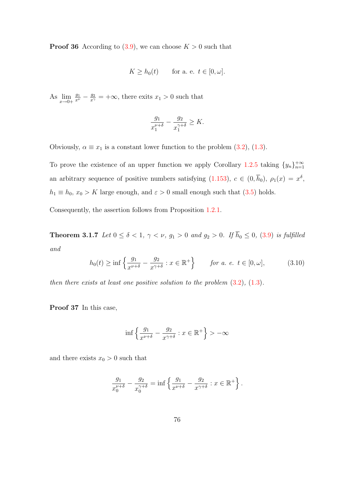**Proof 36** According to [\(3.9\)](#page-83-1), we can choose  $K > 0$  such that

$$
K \ge h_0(t) \quad \text{for a. e. } t \in [0, \omega].
$$

As  $\lim_{x\to 0+} \frac{g_1}{x^{\nu}} - \frac{g_2}{x^{\gamma}} = +\infty$ , there exits  $x_1 > 0$  such that

$$
\frac{g_1}{x_1^{\nu+\delta}} - \frac{g_2}{x_1^{\gamma+\delta}} \ge K.
$$

Obviously,  $\alpha \equiv x_1$  is a constant lower function to the problem [\(3.2\)](#page-79-0), [\(1.3\)](#page-14-0).

To prove the existence of an upper function we apply Corollary [1.2.5](#page-54-0) taking  $\{y_n\}_{n=1}^{+\infty}$ an arbitrary sequence of positive numbers satisfying  $(1.153)$ ,  $c \in (0, \overline{h}_0)$ ,  $\rho_1(x) = x^{\delta}$ ,  $h_1 \equiv h_0, x_0 > K$  large enough, and  $\varepsilon > 0$  small enough such that [\(3.5\)](#page-82-1) holds.

Consequently, the assertion follows from Proposition [1.2.1.](#page-41-0)

<span id="page-84-1"></span>**Theorem 3.1.7** Let  $0 \le \delta < 1$ ,  $\gamma < \nu$ ,  $g_1 > 0$  and  $g_2 > 0$ . If  $\bar{h}_0 \le 0$ , [\(3.9\)](#page-83-1) is fulfilled and

<span id="page-84-0"></span>
$$
h_0(t) \ge \inf \left\{ \frac{g_1}{x^{\nu+\delta}} - \frac{g_2}{x^{\gamma+\delta}} : x \in \mathbb{R}^+ \right\} \qquad \text{for a. e. } t \in [0, \omega], \tag{3.10}
$$

then there exists at least one positive solution to the problem  $(3.2)$ ,  $(1.3)$ .

Proof 37 In this case,

$$
\inf \left\{ \frac{g_1}{x^{\nu+\delta}} - \frac{g_2}{x^{\gamma+\delta}} : x \in \mathbb{R}^+ \right\} > -\infty
$$

and there exists  $x_0 > 0$  such that

$$
\frac{g_1}{x_0^{\nu+\delta}} - \frac{g_2}{x_0^{\gamma+\delta}} = \inf \left\{ \frac{g_1}{x^{\nu+\delta}} - \frac{g_2}{x^{\gamma+\delta}} : x \in \mathbb{R}^+ \right\}.
$$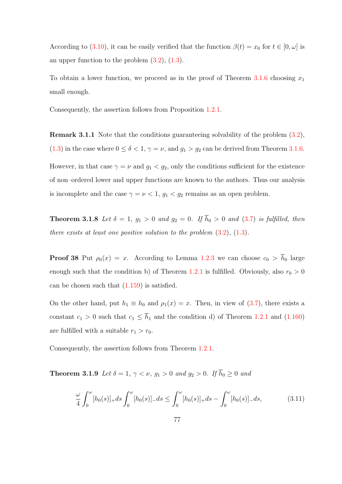According to [\(3.10\)](#page-84-0), it can be easily verified that the function  $\beta(t) = x_0$  for  $t \in [0, \omega]$  is an upper function to the problem  $(3.2)$ ,  $(1.3)$ .

To obtain a lower function, we proceed as in the proof of Theorem  $3.1.6$  choosing  $x_1$ small enough.

Consequently, the assertion follows from Proposition [1.2.1.](#page-41-0)

<span id="page-85-1"></span>Remark 3.1.1 Note that the conditions guaranteeing solvability of the problem [\(3.2\)](#page-79-0), [\(1.3\)](#page-14-0) in the case where  $0 \le \delta < 1$ ,  $\gamma = \nu$ , and  $g_1 > g_2$  can be derived from Theorem [3.1.6.](#page-83-2) However, in that case  $\gamma = \nu$  and  $g_1 < g_2$ , only the conditions sufficient for the existence of non–ordered lower and upper functions are known to the authors. Thus our analysis is incomplete and the case  $\gamma = \nu < 1$ ,  $g_1 < g_2$  remains as an open problem.

<span id="page-85-0"></span>**Theorem 3.1.8** Let  $\delta = 1$ ,  $g_1 > 0$  and  $g_2 = 0$ . If  $\overline{h}_0 > 0$  and [\(3.7\)](#page-82-0) is fulfilled, then there exists at least one positive solution to the problem  $(3.2)$ ,  $(1.3)$ .

**Proof 38** Put  $\rho_0(x) = x$ . According to Lemma [1.2.3](#page-45-0) we can choose  $c_0 > \bar{h}_0$  large enough such that the condition b) of Theorem [1.2.1](#page-55-1) is fulfilled. Obviously, also  $r_0 > 0$ can be chosen such that [\(1.159\)](#page-55-2) is satisfied.

On the other hand, put  $h_1 \equiv h_0$  and  $\rho_1(x) = x$ . Then, in view of [\(3.7\)](#page-82-0), there exists a constant  $c_1 > 0$  such that  $c_1 \leq \overline{h}_1$  and the condition d) of Theorem [1.2.1](#page-55-1) and [\(1.160\)](#page-55-3) are fulfilled with a suitable  $r_1 > r_0$ .

Consequently, the assertion follows from Theorem [1.2.1.](#page-55-1)

**Theorem 3.1.9** Let  $\delta = 1$ ,  $\gamma < \nu$ ,  $g_1 > 0$  and  $g_2 > 0$ . If  $\overline{h}_0 \ge 0$  and

$$
\frac{\omega}{4} \int_0^{\omega} [h_0(s)]_+ ds \int_0^{\omega} [h_0(s)]_- ds \le \int_0^{\omega} [h_0(s)]_+ ds - \int_0^{\omega} [h_0(s)]_- ds,\tag{3.11}
$$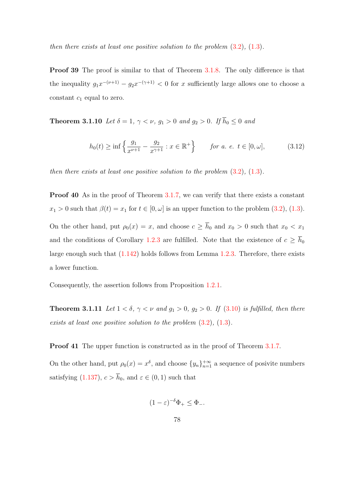then there exists at least one positive solution to the problem  $(3.2)$ ,  $(1.3)$ .

**Proof 39** The proof is similar to that of Theorem [3.1.8.](#page-85-0) The only difference is that the inequality  $g_1x^{-(\nu+1)} - g_2x^{-(\gamma+1)} < 0$  for x sufficiently large allows one to choose a constant  $c_1$  equal to zero.

**Theorem 3.1.10** Let  $\delta = 1$ ,  $\gamma < \nu$ ,  $g_1 > 0$  and  $g_2 > 0$ . If  $\overline{h}_0 \leq 0$  and

$$
h_0(t) \ge \inf \left\{ \frac{g_1}{x^{\nu+1}} - \frac{g_2}{x^{\gamma+1}} : x \in \mathbb{R}^+ \right\} \qquad \text{for a. e. } t \in [0, \omega], \tag{3.12}
$$

then there exists at least one positive solution to the problem  $(3.2)$ ,  $(1.3)$ .

Proof 40 As in the proof of Theorem [3.1.7,](#page-84-1) we can verify that there exists a constant  $x_1 > 0$  such that  $\beta(t) = x_1$  for  $t \in [0, \omega]$  is an upper function to the problem  $(3.2)$ ,  $(1.3)$ . On the other hand, put  $\rho_0(x) = x$ , and choose  $c \ge \overline{h}_0$  and  $x_0 > 0$  such that  $x_0 < x_1$ and the conditions of Corollary [1.2.3](#page-52-0) are fulfilled. Note that the existence of  $c \geq \bar{h}_0$ large enough such that [\(1.142\)](#page-52-1) holds follows from Lemma [1.2.3.](#page-45-0) Therefore, there exists a lower function.

Consequently, the assertion follows from Proposition [1.2.1.](#page-41-0)

**Theorem 3.1.11** Let  $1 < \delta$ ,  $\gamma < \nu$  and  $g_1 > 0$ ,  $g_2 > 0$ . If [\(3.10\)](#page-84-0) is fulfilled, then there exists at least one positive solution to the problem  $(3.2)$ ,  $(1.3)$ .

Proof 41 The upper function is constructed as in the proof of Theorem [3.1.7.](#page-84-1)

On the other hand, put  $\rho_0(x) = x^{\delta}$ , and choose  $\{y_n\}_{n=1}^{+\infty}$  a sequence of posivite numbers satisfying [\(1.137\)](#page-51-0),  $c > \bar{h}_0$ , and  $\varepsilon \in (0, 1)$  such that

$$
(1 - \varepsilon)^{-\delta} \Phi_+ \leq \Phi_-.
$$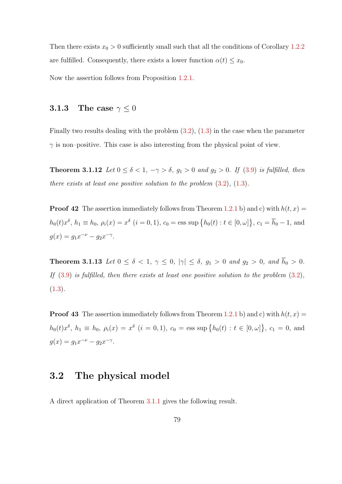Then there exists  $x_0 > 0$  sufficiently small such that all the conditions of Corollary [1.2.2](#page-51-1) are fulfilled. Consequently, there exists a lower function  $\alpha(t) \leq x_0$ .

Now the assertion follows from Proposition [1.2.1.](#page-41-0)

## **3.1.3** The case  $\gamma \leq 0$

Finally two results dealing with the problem  $(3.2)$ ,  $(1.3)$  in the case when the parameter  $\gamma$  is non–positive. This case is also interesting from the physical point of view.

<span id="page-87-0"></span>**Theorem 3.1.12** Let  $0 \le \delta < 1$ ,  $-\gamma > \delta$ ,  $g_1 > 0$  and  $g_2 > 0$ . If [\(3.9\)](#page-83-1) is fulfilled, then there exists at least one positive solution to the problem  $(3.2)$ ,  $(1.3)$ .

**Proof 42** The assertion immediately follows from Theorem [1.2.1](#page-55-1) b) and c) with  $h(t, x) =$  $h_0(t)x^{\delta}, h_1 \equiv h_0, \, \rho_i(x) = x^{\delta} \, (i = 0, 1), \, c_0 = \text{ess sup } \{h_0(t) : t \in [0, \omega] \}, \, c_1 = \overline{h}_0 - 1, \, \text{and}$  $g(x) = g_1 x^{-\nu} - g_2 x^{-\gamma}.$ 

<span id="page-87-1"></span>**Theorem 3.1.13** Let  $0 \le \delta < 1$ ,  $\gamma \le 0$ ,  $|\gamma| \le \delta$ ,  $g_1 > 0$  and  $g_2 > 0$ , and  $\bar{h}_0 > 0$ . If  $(3.9)$  is fulfilled, then there exists at least one positive solution to the problem  $(3.2)$ ,  $(1.3).$  $(1.3).$ 

**Proof 43** The assertion immediately follows from Theorem [1.2.1](#page-55-1) b) and c) with  $h(t, x) =$  $h_0(t)x^{\delta}, h_1 \equiv h_0, \ \rho_i(x) = x^{\delta} \ (i = 0, 1), \ c_0 = \text{ess sup }\{h_0(t) : t \in [0, \omega]\}, \ c_1 = 0, \text{ and}$  $g(x) = g_1 x^{-\nu} - g_2 x^{-\gamma}.$ 

# 3.2 The physical model

A direct application of Theorem [3.1.1](#page-80-0) gives the following result.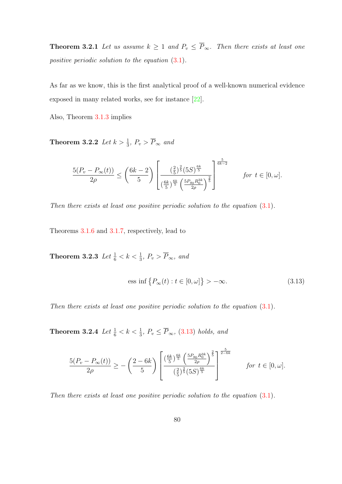**Theorem 3.2.1** Let us assume  $k \geq 1$  and  $P_v \leq \overline{P}_{\infty}$ . Then there exists at least one positive periodic solution to the equation [\(3.1\)](#page-78-0).

As far as we know, this is the first analytical proof of a well-known numerical evidence exposed in many related works, see for instance [\[22\]](#page-139-0).

Also, Theorem [3.1.3](#page-81-2) implies

**Theorem 3.2.2** Let  $k > \frac{1}{3}$ ,  $P_v > \overline{P}_{\infty}$  and

$$
\frac{5(P_v - P_\infty(t))}{2\rho} \le \left(\frac{6k-2}{5}\right) \left[ \frac{\left(\frac{2}{5}\right)^{\frac{2}{5}} (5S)^{\frac{6k}{5}}}{\left(\frac{6k}{5}\right)^{\frac{6k}{5}} \left(\frac{5P_{g_0}R_0^{3k}}{2\rho}\right)^{\frac{2}{5}}}\right]^{ \frac{5}{6k-2}} \quad \text{for } t \in [0, \omega].
$$

Then there exists at least one positive periodic solution to the equation  $(3.1)$ .

Theorems [3.1.6](#page-83-2) and [3.1.7,](#page-84-1) respectively, lead to

**Theorem 3.2.3** Let  $\frac{1}{6} < k < \frac{1}{3}$ ,  $P_v > \overline{P}_{\infty}$ , and

<span id="page-88-0"></span>
$$
\text{ess inf}\left\{P_{\infty}(t): t \in [0, \omega]\right\} > -\infty. \tag{3.13}
$$

Then there exists at least one positive periodic solution to the equation  $(3.1)$ .

**Theorem 3.2.4** Let  $\frac{1}{6} < k < \frac{1}{3}$ ,  $P_v \le \overline{P}_{\infty}$ , [\(3.13\)](#page-88-0) holds, and

$$
\frac{5(P_v - P_\infty(t))}{2\rho} \ge -\left(\frac{2 - 6k}{5}\right) \left[ \frac{\left(\frac{6k}{5}\right)^{\frac{6k}{5}} \left(\frac{5P_{g_0}R_0^{3k}}{2\rho}\right)^{\frac{2}{5}}}{\left(\frac{2}{5}\right)^{\frac{2}{5}}\left(5S\right)^{\frac{6k}{5}}} \right]^{\frac{5}{2 - 6k}} \quad \text{for } t \in [0, \omega].
$$

Then there exists at least one positive periodic solution to the equation  $(3.1)$ .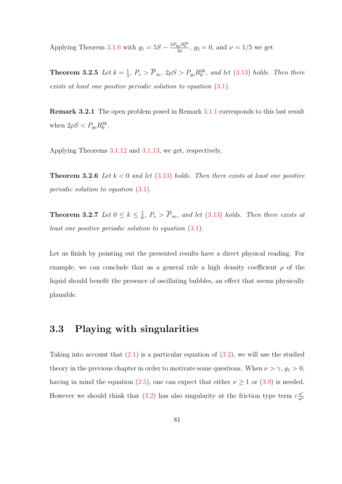Applying Theorem [3.1.6](#page-83-2) with  $g_1 = 5S - \frac{5P_{g_0}R_0^{3k}}{2\rho}$ ,  $g_2 = 0$ , and  $\nu = 1/5$  we get

Theorem 3.2.5 Let  $k=\frac{1}{3}$  $\frac{1}{3}$ ,  $P_v > \overline{P}_{\infty}$ ,  $2\rho S > P_{g_0}R_0^{3k}$ , and let  $(3.13)$  holds. Then there exists at least one positive periodic solution to equation  $(3.1)$ .

Remark 3.2.1 The open problem posed in Remark [3.1.1](#page-85-1) corresponds to this last result when  $2\rho S < P_{g_0} R_0^{3k}$ .

Applying Theorems [3.1.12](#page-87-0) and [3.1.13,](#page-87-1) we get, respectively,

**Theorem 3.2.6** Let  $k < 0$  and let  $(3.13)$  holds. Then there exists at least one positive periodic solution to equation [\(3.1\)](#page-78-0).

Theorem 3.2.7 Let  $0 \leq k \leq \frac{1}{6}$  $\frac{1}{6}$ ,  $P_v > P_{\infty}$ , and let [\(3.13\)](#page-88-0) holds. Then there exists at least one positive periodic solution to equation [\(3.1\)](#page-78-0).

Let us finish by pointing out the presented results have a direct physical reading. For example, we can conclude that as a general rule a high density coefficient  $\rho$  of the liquid should benefit the presence of oscillating bubbles, an effect that seems physically plausible.

# 3.3 Playing with singularities

Taking into account that  $(2.1)$  is a particular equation of  $(3.2)$ , we will use the studied theory in the previous chapter in order to motivate some questions. When  $\nu > \gamma$ ,  $g_1 > 0$ , having in mind the equation [\(2.5\)](#page-65-1), one can expect that either  $\nu \ge 1$  or [\(3.9\)](#page-83-1) is needed. However we should think that [\(3.2\)](#page-79-0) has also singularity at the friction type term  $c_{\frac{u'}{u}}$  $\overline{u^{\mu}}$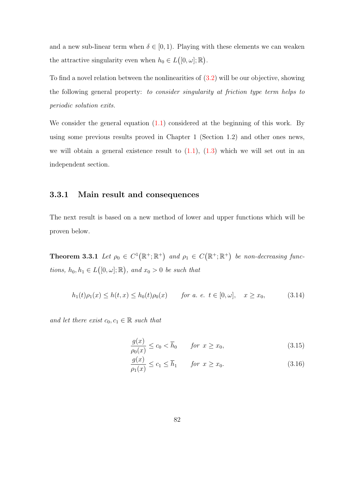and a new sub-linear term when  $\delta \in [0,1)$ . Playing with these elements we can weaken the attractive singularity even when  $h_0 \in L([0, \omega]; \mathbb{R})$ .

To find a novel relation between the nonlinearities of [\(3.2\)](#page-79-0) will be our objective, showing the following general property: to consider singularity at friction type term helps to periodic solution exits.

We consider the general equation  $(1.1)$  considered at the beginning of this work. By using some previous results proved in Chapter 1 (Section 1.2) and other ones news, we will obtain a general existence result to  $(1.1)$ ,  $(1.3)$  which we will set out in an independent section.

### 3.3.1 Main result and consequences

The next result is based on a new method of lower and upper functions which will be proven below.

<span id="page-90-0"></span>**Theorem 3.3.1** Let  $\rho_0 \in C^1(\mathbb{R}^+;\mathbb{R}^+)$  and  $\rho_1 \in C(\mathbb{R}^+;\mathbb{R}^+)$  be non-decreasing functions,  $h_0, h_1 \in L([0, \omega]; \mathbb{R})$ , and  $x_0 > 0$  be such that

$$
h_1(t)\rho_1(x) \le h(t,x) \le h_0(t)\rho_0(x) \qquad \text{for a. e. } t \in [0,\omega], \quad x \ge x_0,
$$
 (3.14)

and let there exist  $c_0, c_1 \in \mathbb{R}$  such that

<span id="page-90-1"></span>
$$
\frac{g(x)}{\rho_0(x)} \le c_0 < \overline{h}_0 \qquad \text{for } x \ge x_0,\tag{3.15}
$$

$$
\frac{g(x)}{\rho_1(x)} \le c_1 \le \overline{h}_1 \qquad \text{for } x \ge x_0. \tag{3.16}
$$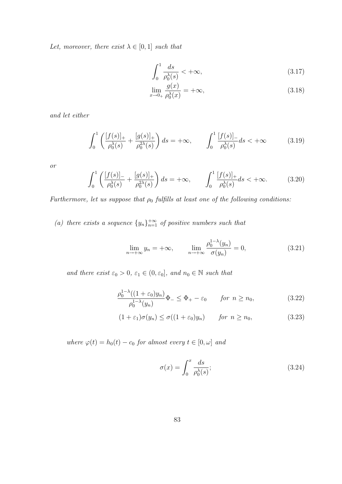Let, moreover, there exist  $\lambda \in [0,1]$  such that

$$
\int_0^1 \frac{ds}{\rho_0^\lambda(s)} < +\infty,\tag{3.17}
$$

$$
\lim_{x \to 0+} \frac{g(x)}{\rho_0^{\lambda}(x)} = +\infty, \tag{3.18}
$$

and let either

$$
\int_0^1 \left( \frac{[f(s)]_+}{\rho_0^{\lambda}(s)} + \frac{[g(s)]_+}{\rho_0^{2\lambda}(s)} \right) ds = +\infty, \qquad \int_0^1 \frac{[f(s)]_-}{\rho_0^{\lambda}(s)} ds < +\infty \tag{3.19}
$$

or

$$
\int_0^1 \left( \frac{[f(s)]_+}{\rho_0^{\lambda}(s)} + \frac{[g(s)]_+}{\rho_0^{2\lambda}(s)} \right) ds = +\infty, \qquad \int_0^1 \frac{[f(s)]_+}{\rho_0^{\lambda}(s)} ds < +\infty.
$$
 (3.20)

Furthermore, let us suppose that  $\rho_0$  fulfills at least one of the following conditions:

(a) there exists a sequence  $\{y_n\}_{n=1}^{+\infty}$  of positive numbers such that

<span id="page-91-2"></span>
$$
\lim_{n \to +\infty} y_n = +\infty, \qquad \lim_{n \to +\infty} \frac{\rho_0^{1-\lambda}(y_n)}{\sigma(y_n)} = 0,
$$
\n(3.21)

and there exist  $\varepsilon_0 > 0$ ,  $\varepsilon_1 \in (0, \varepsilon_0]$ , and  $n_0 \in \mathbb{N}$  such that

$$
\frac{\rho_0^{1-\lambda}((1+\varepsilon_0)y_n)}{\rho_0^{1-\lambda}(y_n)}\Phi_{-} \le \Phi_{+} - \varepsilon_0 \qquad \text{for } n \ge n_0,
$$
\n(3.22)

$$
(1 + \varepsilon_1)\sigma(y_n) \le \sigma((1 + \varepsilon_0)y_n) \qquad \text{for } n \ge n_0,
$$
\n(3.23)

where  $\varphi(t) = h_0(t) - c_0$  for almost every  $t \in [0, \omega]$  and

<span id="page-91-1"></span><span id="page-91-0"></span>
$$
\sigma(x) = \int_0^x \frac{ds}{\rho_0^{\lambda}(s)};
$$
\n(3.24)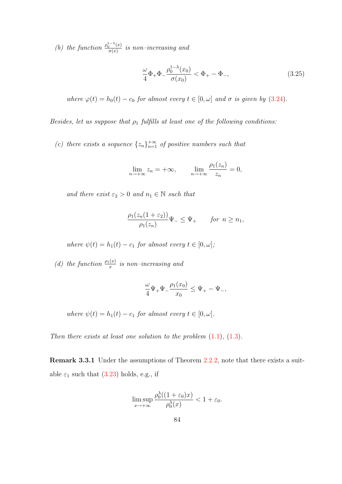(b) the function  $\frac{\rho_0^{1-\lambda}(x)}{\sigma(x)}$  $\frac{d}{d\sigma(x)}$  is non–increasing and

$$
\frac{\omega}{4}\Phi_+\Phi_-\frac{\rho_0^{1-\lambda}(x_0)}{\sigma(x_0)} < \Phi_+ - \Phi_-, \tag{3.25}
$$

where  $\varphi(t) = h_0(t) - c_0$  for almost every  $t \in [0, \omega]$  and  $\sigma$  is given by [\(3.24\)](#page-91-0).

Besides, let us suppose that  $\rho_1$  fulfills at least one of the following conditions:

(c) there exists a sequence  $\{z_n\}_{n=1}^{+\infty}$  of positive numbers such that

$$
\lim_{n \to +\infty} z_n = +\infty, \qquad \lim_{n \to +\infty} \frac{\rho_1(z_n)}{z_n} = 0,
$$

and there exist  $\varepsilon_2 > 0$  and  $n_1 \in \mathbb{N}$  such that

$$
\frac{\rho_1(z_n(1+\varepsilon_2))}{\rho_1(z_n)}\Psi_{-} \le \Psi_{+} \qquad \text{for } n \ge n_1,
$$

where  $\psi(t) = h_1(t) - c_1$  for almost every  $t \in [0, \omega]$ ;

(d) the function  $\frac{\rho_1(x)}{x}$  is non-increasing and

$$
\frac{\omega}{4}\Psi_+\Psi_-\frac{\rho_1(x_0)}{x_0}\leq \Psi_+-\Psi_-,
$$

where  $\psi(t) = h_1(t) - c_1$  for almost every  $t \in [0, \omega]$ .

Then there exists at least one solution to the problem  $(1.1)$ ,  $(1.3)$ .

Remark 3.3.1 Under the assumptions of Theorem [2.2.2,](#page-70-0) note that there exists a suitable  $\varepsilon_1$  such that [\(3.23\)](#page-91-1) holds, e.g., if

$$
\limsup_{x \to +\infty} \frac{\rho_0^{\lambda}((1+\varepsilon_0)x)}{\rho_0^{\lambda}(x)} < 1 + \varepsilon_0.
$$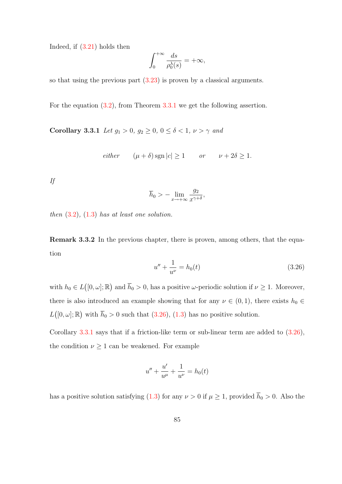Indeed, if [\(3.21\)](#page-91-2) holds then

$$
\int_0^{+\infty} \frac{ds}{\rho_0^{\lambda}(s)} = +\infty,
$$

so that using the previous part [\(3.23\)](#page-91-1) is proven by a classical arguments.

<span id="page-93-1"></span>For the equation [\(3.2\)](#page-79-0), from Theorem [3.3.1](#page-90-0) we get the following assertion.

Corollary 3.3.1 Let  $g_1 > 0$ ,  $g_2 \ge 0$ ,  $0 \le \delta < 1$ ,  $\nu > \gamma$  and

either  $(\mu + \delta)$  sgn  $|c| \ge 1$  or  $\nu + 2\delta \ge 1$ .

If

$$
\overline{h}_0 > -\lim_{x \to +\infty} \frac{g_2}{x^{\gamma+\delta}},
$$

then  $(3.2)$ ,  $(1.3)$  has at least one solution.

Remark 3.3.2 In the previous chapter, there is proven, among others, that the equation

<span id="page-93-0"></span>
$$
u'' + \frac{1}{u^{\nu}} = h_0(t) \tag{3.26}
$$

with  $h_0 \in L([0, \omega]; \mathbb{R})$  and  $\overline{h}_0 > 0$ , has a positive  $\omega$ -periodic solution if  $\nu \geq 1$ . Moreover, there is also introduced an example showing that for any  $\nu \in (0,1)$ , there exists  $h_0 \in$  $L([0, \omega]; \mathbb{R})$  with  $\bar{h}_0 > 0$  such that  $(3.26), (1.3)$  $(3.26), (1.3)$  has no positive solution.

Corollary [3.3.1](#page-93-1) says that if a friction-like term or sub-linear term are added to [\(3.26\)](#page-93-0), the condition  $\nu \geq 1$  can be weakened. For example

$$
u'' + \frac{u'}{u^{\mu}} + \frac{1}{u^{\nu}} = h_0(t)
$$

has a positive solution satisfying [\(1.3\)](#page-14-0) for any  $\nu > 0$  if  $\mu \geq 1$ , provided  $\overline{h}_0 > 0$ . Also the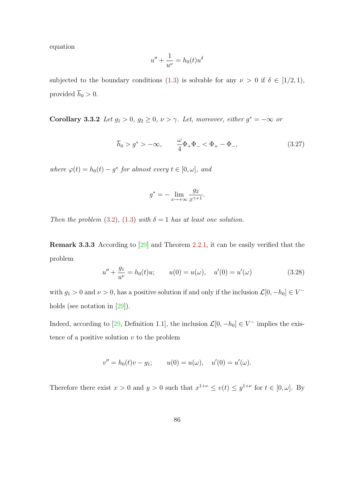equation

$$
u'' + \frac{1}{u^{\nu}} = h_0(t)u^{\delta}
$$

subjected to the boundary conditions [\(1.3\)](#page-14-0) is solvable for any  $\nu > 0$  if  $\delta \in [1/2, 1)$ , provided  $\overline{h}_0 > 0$ .

**Corollary 3.3.2** Let  $g_1 > 0$ ,  $g_2 \geq 0$ ,  $\nu > \gamma$ . Let, moreover, either  $g^* = -\infty$  or

<span id="page-94-1"></span>
$$
\overline{h}_0 > g^* > -\infty,
$$
\n $\frac{\omega}{4} \Phi_+ \Phi_- < \Phi_+ - \Phi_-,$ \n(3.27)

where  $\varphi(t) = h_0(t) - g^*$  for almost every  $t \in [0, \omega]$ , and

$$
g^* = -\lim_{x \to +\infty} \frac{g_2}{x^{\gamma+1}}.
$$

Then the problem [\(3.2\)](#page-79-0), [\(1.3\)](#page-14-0) with  $\delta = 1$  has at least one solution.

Remark 3.3.3 According to [\[29\]](#page-140-0) and Theorem [2.2.1,](#page-65-2) it can be easily verified that the problem

<span id="page-94-0"></span>
$$
u'' + \frac{g_1}{u^{\nu}} = h_0(t)u; \qquad u(0) = u(\omega), \quad u'(0) = u'(\omega)
$$
 (3.28)

with  $g_1 > 0$  and  $\nu > 0$ , has a positive solution if and only if the inclusion  $\mathcal{L}[0, -h_0] \in V^-$ holds (see notation in [\[29\]](#page-140-0)).

Indeed, according to [\[29,](#page-140-0) Definition 1.1], the inclusion  $\mathcal{L}[0, -h_0] \in V^-$  implies the existence of a positive solution  $v$  to the problem

$$
v'' = h_0(t)v - g_1; \qquad u(0) = u(\omega), \quad u'(0) = u'(\omega).
$$

Therefore there exist  $x > 0$  and  $y > 0$  such that  $x^{1+\nu} \leq v(t) \leq y^{1+\nu}$  for  $t \in [0, \omega]$ . By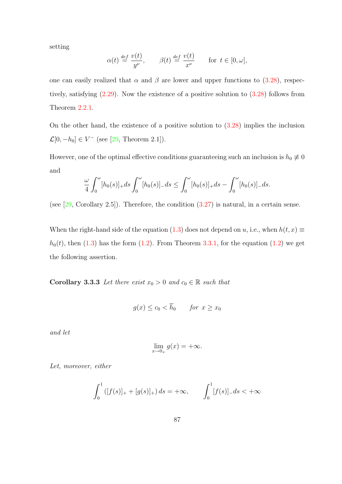setting

$$
\alpha(t) \stackrel{\text{def}}{=} \frac{v(t)}{y^{\nu}}, \qquad \beta(t) \stackrel{\text{def}}{=} \frac{v(t)}{x^{\nu}} \qquad \text{for } t \in [0, \omega],
$$

one can easily realized that  $\alpha$  and  $\beta$  are lower and upper functions to [\(3.28\)](#page-94-0), respectively, satisfying [\(2.29\)](#page-71-3). Now the existence of a positive solution to [\(3.28\)](#page-94-0) follows from Theorem [2.2.1.](#page-65-2)

On the other hand, the existence of a positive solution to  $(3.28)$  implies the inclusion  $\mathcal{L}[0, -h_0] \in V^-$  (see [\[29,](#page-140-0) Theorem 2.1]).

However, one of the optimal effective conditions guaranteeing such an inclusion is  $h_0 \neq 0$ and

$$
\frac{\omega}{4} \int_0^{\omega} [h_0(s)]_+ ds \int_0^{\omega} [h_0(s)]_- ds \le \int_0^{\omega} [h_0(s)]_+ ds - \int_0^{\omega} [h_0(s)]_- ds.
$$

(see  $[29, Corollary 2.5]$ ). Therefore, the condition  $(3.27)$  is natural, in a certain sense.

When the right-hand side of the equation [\(1.3\)](#page-14-0) does not depend on u, i.e., when  $h(t, x) \equiv$  $h_0(t)$ , then [\(1.3\)](#page-14-0) has the form [\(1.2\)](#page-14-3). From Theorem [3.3.1,](#page-90-0) for the equation (1.2) we get the following assertion.

**Corollary 3.3.3** Let there exist  $x_0 > 0$  and  $c_0 \in \mathbb{R}$  such that

$$
g(x) \le c_0 < \overline{h}_0 \qquad \text{for } x \ge x_0
$$

and let

$$
\lim_{x \to 0_+} g(x) = +\infty.
$$

Let, moreover, either

$$
\int_0^1 ([f(s)]_+ + [g(s)]_+) ds = +\infty, \qquad \int_0^1 [f(s)]_- ds < +\infty
$$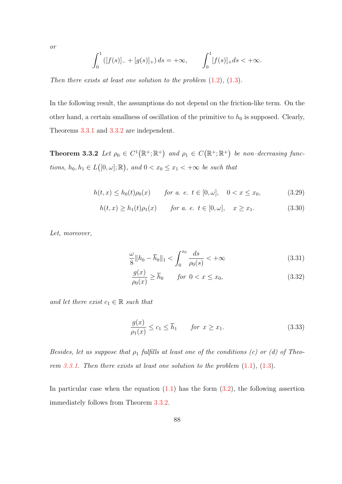or

$$
\int_0^1 ([f(s)]_- + [g(s)]_+) ds = +\infty, \qquad \int_0^1 [f(s)]_+ ds < +\infty.
$$

Then there exists at least one solution to the problem  $(1.2)$ ,  $(1.3)$ .

In the following result, the assumptions do not depend on the friction-like term. On the other hand, a certain smallness of oscillation of the primitive to  $h_0$  is supposed. Clearly, Theorems [3.3.1](#page-90-0) and [3.3.2](#page-96-0) are independent.

<span id="page-96-0"></span>**Theorem 3.3.2** Let  $\rho_0 \in C^1(\mathbb{R}^+;\mathbb{R}^+)$  and  $\rho_1 \in C(\mathbb{R}^+;\mathbb{R}^+)$  be non-decreasing functions,  $h_0, h_1 \in L([0, \omega]; \mathbb{R})$ , and  $0 < x_0 \leq x_1 < +\infty$  be such that

$$
h(t,x) \le h_0(t)\rho_0(x) \qquad \text{for a. } e. \ t \in [0,\omega], \quad 0 < x \le x_0,\tag{3.29}
$$

$$
h(t, x) \ge h_1(t)\rho_1(x) \qquad \text{for a. } e. \ t \in [0, \omega], \quad x \ge x_1. \tag{3.30}
$$

Let, moreover,

$$
\frac{\omega}{8} \|h_0 - \overline{h}_0\|_1 < \int_0^{x_0} \frac{ds}{\rho_0(s)} < +\infty
$$
\n(3.31)

$$
\frac{g(x)}{\rho_0(x)} \ge \overline{h}_0 \qquad \text{for } 0 < x \le x_0,\tag{3.32}
$$

and let there exist  $c_1 \in \mathbb{R}$  such that

$$
\frac{g(x)}{\rho_1(x)} \le c_1 \le \overline{h}_1 \qquad \text{for } x \ge x_1. \tag{3.33}
$$

Besides, let us suppose that  $\rho_1$  fulfills at least one of the conditions (c) or (d) of Theo-rem [3.3.1.](#page-90-0) Then there exists at least one solution to the problem  $(1.1)$ ,  $(1.3)$ .

In particular case when the equation  $(1.1)$  has the form  $(3.2)$ , the following assertion immediately follows from Theorem [3.3.2.](#page-96-0)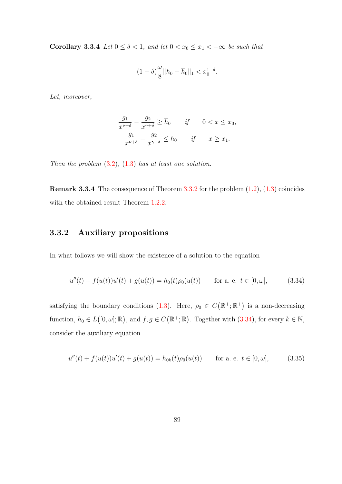Corollary 3.3.4 Let  $0 \le \delta < 1$ , and let  $0 < x_0 \le x_1 < +\infty$  be such that

$$
(1-\delta)\frac{\omega}{8}||h_0 - \overline{h}_0||_1 < x_0^{1-\delta}.
$$

Let, moreover,

$$
\frac{g_1}{x^{\nu+\delta}} - \frac{g_2}{x^{\gamma+\delta}} \ge \overline{h}_0 \qquad \text{if} \qquad 0 < x \le x_0,
$$
\n
$$
\frac{g_1}{x^{\nu+\delta}} - \frac{g_2}{x^{\gamma+\delta}} \le \overline{h}_0 \qquad \text{if} \qquad x \ge x_1.
$$

Then the problem  $(3.2)$ ,  $(1.3)$  has at least one solution.

**Remark 3.3.4** The consequence of Theorem  $3.3.2$  for the problem  $(1.2)$ ,  $(1.3)$  coincides with the obtained result Theorem [1.2.2.](#page-59-0)

# 3.3.2 Auxiliary propositions

In what follows we will show the existence of a solution to the equation

<span id="page-97-0"></span>
$$
u''(t) + f(u(t))u'(t) + g(u(t)) = h_0(t)\rho_0(u(t)) \quad \text{for a. e. } t \in [0, \omega], \tag{3.34}
$$

satisfying the boundary conditions [\(1.3\)](#page-14-0). Here,  $\rho_0 \in C(\mathbb{R}^+;\mathbb{R}^+)$  is a non-decreasing function,  $h_0 \in L([0,\omega];\mathbb{R})$ , and  $f, g \in C(\mathbb{R}^+;\mathbb{R})$ . Together with  $(3.34)$ , for every  $k \in \mathbb{N}$ , consider the auxiliary equation

<span id="page-97-1"></span>
$$
u''(t) + f(u(t))u'(t) + g(u(t)) = h_{0k}(t)\rho_0(u(t)) \quad \text{for a. e. } t \in [0, \omega], \tag{3.35}
$$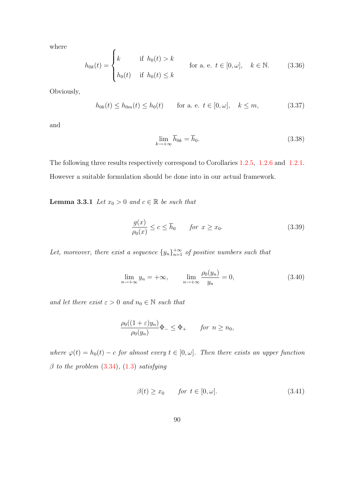where

<span id="page-98-4"></span>
$$
h_{0k}(t) = \begin{cases} k & \text{if } h_0(t) > k \\ h_0(t) & \text{if } h_0(t) \le k \end{cases}
$$
 for a. e.  $t \in [0, \omega]$ ,  $k \in \mathbb{N}$ . (3.36)

Obviously,

<span id="page-98-6"></span>
$$
h_{0k}(t) \le h_{0m}(t) \le h_0(t) \quad \text{for a. e. } t \in [0, \omega], \quad k \le m,
$$
 (3.37)

and

<span id="page-98-5"></span>
$$
\lim_{k \to +\infty} \overline{h}_{0k} = \overline{h}_0. \tag{3.38}
$$

<span id="page-98-0"></span>The following three results respectively correspond to Corollaries [1.2.5,](#page-54-0) [1.2.6](#page-55-0) and [1.2.1.](#page-50-0) However a suitable formulation should be done into in our actual framework.

**Lemma 3.3.1** Let  $x_0 > 0$  and  $c \in \mathbb{R}$  be such that

<span id="page-98-1"></span>
$$
\frac{g(x)}{\rho_0(x)} \le c \le \overline{h}_0 \qquad \text{for } x \ge x_0. \tag{3.39}
$$

Let, moreover, there exist a sequence  $\{y_n\}_{n=1}^{+\infty}$  of positive numbers such that

<span id="page-98-3"></span>
$$
\lim_{n \to +\infty} y_n = +\infty, \qquad \lim_{n \to +\infty} \frac{\rho_0(y_n)}{y_n} = 0,
$$
\n(3.40)

and let there exist  $\varepsilon > 0$  and  $n_0 \in \mathbb{N}$  such that

$$
\frac{\rho_0((1+\varepsilon)y_n)}{\rho_0(y_n)}\Phi_-\leq \Phi_+\qquad\text{for}\,\ n\geq n_0,
$$

<span id="page-98-7"></span>where  $\varphi(t) = h_0(t) - c$  for almost every  $t \in [0, \omega]$ . Then there exists an upper function  $\beta$  to the problem  $(3.34)$ ,  $(1.3)$  satisfying

<span id="page-98-2"></span>
$$
\beta(t) \ge x_0 \qquad \text{for } t \in [0, \omega]. \tag{3.41}
$$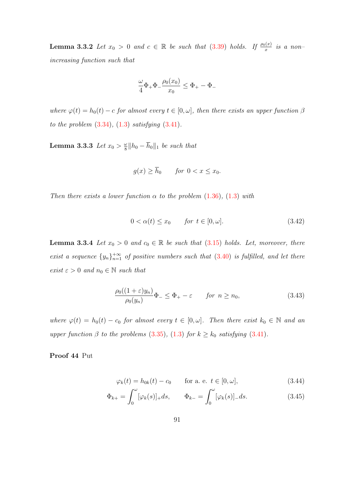**Lemma 3.3.2** Let  $x_0 > 0$  and  $c \in \mathbb{R}$  be such that  $(3.39)$  holds. If  $\frac{\rho_0(x)}{x}$  is a nonincreasing function such that

$$
\frac{\omega}{4}\Phi_+\Phi_-\frac{\rho_0(x_0)}{x_0}\leq \Phi_+-\Phi_-
$$

where  $\varphi(t) = h_0(t) - c$  for almost every  $t \in [0, \omega]$ , then there exists an upper function  $\beta$ to the problem  $(3.34)$ ,  $(1.3)$  satisfying  $(3.41)$ .

**Lemma 3.3.3** Let  $x_0 > \frac{\omega}{8}$  $\frac{\omega}{8}$ || $h_0 - h_0$ ||<sub>1</sub> be such that

$$
g(x) \ge \overline{h}_0 \qquad \text{for } 0 < x \le x_0.
$$

Then there exists a lower function  $\alpha$  to the problem [\(1.36\)](#page-25-0), [\(1.3\)](#page-14-0) with

$$
0 < \alpha(t) \le x_0 \qquad \text{for } t \in [0, \omega]. \tag{3.42}
$$

<span id="page-99-3"></span>**Lemma 3.3.4** Let  $x_0 > 0$  and  $c_0 \in \mathbb{R}$  be such that [\(3.15\)](#page-90-1) holds. Let, moreover, there exist a sequence  $\{y_n\}_{n=1}^{+\infty}$  of positive numbers such that [\(3.40\)](#page-98-3) is fulfilled, and let there exist  $\varepsilon > 0$  and  $n_0 \in \mathbb{N}$  such that

<span id="page-99-0"></span>
$$
\frac{\rho_0((1+\varepsilon)y_n)}{\rho_0(y_n)}\Phi_- \le \Phi_+ - \varepsilon \qquad \text{for } n \ge n_0,\tag{3.43}
$$

where  $\varphi(t) = h_0(t) - c_0$  for almost every  $t \in [0, \omega]$ . Then there exist  $k_0 \in \mathbb{N}$  and an upper function  $\beta$  to the problems [\(3.35\)](#page-97-1), [\(1.3\)](#page-14-0) for  $k \geq k_0$  satisfying [\(3.41\)](#page-98-2).

Proof 44 Put

<span id="page-99-2"></span><span id="page-99-1"></span>
$$
\varphi_k(t) = h_{0k}(t) - c_0 \qquad \text{for a. e. } t \in [0, \omega], \tag{3.44}
$$

$$
\Phi_{k+} = \int_0^\omega [\varphi_k(s)]_+ ds, \qquad \Phi_{k-} = \int_0^\omega [\varphi_k(s)]_- ds. \tag{3.45}
$$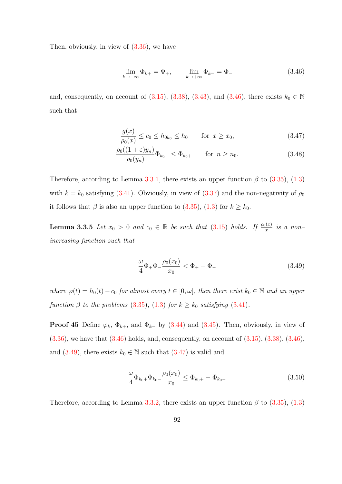Then, obviously, in view of  $(3.36)$ , we have

<span id="page-100-0"></span>
$$
\lim_{k \to +\infty} \Phi_{k+} = \Phi_+, \qquad \lim_{k \to +\infty} \Phi_{k-} = \Phi_-\n \tag{3.46}
$$

and, consequently, on account of  $(3.15)$ ,  $(3.38)$ ,  $(3.43)$ , and  $(3.46)$ , there exists  $k_0 \in \mathbb{N}$ such that

<span id="page-100-2"></span>
$$
\frac{g(x)}{\rho_0(x)} \le c_0 \le \overline{h}_{0k_0} \le \overline{h}_0 \qquad \text{for } x \ge x_0,
$$
\n(3.47)

$$
\frac{\rho_0((1+\varepsilon)y_n)}{\rho_0(y_n)}\Phi_{k_0-} \le \Phi_{k_0+} \qquad \text{for } n \ge n_0. \tag{3.48}
$$

Therefore, according to Lemma [3.3.1,](#page-98-0) there exists an upper function  $\beta$  to [\(3.35\)](#page-97-1), [\(1.3\)](#page-14-0) with  $k = k_0$  satisfying [\(3.41\)](#page-98-2). Obviously, in view of [\(3.37\)](#page-98-6) and the non-negativity of  $\rho_0$ it follows that  $\beta$  is also an upper function to [\(3.35\)](#page-97-1), [\(1.3\)](#page-14-0) for  $k \geq k_0$ .

**Lemma 3.3.5** Let  $x_0 > 0$  and  $c_0 \in \mathbb{R}$  be such that  $(3.15)$  holds. If  $\frac{\rho_0(x)}{x}$  is a nonincreasing function such that

<span id="page-100-1"></span>
$$
\frac{\omega}{4}\Phi_+\Phi_-\frac{\rho_0(x_0)}{x_0} < \Phi_+ - \Phi_- \tag{3.49}
$$

where  $\varphi(t) = h_0(t) - c_0$  for almost every  $t \in [0, \omega]$ , then there exist  $k_0 \in \mathbb{N}$  and an upper function  $\beta$  to the problems [\(3.35\)](#page-97-1), [\(1.3\)](#page-14-0) for  $k \geq k_0$  satisfying [\(3.41\)](#page-98-2).

**Proof 45** Define  $\varphi_k$ ,  $\Phi_{k+}$ , and  $\Phi_{k-}$  by [\(3.44\)](#page-99-1) and [\(3.45\)](#page-99-2). Then, obviously, in view of  $(3.36)$ , we have that  $(3.46)$  holds, and, consequently, on account of  $(3.15)$ ,  $(3.38)$ ,  $(3.46)$ , and  $(3.49)$ , there exists  $k_0 \in \mathbb{N}$  such that  $(3.47)$  is valid and

$$
\frac{\omega}{4}\Phi_{k_0+}\Phi_{k_0-}\frac{\rho_0(x_0)}{x_0} \le \Phi_{k_0+} - \Phi_{k_0-}
$$
\n(3.50)

Therefore, according to Lemma [3.3.2,](#page-98-7) there exists an upper function  $\beta$  to [\(3.35\)](#page-97-1), [\(1.3\)](#page-14-0)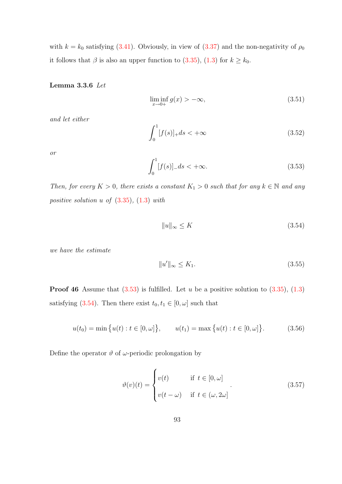with  $k = k_0$  satisfying [\(3.41\)](#page-98-2). Obviously, in view of [\(3.37\)](#page-98-6) and the non-negativity of  $\rho_0$ it follows that  $\beta$  is also an upper function to [\(3.35\)](#page-97-1), [\(1.3\)](#page-14-0) for  $k \geq k_0$ .

#### <span id="page-101-7"></span>Lemma 3.3.6 Let

<span id="page-101-4"></span>
$$
\liminf_{x \to 0+} g(x) > -\infty, \tag{3.51}
$$

and let either

<span id="page-101-6"></span>
$$
\int_{0}^{1} [f(s)]_{+} ds < +\infty
$$
\n(3.52)

or

<span id="page-101-0"></span>
$$
\int_{0}^{1} [f(s)]_{-} ds < +\infty.
$$
\n(3.53)

Then, for every  $K > 0$ , there exists a constant  $K_1 > 0$  such that for any  $k \in \mathbb{N}$  and any positive solution  $u$  of  $(3.35)$ ,  $(1.3)$  with

<span id="page-101-1"></span>
$$
||u||_{\infty} \le K \tag{3.54}
$$

we have the estimate

<span id="page-101-5"></span>
$$
||u'||_{\infty} \le K_1. \tag{3.55}
$$

**Proof 46** Assume that  $(3.53)$  is fulfilled. Let u be a positive solution to  $(3.35)$ ,  $(1.3)$ satisfying [\(3.54\)](#page-101-1). Then there exist  $t_0, t_1 \in [0, \omega]$  such that

<span id="page-101-2"></span>
$$
u(t_0) = \min\{u(t) : t \in [0, \omega]\}, \qquad u(t_1) = \max\{u(t) : t \in [0, \omega]\}.
$$
 (3.56)

Define the operator  $\vartheta$  of  $\omega$ -periodic prolongation by

<span id="page-101-3"></span>
$$
\vartheta(v)(t) = \begin{cases} v(t) & \text{if } t \in [0, \omega] \\ v(t - \omega) & \text{if } t \in (\omega, 2\omega] \end{cases}
$$
\n(3.57)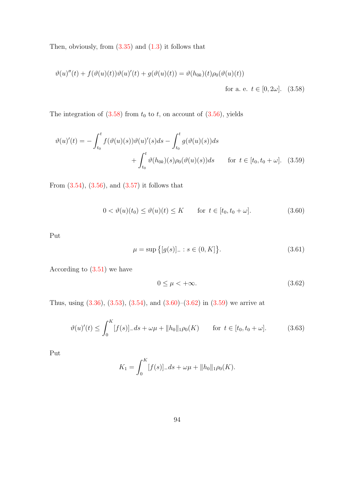Then, obviously, from  $(3.35)$  and  $(1.3)$  it follows that

$$
\vartheta(u)''(t) + f(\vartheta(u)(t))\vartheta(u)'(t) + g(\vartheta(u)(t)) = \vartheta(h_{0k})(t)\rho_0(\vartheta(u)(t))
$$
  
for a. e.  $t \in [0, 2\omega]$ . (3.58)

The integration of  $(3.58)$  from  $t_0$  to  $t$ , on account of  $(3.56)$ , yields

$$
\vartheta(u)'(t) = -\int_{t_0}^t f(\vartheta(u)(s))\vartheta(u)'(s)ds - \int_{t_0}^t g(\vartheta(u)(s))ds + \int_{t_0}^t \vartheta(h_{0k})(s)\rho_0(\vartheta(u)(s))ds \quad \text{for } t \in [t_0, t_0 + \omega]. \tag{3.59}
$$

From  $(3.54)$ ,  $(3.56)$ , and  $(3.57)$  it follows that

<span id="page-102-1"></span><span id="page-102-0"></span>
$$
0 < \vartheta(u)(t_0) \le \vartheta(u)(t) \le K \qquad \text{for } t \in [t_0, t_0 + \omega]. \tag{3.60}
$$

Put

<span id="page-102-3"></span>
$$
\mu = \sup \{ [g(s)]_{-} : s \in (0, K] \}.
$$
\n(3.61)

According to [\(3.51\)](#page-101-4) we have

<span id="page-102-2"></span>
$$
0 \le \mu < +\infty. \tag{3.62}
$$

Thus, using  $(3.36)$ ,  $(3.53)$ ,  $(3.54)$ , and  $(3.60)$ – $(3.62)$  in  $(3.59)$  we arrive at

<span id="page-102-4"></span>
$$
\vartheta(u)'(t) \le \int_0^K [f(s)] - ds + \omega \mu + ||h_0||_1 \rho_0(K) \qquad \text{for } t \in [t_0, t_0 + \omega]. \tag{3.63}
$$

Put

$$
K_1 = \int_0^K [f(s)]_- ds + \omega \mu + ||h_0||_1 \rho_0(K).
$$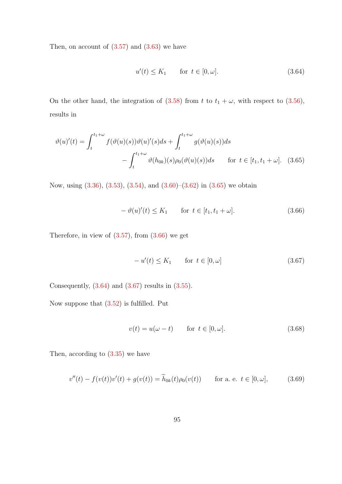Then, on account of  $(3.57)$  and  $(3.63)$  we have

<span id="page-103-2"></span><span id="page-103-0"></span>
$$
u'(t) \le K_1 \qquad \text{for } t \in [0, \omega]. \tag{3.64}
$$

On the other hand, the integration of  $(3.58)$  from t to  $t_1 + \omega$ , with respect to  $(3.56)$ , results in

$$
\vartheta(u)'(t) = \int_t^{t_1+\omega} f(\vartheta(u)(s))\vartheta(u)'(s)ds + \int_t^{t_1+\omega} g(\vartheta(u)(s))ds
$$
  
 
$$
- \int_t^{t_1+\omega} \vartheta(h_{0k})(s)\rho_0(\vartheta(u)(s))ds \quad \text{for } t \in [t_1, t_1+\omega]. \tag{3.65}
$$

Now, using [\(3.36\)](#page-98-4), [\(3.53\)](#page-101-0), [\(3.54\)](#page-101-1), and [\(3.60\)](#page-102-1)–[\(3.62\)](#page-102-2) in [\(3.65\)](#page-103-0) we obtain

<span id="page-103-1"></span>
$$
-\vartheta(u)'(t) \le K_1 \qquad \text{for } t \in [t_1, t_1 + \omega].\tag{3.66}
$$

Therefore, in view of  $(3.57)$ , from  $(3.66)$  we get

<span id="page-103-3"></span>
$$
-u'(t) \le K_1 \qquad \text{for } t \in [0, \omega] \tag{3.67}
$$

Consequently,  $(3.64)$  and  $(3.67)$  results in  $(3.55)$ .

Now suppose that [\(3.52\)](#page-101-6) is fulfilled. Put

<span id="page-103-4"></span>
$$
v(t) = u(\omega - t) \qquad \text{for } t \in [0, \omega]. \tag{3.68}
$$

Then, according to [\(3.35\)](#page-97-1) we have

$$
v''(t) - f(v(t))v'(t) + g(v(t)) = \tilde{h}_{0k}(t)\rho_0(v(t)) \quad \text{for a. e. } t \in [0, \omega], \tag{3.69}
$$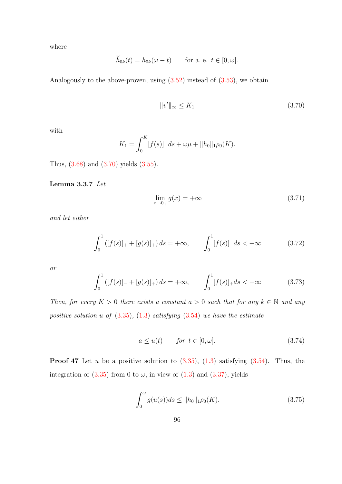where

$$
\widetilde{h}_{0k}(t) = h_{0k}(\omega - t) \quad \text{for a. e. } t \in [0, \omega].
$$

Analogously to the above-proven, using  $(3.52)$  instead of  $(3.53)$ , we obtain

<span id="page-104-0"></span>
$$
||v'||_{\infty} \le K_1 \tag{3.70}
$$

with

$$
K_1 = \int_0^K [f(s)]_+ ds + \omega \mu + ||h_0||_1 \rho_0(K).
$$

<span id="page-104-6"></span>Thus, [\(3.68\)](#page-103-4) and [\(3.70\)](#page-104-0) yields [\(3.55\)](#page-101-5).

Lemma 3.3.7 Let

<span id="page-104-1"></span>
$$
\lim_{x \to 0_+} g(x) = +\infty \tag{3.71}
$$

and let either

<span id="page-104-4"></span>
$$
\int_0^1 ([f(s)]_+ + [g(s)]_+) ds = +\infty, \qquad \int_0^1 [f(s)]_- ds < +\infty \tag{3.72}
$$

or

<span id="page-104-5"></span>
$$
\int_0^1 ([f(s)]_- + [g(s)]_+) ds = +\infty, \qquad \int_0^1 [f(s)]_+ ds < +\infty \tag{3.73}
$$

Then, for every  $K > 0$  there exists a constant  $a > 0$  such that for any  $k \in \mathbb{N}$  and any positive solution u of  $(3.35)$ ,  $(1.3)$  satisfying  $(3.54)$  we have the estimate

<span id="page-104-2"></span>
$$
a \le u(t) \qquad \text{for } t \in [0, \omega]. \tag{3.74}
$$

**Proof 47** Let u be a positive solution to  $(3.35)$ ,  $(1.3)$  satisfying  $(3.54)$ . Thus, the integration of  $(3.35)$  from 0 to  $\omega$ , in view of  $(1.3)$  and  $(3.37)$ , yields

<span id="page-104-3"></span>
$$
\int_0^\omega g(u(s))ds \le ||h_0||_1 \rho_0(K). \tag{3.75}
$$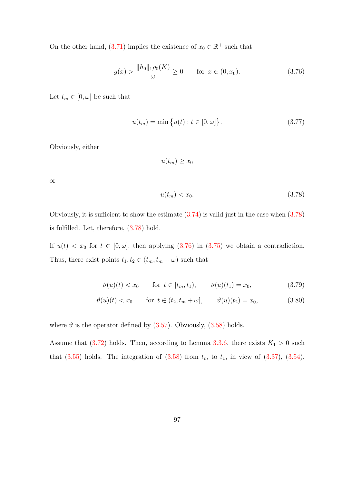On the other hand, [\(3.71\)](#page-104-1) implies the existence of  $x_0 \in \mathbb{R}^+$  such that

<span id="page-105-1"></span>
$$
g(x) > \frac{\|h_0\|_1 \rho_0(K)}{\omega} \ge 0 \quad \text{for } x \in (0, x_0). \tag{3.76}
$$

Let  $t_m \in [0, \omega]$  be such that

<span id="page-105-2"></span>
$$
u(t_m) = \min\{u(t) : t \in [0, \omega]\}.
$$
\n(3.77)

Obviously, either

$$
u(t_m) \ge x_0
$$

or

<span id="page-105-4"></span><span id="page-105-3"></span><span id="page-105-0"></span>
$$
u(t_m) < x_0. \tag{3.78}
$$

Obviously, it is sufficient to show the estimate  $(3.74)$  is valid just in the case when  $(3.78)$ is fulfilled. Let, therefore, [\(3.78\)](#page-105-0) hold.

If  $u(t) < x_0$  for  $t \in [0, \omega]$ , then applying [\(3.76\)](#page-105-1) in [\(3.75\)](#page-104-3) we obtain a contradiction. Thus, there exist points  $t_1, t_2 \in (t_m, t_m + \omega)$  such that

$$
\vartheta(u)(t) < x_0
$$
 for  $t \in [t_m, t_1)$ ,  $\vartheta(u)(t_1) = x_0$ , (3.79)

$$
\vartheta(u)(t) < x_0
$$
 for  $t \in (t_2, t_m + \omega], \qquad \vartheta(u)(t_2) = x_0,$  (3.80)

where  $\vartheta$  is the operator defined by [\(3.57\)](#page-101-3). Obviously, [\(3.58\)](#page-102-0) holds.

Assume that [\(3.72\)](#page-104-4) holds. Then, according to Lemma [3.3.6,](#page-101-7) there exists  $K_1 > 0$  such that  $(3.55)$  holds. The integration of  $(3.58)$  from  $t_m$  to  $t_1$ , in view of  $(3.37)$ ,  $(3.54)$ ,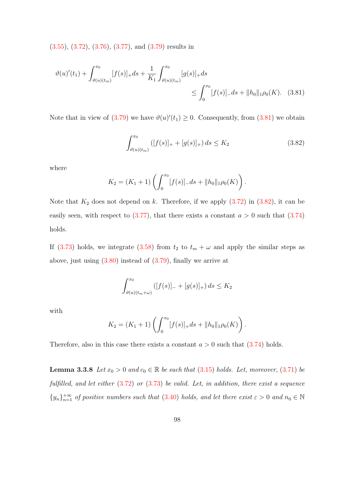[\(3.55\)](#page-101-5), [\(3.72\)](#page-104-4), [\(3.76\)](#page-105-1), [\(3.77\)](#page-105-2), and [\(3.79\)](#page-105-3) results in

$$
\vartheta(u)'(t_1) + \int_{\vartheta(u)(t_m)}^{x_0} [f(s)]_+ ds + \frac{1}{K_1} \int_{\vartheta(u)(t_m)}^{x_0} [g(s)]_+ ds \le \int_0^{x_0} [f(s)]_- ds + ||h_0||_1 \rho_0(K). \tag{3.81}
$$

Note that in view of  $(3.79)$  we have  $\vartheta(u)'(t_1) \geq 0$ . Consequently, from  $(3.81)$  we obtain

<span id="page-106-1"></span><span id="page-106-0"></span>
$$
\int_{\vartheta(u)(t_m)}^{x_0} \left( [f(s)]_+ + [g(s)]_+ \right) ds \le K_2 \tag{3.82}
$$

where

$$
K_2 = (K_1 + 1) \left( \int_0^{x_0} [f(s)] - ds + ||h_0||_1 \rho_0(K) \right).
$$

Note that  $K_2$  does not depend on k. Therefore, if we apply  $(3.72)$  in  $(3.82)$ , it can be easily seen, with respect to  $(3.77)$ , that there exists a constant  $a > 0$  such that  $(3.74)$ holds.

If [\(3.73\)](#page-104-5) holds, we integrate [\(3.58\)](#page-102-0) from  $t_2$  to  $t_m + \omega$  and apply the similar steps as above, just using [\(3.80\)](#page-105-4) instead of [\(3.79\)](#page-105-3), finally we arrive at

$$
\int_{\vartheta(u)(t_m+\omega)}^{x_0} \left( [f(s)]_{-} + [g(s)]_{+} \right) ds \le K_2
$$

with

$$
K_2 = (K_1 + 1) \left( \int_0^{x_0} [f(s)]_+ ds + ||h_0||_1 \rho_0(K) \right).
$$

Therefore, also in this case there exists a constant  $a > 0$  such that  $(3.74)$  holds.

**Lemma 3.3.8** Let  $x_0 > 0$  and  $c_0 \in \mathbb{R}$  be such that [\(3.15\)](#page-90-1) holds. Let, moreover, [\(3.71\)](#page-104-1) be fulfilled, and let either  $(3.72)$  or  $(3.73)$  be valid. Let, in addition, there exist a sequence  $\{y_n\}_{n=1}^{+\infty}$  of positive numbers such that [\(3.40\)](#page-98-3) holds, and let there exist  $\varepsilon > 0$  and  $n_0 \in \mathbb{N}$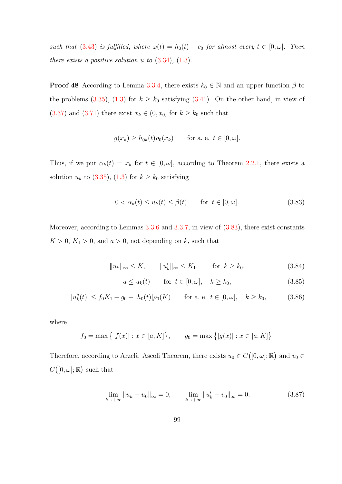such that [\(3.43\)](#page-99-0) is fulfilled, where  $\varphi(t) = h_0(t) - c_0$  for almost every  $t \in [0, \omega]$ . Then there exists a positive solution  $u$  to  $(3.34)$ ,  $(1.3)$ .

**Proof 48** According to Lemma [3.3.4,](#page-99-3) there exists  $k_0 \in \mathbb{N}$  and an upper function  $\beta$  to the problems [\(3.35\)](#page-97-1), [\(1.3\)](#page-14-0) for  $k \geq k_0$  satisfying [\(3.41\)](#page-98-2). On the other hand, in view of [\(3.37\)](#page-98-6) and [\(3.71\)](#page-104-1) there exist  $x_k \in (0, x_0]$  for  $k \geq k_0$  such that

$$
g(x_k) \ge h_{0k}(t)\rho_0(x_k) \quad \text{for a. e. } t \in [0, \omega].
$$

Thus, if we put  $\alpha_k(t) = x_k$  for  $t \in [0, \omega]$ , according to Theorem [2.2.1,](#page-65-2) there exists a solution  $u_k$  to [\(3.35\)](#page-97-1), [\(1.3\)](#page-14-0) for  $k \geq k_0$  satisfying

<span id="page-107-0"></span>
$$
0 < \alpha_k(t) \le u_k(t) \le \beta(t) \qquad \text{for } t \in [0, \omega]. \tag{3.83}
$$

Moreover, according to Lemmas [3.3.6](#page-101-7) and [3.3.7,](#page-104-6) in view of  $(3.83)$ , there exist constants  $K > 0$ ,  $K_1 > 0$ , and  $a > 0$ , not depending on k, such that

 $||u_k||_{\infty} \le K, \qquad ||u'_k||_{\infty} \le K_1, \qquad \text{for } k \ge k_0,$  (3.84)

$$
a \le u_k(t) \qquad \text{for } t \in [0, \omega], \quad k \ge k_0,
$$
\n
$$
(3.85)
$$

.

$$
|u_k''(t)| \le f_0 K_1 + g_0 + |h_0(t)| \rho_0(K) \qquad \text{for a. e. } t \in [0, \omega], \quad k \ge k_0,
$$
 (3.86)

where

$$
f_0 = \max\{|f(x)| : x \in [a, K]\}, \qquad g_0 = \max\{|g(x)| : x \in [a, K]\}
$$

Therefore, according to Arzelà–Ascoli Theorem, there exists  $u_0 \in C([0, \omega]; \mathbb{R})$  and  $v_0 \in$  $C([0,\omega];\mathbb{R})$  such that

$$
\lim_{k \to +\infty} \|u_k - u_0\|_{\infty} = 0, \qquad \lim_{k \to +\infty} \|u_k' - v_0\|_{\infty} = 0.
$$
\n(3.87)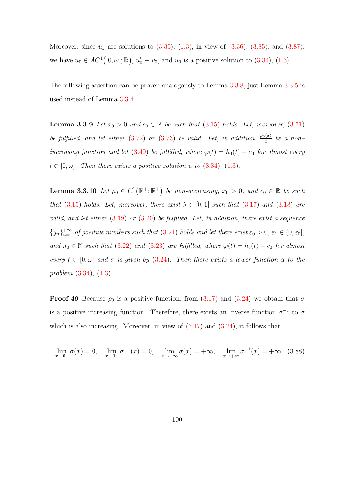Moreover, since  $u_k$  are solutions to  $(3.35)$ ,  $(1.3)$ , in view of  $(3.36)$ ,  $(3.85)$ , and  $(3.87)$ , we have  $u_0 \in AC^1([0,\omega];\mathbb{R}), u'_0 \equiv v_0$ , and  $u_0$  is a positive solution to [\(3.34\)](#page-97-1), [\(1.3\)](#page-14-0).

<span id="page-108-2"></span>The following assertion can be proven analogously to Lemma [3.3.8,](#page-106-0) just Lemma [3.3.5](#page-100-0) is used instead of Lemma [3.3.4.](#page-99-0)

**Lemma 3.3.9** Let  $x_0 > 0$  and  $c_0 \in \mathbb{R}$  be such that [\(3.15\)](#page-90-0) holds. Let, moreover, [\(3.71\)](#page-104-0) be fulfilled, and let either [\(3.72\)](#page-104-1) or [\(3.73\)](#page-104-2) be valid. Let, in addition,  $\frac{\rho_0(x)}{x}$  be a non-increasing function and let [\(3.49\)](#page-100-1) be fulfilled, where  $\varphi(t) = h_0(t) - c_0$  for almost every  $t \in [0, \omega]$ . Then there exists a positive solution u to  $(3.34)$ ,  $(1.3)$ .

<span id="page-108-1"></span>**Lemma 3.3.10** Let  $\rho_0 \in C^1(\mathbb{R}^+;\mathbb{R}^+)$  be non-decreasing,  $x_0 > 0$ , and  $c_0 \in \mathbb{R}$  be such that [\(3.15\)](#page-90-0) holds. Let, moreover, there exist  $\lambda \in [0,1]$  such that [\(3.17\)](#page-91-0) and [\(3.18\)](#page-91-1) are valid, and let either  $(3.19)$  or  $(3.20)$  be fulfilled. Let, in addition, there exist a sequence  $\{y_n\}_{n=1}^{+\infty}$  of positive numbers such that [\(3.21\)](#page-91-4) holds and let there exist  $\varepsilon_0 > 0$ ,  $\varepsilon_1 \in (0, \varepsilon_0]$ , and  $n_0 \in \mathbb{N}$  such that [\(3.22\)](#page-91-5) and [\(3.23\)](#page-91-6) are fulfilled, where  $\varphi(t) = h_0(t) - c_0$  for almost every  $t \in [0, \omega]$  and  $\sigma$  is given by [\(3.24\)](#page-91-7). Then there exists a lower function  $\alpha$  to the problem [\(3.34\)](#page-97-1), [\(1.3\)](#page-14-0).

**Proof 49** Because  $\rho_0$  is a positive function, from [\(3.17\)](#page-91-0) and [\(3.24\)](#page-91-7) we obtain that  $\sigma$ is a positive increasing function. Therefore, there exists an inverse function  $\sigma^{-1}$  to  $\sigma$ which is also increasing. Moreover, in view of  $(3.17)$  and  $(3.24)$ , it follows that

<span id="page-108-0"></span>
$$
\lim_{x \to 0+} \sigma(x) = 0, \quad \lim_{x \to 0+} \sigma^{-1}(x) = 0, \quad \lim_{x \to +\infty} \sigma(x) = +\infty, \quad \lim_{x \to +\infty} \sigma^{-1}(x) = +\infty. \tag{3.88}
$$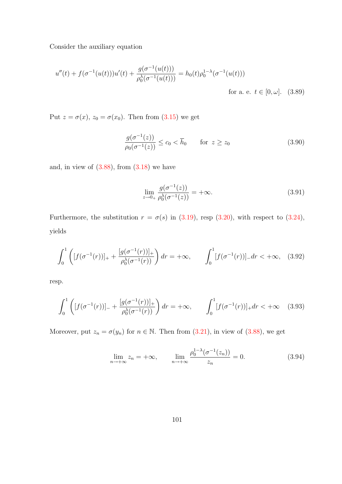Consider the auxiliary equation

$$
u''(t) + f(\sigma^{-1}(u(t)))u'(t) + \frac{g(\sigma^{-1}(u(t)))}{\rho_0^{\lambda}(\sigma^{-1}(u(t)))} = h_0(t)\rho_0^{1-\lambda}(\sigma^{-1}(u(t)))
$$
  
for a. e.  $t \in [0, \omega]$ . (3.89)

Put  $z = \sigma(x)$ ,  $z_0 = \sigma(x_0)$ . Then from [\(3.15\)](#page-90-0) we get

<span id="page-109-1"></span><span id="page-109-0"></span>
$$
\frac{g(\sigma^{-1}(z))}{\rho_0(\sigma^{-1}(z))} \le c_0 < \overline{h}_0 \qquad \text{for } z \ge z_0 \tag{3.90}
$$

and, in view of  $(3.88)$ , from  $(3.18)$  we have

$$
\lim_{z \to 0+} \frac{g(\sigma^{-1}(z))}{\rho_0^{\lambda}(\sigma^{-1}(z))} = +\infty.
$$
\n(3.91)

Furthermore, the substitution  $r = \sigma(s)$  in [\(3.19\)](#page-91-2), resp [\(3.20\)](#page-91-3), with respect to [\(3.24\)](#page-91-7), yields

$$
\int_0^1 \left( [f(\sigma^{-1}(r))]_+ + \frac{[g(\sigma^{-1}(r))]_+}{\rho_0^{\lambda}(\sigma^{-1}(r))} \right) dr = +\infty, \qquad \int_0^1 [f(\sigma^{-1}(r))]_- dr < +\infty, \quad (3.92)
$$

resp.

$$
\int_0^1 \left( [f(\sigma^{-1}(r))]_+ + \frac{[g(\sigma^{-1}(r))]_+}{\rho_0^{\lambda}(\sigma^{-1}(r))} \right) dr = +\infty, \qquad \int_0^1 [f(\sigma^{-1}(r))]_+ dr < +\infty \quad (3.93)
$$

Moreover, put  $z_n = \sigma(y_n)$  for  $n \in \mathbb{N}$ . Then from [\(3.21\)](#page-91-4), in view of [\(3.88\)](#page-108-0), we get

$$
\lim_{n \to +\infty} z_n = +\infty, \qquad \lim_{n \to +\infty} \frac{\rho_0^{1-\lambda}(\sigma^{-1}(z_n))}{z_n} = 0.
$$
\n(3.94)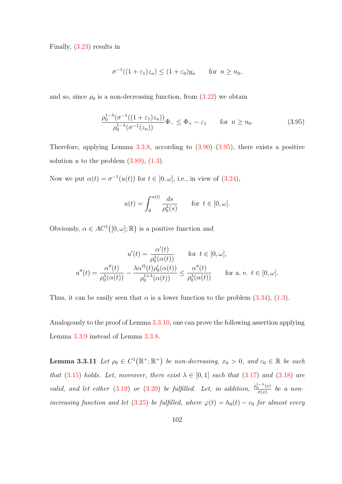Finally, [\(3.23\)](#page-91-6) results in

$$
\sigma^{-1}((1+\varepsilon_1)z_n) \le (1+\varepsilon_0)y_n \quad \text{for } n \ge n_0,
$$

and so, since  $\rho_0$  is a non-decreasing function, from  $(3.22)$  we obtain

<span id="page-110-0"></span>
$$
\frac{\rho_0^{1-\lambda}(\sigma^{-1}((1+\varepsilon_1)z_n))}{\rho_0^{1-\lambda}(\sigma^{-1}(z_n))}\Phi_{-} \leq \Phi_{+} - \varepsilon_1 \qquad \text{for } n \ge n_0.
$$
\n(3.95)

Therefore, applying Lemma  $3.3.8$ , according to  $(3.90)$ – $(3.95)$ , there exists a positive solution u to the problem  $(3.89)$ ,  $(1.3)$ .

Now we put  $\alpha(t) = \sigma^{-1}(u(t))$  for  $t \in [0, \omega]$ , i.e., in view of  $(3.24)$ ,

$$
u(t) = \int_0^{\alpha(t)} \frac{ds}{\rho_0^{\lambda}(s)} \quad \text{for } t \in [0, \omega].
$$

Obviously,  $\alpha \in AC^1([0,\omega];\mathbb{R})$  is a positive function and

$$
u'(t) = \frac{\alpha'(t)}{\rho_0^{\lambda}(\alpha(t))} \quad \text{for } t \in [0, \omega],
$$
  

$$
u''(t) = \frac{\alpha''(t)}{\rho_0^{\lambda}(\alpha(t))} - \frac{\lambda \alpha'^2(t)\rho_0'(\alpha(t))}{\rho_0^{1+\lambda}(\alpha(t))} \le \frac{\alpha''(t)}{\rho_0^{\lambda}(\alpha(t))} \quad \text{for a. e. } t \in [0, \omega].
$$

Thus, it can be easily seen that  $\alpha$  is a lower function to the problem  $(3.34)$ ,  $(1.3)$ .

<span id="page-110-1"></span>Analogously to the proof of Lemma [3.3.10,](#page-108-1) one can prove the following assertion applying Lemma [3.3.9](#page-108-2) instead of Lemma [3.3.8.](#page-106-0)

**Lemma 3.3.11** Let  $\rho_0 \in C^1(\mathbb{R}^+;\mathbb{R}^+)$  be non-decreasing,  $x_0 > 0$ , and  $c_0 \in \mathbb{R}$  be such that [\(3.15\)](#page-90-0) holds. Let, moreover, there exist  $\lambda \in [0,1]$  such that [\(3.17\)](#page-91-0) and [\(3.18\)](#page-91-1) are valid, and let either [\(3.19\)](#page-91-2) or [\(3.20\)](#page-91-3) be fulfilled. Let, in addition,  $\frac{\rho_0^{1-\lambda}(x)}{\sigma(x)}$  $\frac{d}{d\sigma(x)}$  be a non-increasing function and let [\(3.25\)](#page-92-0) be fulfilled, where  $\varphi(t) = h_0(t) - c_0$  for almost every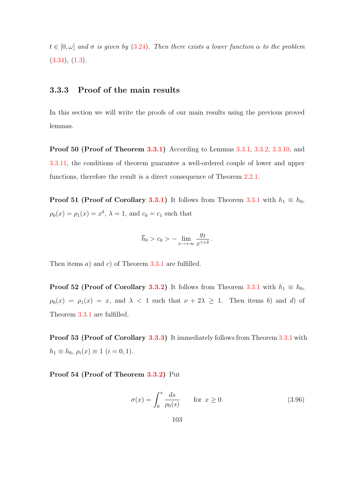$t \in [0, \omega]$  and  $\sigma$  is given by [\(3.24\)](#page-91-7). Then there exists a lower function  $\alpha$  to the problem  $(3.34), (1.3).$  $(3.34), (1.3).$  $(3.34), (1.3).$  $(3.34), (1.3).$ 

### 3.3.3 Proof of the main results

In this section we will write the proofs of our main results using the previous proved lemmas.

Proof 50 (Proof of Theorem [3.3.1\)](#page-90-1) According to Lemmas [3.3.1,](#page-98-1) [3.3.2,](#page-98-2) [3.3.10,](#page-108-1) and [3.3.11,](#page-110-1) the conditions of theorem guarantee a well-ordered couple of lower and upper functions, therefore the result is a direct consequence of Theorem [2.2.1.](#page-65-0)

**Proof 51 (Proof of Corollary [3.3.1\)](#page-93-0)** It follows from Theorem [3.3.1](#page-90-1) with  $h_1 \equiv h_0$ ,  $\rho_0(x) = \rho_1(x) = x^{\delta}, \lambda = 1$ , and  $c_0 = c_1$  such that

$$
\overline{h}_0 > c_0 > - \lim_{x \to +\infty} \frac{g_2}{x^{\gamma + \delta}}.
$$

Then items  $a)$  and  $c)$  of Theorem [3.3.1](#page-90-1) are fulfilled.

**Proof 52 (Proof of Corollary [3.3.2\)](#page-94-0)** It follows from Theorem [3.3.1](#page-90-1) with  $h_1 \equiv h_0$ ,  $\rho_0(x) = \rho_1(x) = x$ , and  $\lambda < 1$  such that  $\nu + 2\lambda \ge 1$ . Then items b) and d) of Theorem [3.3.1](#page-90-1) are fulfilled.

Proof 53 (Proof of Corollary [3.3.3\)](#page-95-0) It immediately follows from Theorem [3.3.1](#page-90-1) with  $h_1 \equiv h_0, \, \rho_i(x) \equiv 1 \, (i = 0, 1).$ 

Proof 54 (Proof of Theorem [3.3.2\)](#page-96-0) Put

<span id="page-111-0"></span>
$$
\sigma(x) = \int_0^x \frac{ds}{\rho_0(s)} \quad \text{for } x \ge 0.
$$
\n(3.96)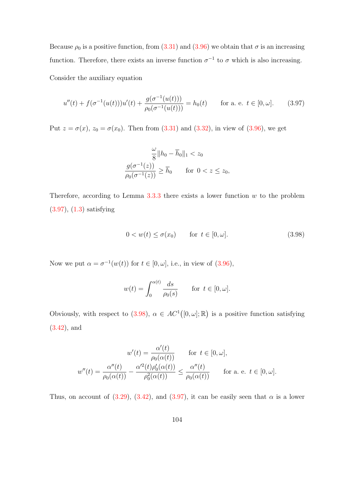Because  $\rho_0$  is a positive function, from [\(3.31\)](#page-96-1) and [\(3.96\)](#page-111-0) we obtain that  $\sigma$  is an increasing function. Therefore, there exists an inverse function  $\sigma^{-1}$  to  $\sigma$  which is also increasing.

Consider the auxiliary equation

<span id="page-112-0"></span>
$$
u''(t) + f(\sigma^{-1}(u(t)))u'(t) + \frac{g(\sigma^{-1}(u(t)))}{\rho_0(\sigma^{-1}(u(t)))} = h_0(t) \quad \text{for a. e. } t \in [0, \omega]. \tag{3.97}
$$

Put  $z = \sigma(x)$ ,  $z_0 = \sigma(x_0)$ . Then from [\(3.31\)](#page-96-1) and [\(3.32\)](#page-96-2), in view of [\(3.96\)](#page-111-0), we get

$$
\frac{\omega}{8} ||h_0 - \overline{h}_0||_1 < z_0
$$

$$
\frac{g(\sigma^{-1}(z))}{\rho_0(\sigma^{-1}(z))} \ge \overline{h}_0 \quad \text{for } 0 < z \le z_0,
$$

Therefore, according to Lemma  $3.3.3$  there exists a lower function  $w$  to the problem [\(3.97\)](#page-112-0), [\(1.3\)](#page-14-0) satisfying

<span id="page-112-1"></span>
$$
0 < w(t) \le \sigma(x_0) \qquad \text{for } t \in [0, \omega]. \tag{3.98}
$$

Now we put  $\alpha = \sigma^{-1}(w(t))$  for  $t \in [0, \omega]$ , i.e., in view of  $(3.96)$ ,

$$
w(t) = \int_0^{\alpha(t)} \frac{ds}{\rho_0(s)} \quad \text{for } t \in [0, \omega].
$$

Obviously, with respect to [\(3.98\)](#page-112-1),  $\alpha \in AC^1([0,\omega];\mathbb{R})$  is a positive function satisfying [\(3.42\)](#page-99-2), and

$$
w'(t) = \frac{\alpha'(t)}{\rho_0(\alpha(t))} \quad \text{for } t \in [0, \omega],
$$
  

$$
w''(t) = \frac{\alpha''(t)}{\rho_0(\alpha(t))} - \frac{\alpha'^2(t)\rho_0'(\alpha(t))}{\rho_0^2(\alpha(t))} \le \frac{\alpha''(t)}{\rho_0(\alpha(t))} \quad \text{for a. e. } t \in [0, \omega].
$$

Thus, on account of [\(3.29\)](#page-96-3), [\(3.42\)](#page-99-2), and [\(3.97\)](#page-112-0), it can be easily seen that  $\alpha$  is a lower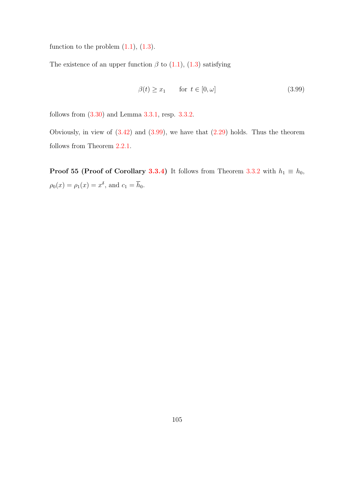function to the problem  $(1.1)$ ,  $(1.3)$ .

The existence of an upper function  $\beta$  to [\(1.1\)](#page-14-1), [\(1.3\)](#page-14-0) satisfying

<span id="page-113-0"></span>
$$
\beta(t) \ge x_1 \qquad \text{for } t \in [0, \omega] \tag{3.99}
$$

follows from [\(3.30\)](#page-96-4) and Lemma [3.3.1,](#page-98-1) resp. [3.3.2.](#page-98-2)

Obviously, in view of  $(3.42)$  and  $(3.99)$ , we have that  $(2.29)$  holds. Thus the theorem follows from Theorem [2.2.1.](#page-65-0)

**Proof 55 (Proof of Corollary [3.3.4\)](#page-96-5)** It follows from Theorem [3.3.2](#page-96-0) with  $h_1 \equiv h_0$ ,  $\rho_0(x) = \rho_1(x) = x^{\delta}$ , and  $c_1 = \overline{h}_0$ .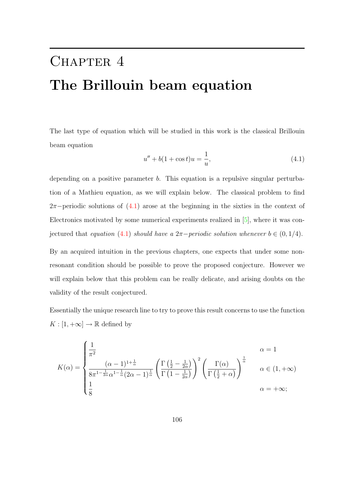# <span id="page-114-1"></span>CHAPTER 4 The Brillouin beam equation

The last type of equation which will be studied in this work is the classical Brillouin beam equation

<span id="page-114-0"></span>
$$
u'' + b(1 + \cos t)u = \frac{1}{u},
$$
\n(4.1)

depending on a positive parameter b. This equation is a repulsive singular perturbation of a Mathieu equation, as we will explain below. The classical problem to find  $2\pi$ −periodic solutions of  $(4.1)$  arose at the beginning in the sixties in the context of Electronics motivated by some numerical experiments realized in [\[5\]](#page-137-0), where it was con-jectured that equation [\(4.1\)](#page-114-0) should have a  $2\pi$ -periodic solution whenever  $b \in (0, 1/4)$ .

By an acquired intuition in the previous chapters, one expects that under some nonresonant condition should be possible to prove the proposed conjecture. However we will explain below that this problem can be really delicate, and arising doubts on the validity of the result conjectured.

Essentially the unique research line to try to prove this result concerns to use the function  $K : [1, +\infty] \to \mathbb{R}$  defined by

$$
K(\alpha) = \begin{cases} \frac{1}{\pi^2} & \alpha = 1\\ \frac{(\alpha - 1)^{1 + \frac{1}{\alpha}}}{8\pi^{1 - \frac{1}{2\alpha}}\alpha^{1 - \frac{1}{\alpha}}(2\alpha - 1)^{\frac{1}{\alpha}}} \left(\frac{\Gamma(\frac{1}{2} - \frac{1}{2\alpha})}{\Gamma(\frac{1}{2} - \frac{1}{2\alpha})}\right)^2 \left(\frac{\Gamma(\alpha)}{\Gamma(\frac{1}{2} + \alpha)}\right)^{\frac{1}{\alpha}} & \alpha \in (1, +\infty)\\ \frac{1}{8} & \alpha = +\infty; \end{cases}
$$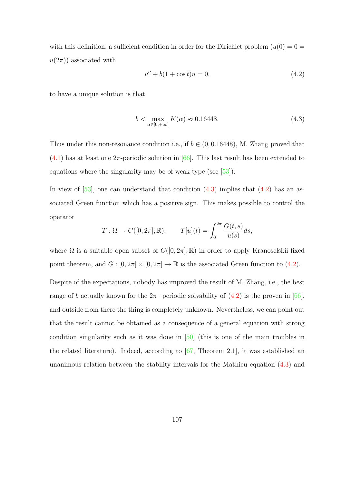<span id="page-115-2"></span>with this definition, a sufficient condition in order for the Dirichlet problem  $(u(0) = 0 =$  $u(2\pi)$  associated with

<span id="page-115-1"></span>
$$
u'' + b(1 + \cos t)u = 0.
$$
\n(4.2)

to have a unique solution is that

<span id="page-115-0"></span>
$$
b < \max_{\alpha \in [0, +\infty]} K(\alpha) \approx 0.16448. \tag{4.3}
$$

Thus under this non-resonance condition i.e., if  $b \in (0, 0.16448)$ , M. Zhang proved that  $(4.1)$  has at least one  $2\pi$ -periodic solution in [\[66\]](#page-144-0). This last result has been extended to equations where the singularity may be of weak type (see [\[53\]](#page-143-0)).

In view of  $[53]$ , one can understand that condition  $(4.3)$  implies that  $(4.2)$  has an associated Green function which has a positive sign. This makes possible to control the operator

$$
T: \Omega \to C([0, 2\pi]; \mathbb{R}), \qquad T[u](t) = \int_0^{2\pi} \frac{G(t, s)}{u(s)} ds,
$$

where  $\Omega$  is a suitable open subset of  $C([0, 2\pi]; \mathbb{R})$  in order to apply Kranoselskii fixed point theorem, and  $G : [0, 2\pi] \times [0, 2\pi] \to \mathbb{R}$  is the associated Green function to [\(4.2\)](#page-115-1).

Despite of the expectations, nobody has improved the result of M. Zhang, i.e., the best range of b actually known for the  $2\pi$ -periodic solvability of  $(4.2)$  is the proven in [\[66\]](#page-144-0), and outside from there the thing is completely unknown. Nevertheless, we can point out that the result cannot be obtained as a consequence of a general equation with strong condition singularity such as it was done in [\[50\]](#page-142-0) (this is one of the main troubles in the related literature). Indeed, according to [\[67,](#page-144-1) Theorem 2.1], it was established an unanimous relation between the stability intervals for the Mathieu equation [\(4.3\)](#page-115-0) and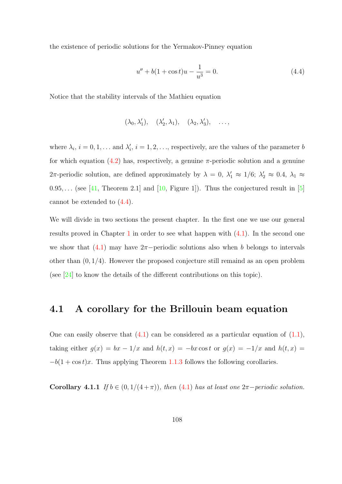<span id="page-116-1"></span>the existence of periodic solutions for the Yermakov-Pinney equation

<span id="page-116-0"></span>
$$
u'' + b(1 + \cos t)u - \frac{1}{u^3} = 0.
$$
\n(4.4)

Notice that the stability intervals of the Mathieu equation

$$
(\lambda_0, \lambda'_1), \quad (\lambda'_2, \lambda_1), \quad (\lambda_2, \lambda'_3), \quad \ldots,
$$

where  $\lambda_i$ ,  $i = 0, 1, \ldots$  and  $\lambda'_i$ ,  $i = 1, 2, \ldots$ , respectively, are the values of the parameter b for which equation  $(4.2)$  has, respectively, a genuine  $\pi$ -periodic solution and a genuine 2π-periodic solution, are defined approximately by  $\lambda = 0$ ,  $\lambda'_1 \approx 1/6$ ;  $\lambda'_2 \approx 0.4$ ,  $\lambda_1 \approx$  $0.95,...$  (see [\[41,](#page-141-0) Theorem 2.1] and [\[10,](#page-138-0) Figure 1]). Thus the conjectured result in [\[5\]](#page-137-0) cannot be extended to [\(4.4\)](#page-116-0).

We will divide in two sections the present chapter. In the first one we use our general results proved in Chapter [1](#page-14-2) in order to see what happen with  $(4.1)$ . In the second one we show that  $(4.1)$  may have  $2\pi$ -periodic solutions also when b belongs to intervals other than  $(0, 1/4)$ . However the proposed conjecture still remaind as an open problem (see  $[24]$  to know the details of the different contributions on this topic).

### 4.1 A corollary for the Brillouin beam equation

One can easily observe that  $(4.1)$  can be considered as a particular equation of  $(1.1)$ , taking either  $g(x) = bx - 1/x$  and  $h(t, x) = -bx \cos t$  or  $g(x) = -1/x$  and  $h(t, x) =$  $-b(1 + \cos t)x$ . Thus applying Theorem [1.1.3](#page-37-0) follows the following corollaries.

Corollary 4.1.1 If  $b \in (0, 1/(4 + \pi))$ , then [\(4.1\)](#page-114-0) has at least one  $2\pi$ -periodic solution.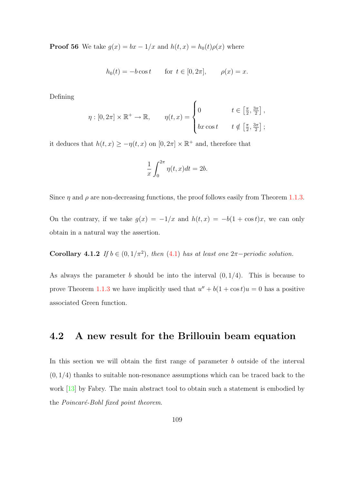<span id="page-117-0"></span>**Proof 56** We take  $g(x) = bx - 1/x$  and  $h(t, x) = h_0(t)\rho(x)$  where

$$
h_0(t) = -b \cos t
$$
 for  $t \in [0, 2\pi]$ ,  $\rho(x) = x$ .

Defining

$$
\eta : [0, 2\pi] \times \mathbb{R}^+ \to \mathbb{R}, \qquad \eta(t, x) = \begin{cases} 0 & t \in \left[\frac{\pi}{2}, \frac{3\pi}{2}\right], \\ bx \cos t & t \notin \left[\frac{\pi}{2}, \frac{3\pi}{2}\right]; \end{cases}
$$

it deduces that  $h(t, x) \ge -\eta(t, x)$  on  $[0, 2\pi] \times \mathbb{R}^+$  and, therefore that

$$
\frac{1}{x} \int_0^{2\pi} \eta(t, x) dt = 2b.
$$

Since  $\eta$  and  $\rho$  are non-decreasing functions, the proof follows easily from Theorem [1.1.3.](#page-37-0)

On the contrary, if we take  $g(x) = -1/x$  and  $h(t, x) = -b(1 + \cos t)x$ , we can only obtain in a natural way the assertion.

**Corollary 4.1.2** If  $b \in (0, 1/\pi^2)$ , then [\(4.1\)](#page-114-0) has at least one  $2\pi$ -periodic solution.

As always the parameter b should be into the interval  $(0, 1/4)$ . This is because to prove Theorem [1.1.3](#page-37-0) we have implicitly used that  $u'' + b(1 + \cos t)u = 0$  has a positive associated Green function.

### 4.2 A new result for the Brillouin beam equation

In this section we will obtain the first range of parameter b outside of the interval  $(0, 1/4)$  thanks to suitable non-resonance assumptions which can be traced back to the work [\[13\]](#page-138-1) by Fabry. The main abstract tool to obtain such a statement is embodied by the *Poincaré-Bohl* fixed point theorem.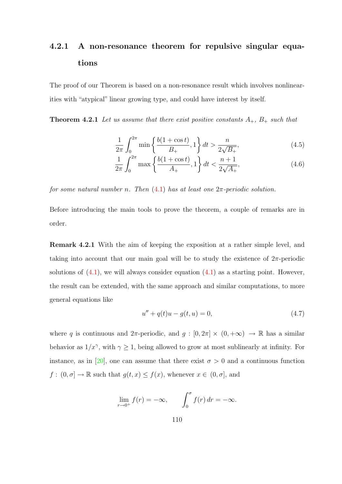### <span id="page-118-4"></span>4.2.1 A non-resonance theorem for repulsive singular equations

The proof of our Theorem is based on a non-resonance result which involves nonlinearities with "atypical" linear growing type, and could have interest by itself.

**Theorem 4.2.1** Let us assume that there exist positive constants  $A_+$ ,  $B_+$  such that

<span id="page-118-2"></span><span id="page-118-1"></span><span id="page-118-0"></span>
$$
\frac{1}{2\pi} \int_0^{2\pi} \min\left\{ \frac{b(1+\cos t)}{B_+}, 1 \right\} dt > \frac{n}{2\sqrt{B_+}},\tag{4.5}
$$

$$
\frac{1}{2\pi} \int_0^{2\pi} \max\left\{ \frac{b(1+\cos t)}{A_+}, 1 \right\} dt < \frac{n+1}{2\sqrt{A_+}},\tag{4.6}
$$

for some natural number n. Then  $(4.1)$  has at least one  $2\pi$ -periodic solution.

Before introducing the main tools to prove the theorem, a couple of remarks are in order.

Remark 4.2.1 With the aim of keeping the exposition at a rather simple level, and taking into account that our main goal will be to study the existence of  $2\pi$ -periodic solutions of  $(4.1)$ , we will always consider equation  $(4.1)$  as a starting point. However, the result can be extended, with the same approach and similar computations, to more general equations like

<span id="page-118-3"></span>
$$
u'' + q(t)u - g(t, u) = 0,
$$
\n(4.7)

where q is continuous and  $2\pi$ -periodic, and  $g : [0, 2\pi] \times (0, +\infty) \to \mathbb{R}$  has a similar behavior as  $1/x^{\gamma}$ , with  $\gamma \geq 1$ , being allowed to grow at most sublinearly at infinity. For instance, as in [\[20\]](#page-139-1), one can assume that there exist  $\sigma > 0$  and a continuous function  $f: (0, \sigma] \to \mathbb{R}$  such that  $g(t, x) \leq f(x)$ , whenever  $x \in (0, \sigma]$ , and

$$
\lim_{r \to 0^+} f(r) = -\infty, \qquad \int_0^{\sigma} f(r) dr = -\infty.
$$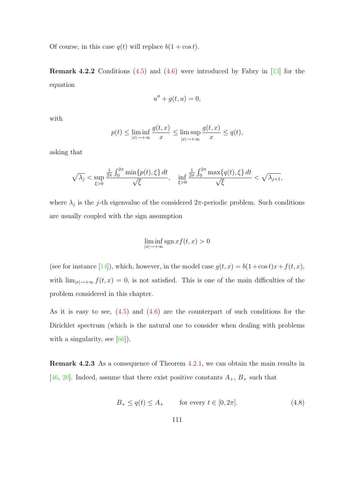<span id="page-119-1"></span>Of course, in this case  $q(t)$  will replace  $b(1 + \cos t)$ .

**Remark 4.2.2** Conditions  $(4.5)$  and  $(4.6)$  were introduced by Fabry in [\[13\]](#page-138-1) for the equation

$$
u'' + g(t, u) = 0,
$$

with

$$
p(t) \le \liminf_{|x| \to +\infty} \frac{g(t,x)}{x} \le \limsup_{|x| \to +\infty} \frac{g(t,x)}{x} \le q(t),
$$

asking that

$$
\sqrt{\lambda_j} < \sup_{\xi > 0} \frac{\frac{1}{2\pi} \int_0^{2\pi} \min\{p(t), \xi\} \, dt}{\sqrt{\xi}}, \quad \inf_{\xi > 0} \frac{\frac{1}{2\pi} \int_0^{2\pi} \max\{q(t), \xi\} \, dt}{\sqrt{\xi}} < \sqrt{\lambda_{j+1}},
$$

where  $\lambda_j$  is the j-th eigenvalue of the considered  $2\pi$ -periodic problem. Such conditions are usually coupled with the sign assumption

$$
\liminf_{|x|\to+\infty} \operatorname{sgn} x f(t,x) > 0
$$

(see for instance [\[14\]](#page-138-2)), which, however, in the model case  $g(t, x) = b(1 + \cos t)x + f(t, x)$ , with  $\lim_{|x|\to+\infty} f(t,x) = 0$ , is not satisfied. This is one of the main difficulties of the problem considered in this chapter.

As it is easy to see,  $(4.5)$  and  $(4.6)$  are the counterpart of such conditions for the Dirichlet spectrum (which is the natural one to consider when dealing with problems with a singularity, see [\[66\]](#page-144-0)).

Remark 4.2.3 As a consequence of Theorem [4.2.1,](#page-118-2) we can obtain the main results in [\[46,](#page-142-1) [20\]](#page-139-1). Indeed, assume that there exist positive constants  $A_+$ ,  $B_+$  such that

<span id="page-119-0"></span>
$$
B_+ \le q(t) \le A_+ \qquad \text{for every } t \in [0, 2\pi]. \tag{4.8}
$$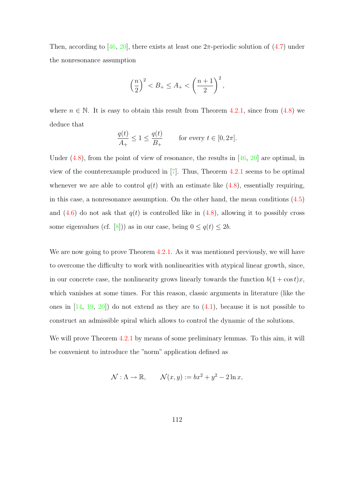<span id="page-120-0"></span>Then, according to [\[46,](#page-142-1) [20\]](#page-139-1), there exists at least one  $2\pi$ -periodic solution of [\(4.7\)](#page-118-3) under the nonresonance assumption

$$
\left(\frac{n}{2}\right)^2 < B_+ \le A_+ < \left(\frac{n+1}{2}\right)^2,
$$

where  $n \in \mathbb{N}$ . It is easy to obtain this result from Theorem [4.2.1,](#page-118-2) since from  $(4.8)$  we deduce that

$$
\frac{q(t)}{A_+} \le 1 \le \frac{q(t)}{B_+} \qquad \text{for every } t \in [0, 2\pi].
$$

Under  $(4.8)$ , from the point of view of resonance, the results in [\[46,](#page-142-1) [20\]](#page-139-1) are optimal, in view of the counterexample produced in [\[7\]](#page-137-1). Thus, Theorem [4.2.1](#page-118-2) seems to be optimal whenever we are able to control  $q(t)$  with an estimate like [\(4.8\)](#page-119-0), essentially requiring, in this case, a nonresonance assumption. On the other hand, the mean conditions [\(4.5\)](#page-118-0) and  $(4.6)$  do not ask that  $q(t)$  is controlled like in  $(4.8)$ , allowing it to possibly cross some eigenvalues (cf. [\[8\]](#page-138-3))) as in our case, being  $0 \le q(t) \le 2b$ .

We are now going to prove Theorem [4.2.1.](#page-118-2) As it was mentioned previously, we will have to overcome the difficulty to work with nonlinearities with atypical linear growth, since, in our concrete case, the nonlinearity grows linearly towards the function  $b(1 + \cos t)x$ , which vanishes at some times. For this reason, classic arguments in literature (like the ones in  $[14, 19, 20]$  $[14, 19, 20]$  $[14, 19, 20]$  $[14, 19, 20]$  do not extend as they are to  $(4.1)$ , because it is not possible to construct an admissible spiral which allows to control the dynamic of the solutions.

We will prove Theorem [4.2.1](#page-118-2) by means of some preliminary lemmas. To this aim, it will be convenient to introduce the "norm" application defined as

$$
\mathcal{N}: \Lambda \to \mathbb{R}, \qquad \mathcal{N}(x, y) := bx^2 + y^2 - 2 \ln x,
$$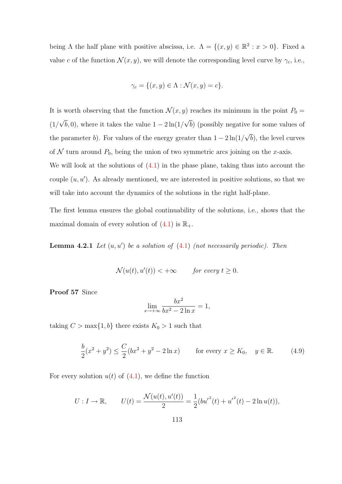being  $\Lambda$  the half plane with positive abscissa, i.e.  $\Lambda = \{(x, y) \in \mathbb{R}^2 : x > 0\}$ . Fixed a value c of the function  $\mathcal{N}(x, y)$ , we will denote the corresponding level curve by  $\gamma_c$ , i.e.,

$$
\gamma_c = \{(x, y) \in \Lambda : \mathcal{N}(x, y) = c\}.
$$

It is worth observing that the function  $\mathcal{N}(x, y)$  reaches its minimum in the point  $P_0 =$  $(1/$ √  $(b, 0)$ , where it takes the value  $1 - 2\ln(1)$ √ b) (possibly negative for some values of the parameter b). For values of the energy greater than  $1 - 2 \ln(1)$ √ b), the level curves of  $N$  turn around  $P_0$ , being the union of two symmetric arcs joining on the x-axis. We will look at the solutions of  $(4.1)$  in the phase plane, taking thus into account the couple  $(u, u')$ . As already mentioned, we are interested in positive solutions, so that we will take into account the dynamics of the solutions in the right half-plane.

The first lemma ensures the global continuability of the solutions, i.e., shows that the maximal domain of every solution of  $(4.1)$  is  $\mathbb{R}_+$ .

<span id="page-121-1"></span>**Lemma 4.2.1** Let  $(u, u')$  be a solution of  $(4.1)$  (not necessarily periodic). Then

$$
\mathcal{N}(u(t), u'(t)) < +\infty \qquad \text{for every } t \ge 0.
$$

Proof 57 Since

$$
\lim_{x \to +\infty} \frac{bx^2}{bx^2 - 2\ln x} = 1,
$$

taking  $C > \max\{1, b\}$  there exists  $K_0 > 1$  such that

<span id="page-121-0"></span>
$$
\frac{b}{2}(x^2 + y^2) \le \frac{C}{2}(bx^2 + y^2 - 2\ln x) \qquad \text{for every } x \ge K_0, \quad y \in \mathbb{R}.\tag{4.9}
$$

For every solution  $u(t)$  of  $(4.1)$ , we define the function

$$
U: I \to \mathbb{R}, \qquad U(t) = \frac{\mathcal{N}(u(t), u'(t))}{2} = \frac{1}{2} (b{u'}^{2}(t) + {u'}^{2}(t) - 2\ln u(t)),
$$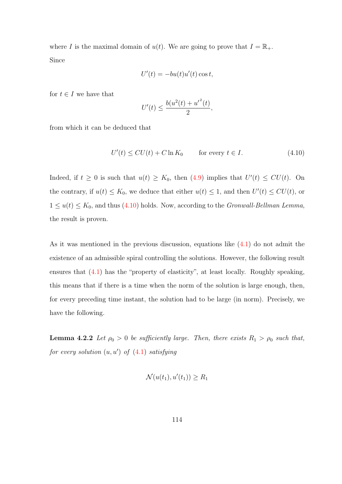where I is the maximal domain of  $u(t)$ . We are going to prove that  $I = \mathbb{R}_+$ . Since

$$
U'(t) = -bu(t)u'(t)\cos t,
$$

for  $t \in I$  we have that

$$
U'(t) \le \frac{b(u^2(t) + {u'}^2(t)}{2},
$$

from which it can be deduced that

<span id="page-122-0"></span>
$$
U'(t) \le CU(t) + C \ln K_0 \qquad \text{for every } t \in I.
$$
 (4.10)

Indeed, if  $t \geq 0$  is such that  $u(t) \geq K_0$ , then  $(4.9)$  implies that  $U'(t) \leq CU(t)$ . On the contrary, if  $u(t) \leq K_0$ , we deduce that either  $u(t) \leq 1$ , and then  $U'(t) \leq CU(t)$ , or  $1 \le u(t) \le K_0$ , and thus [\(4.10\)](#page-122-0) holds. Now, according to the *Gronwall-Bellman Lemma*, the result is proven.

As it was mentioned in the previous discussion, equations like [\(4.1\)](#page-114-0) do not admit the existence of an admissible spiral controlling the solutions. However, the following result ensures that [\(4.1\)](#page-114-0) has the "property of elasticity", at least locally. Roughly speaking, this means that if there is a time when the norm of the solution is large enough, then, for every preceding time instant, the solution had to be large (in norm). Precisely, we have the following.

<span id="page-122-1"></span>**Lemma 4.2.2** Let  $\rho_0 > 0$  be sufficiently large. Then, there exists  $R_1 > \rho_0$  such that, for every solution  $(u, u')$  of  $(4.1)$  satisfying

$$
\mathcal{N}(u(t_1), u'(t_1)) \ge R_1
$$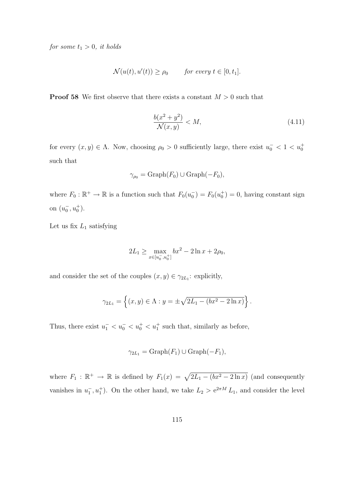for some  $t_1 > 0$ , it holds

$$
\mathcal{N}(u(t), u'(t)) \ge \rho_0 \quad \text{for every } t \in [0, t_1].
$$

**Proof 58** We first observe that there exists a constant  $M > 0$  such that

<span id="page-123-0"></span>
$$
\frac{b(x^2 + y^2)}{\mathcal{N}(x, y)} < M,\tag{4.11}
$$

for every  $(x, y) \in \Lambda$ . Now, choosing  $\rho_0 > 0$  sufficiently large, there exist  $u_0^ < 1 < u_0^+$ such that

$$
\gamma_{\rho_0} = \text{Graph}(F_0) \cup \text{Graph}(-F_0),
$$

where  $F_0 : \mathbb{R}^+ \to \mathbb{R}$  is a function such that  $F_0(u_0^-) = F_0(u_0^+) = 0$ , having constant sign on  $(u_0^-, u_0^+).$ 

Let us fix  $L_1$  satisfying

$$
2L_1 \ge \max_{x \in [u_0^-, u_0^+]} bx^2 - 2\ln x + 2\rho_0,
$$

and consider the set of the couples  $(x, y) \in \gamma_{2L_1}$ : explicitly,

$$
\gamma_{2L_1} = \left\{ (x, y) \in \Lambda : y = \pm \sqrt{2L_1 - (bx^2 - 2\ln x)} \right\}.
$$

Thus, there exist  $u_1^- < u_0^- < u_0^+ < u_1^+$  such that, similarly as before,

$$
\gamma_{2L_1} = \text{Graph}(F_1) \cup \text{Graph}(-F_1),
$$

where  $F_1 : \mathbb{R}^+ \to \mathbb{R}$  is defined by  $F_1(x) = \sqrt{2L_1 - (bx^2 - 2 \ln x)}$  (and consequently vanishes in  $u_1, u_1^+$ ). On the other hand, we take  $L_2 > e^{2\pi M} L_1$ , and consider the level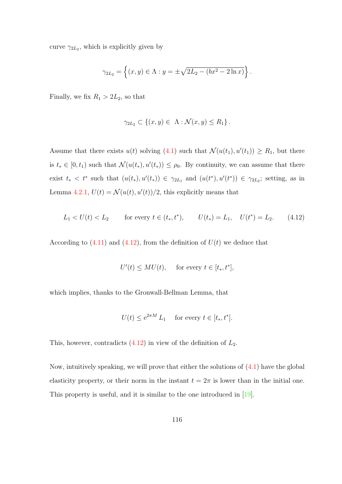<span id="page-124-1"></span>curve  $\gamma_{2L_2}$ , which is explicitly given by

$$
\gamma_{2L_2} = \left\{ (x, y) \in \Lambda : y = \pm \sqrt{2L_2 - (bx^2 - 2\ln x)} \right\}.
$$

Finally, we fix  $R_1 > 2L_2$ , so that

$$
\gamma_{2L_2} \subset \{(x, y) \in \Lambda : \mathcal{N}(x, y) \le R_1\}.
$$

Assume that there exists  $u(t)$  solving [\(4.1\)](#page-114-0) such that  $\mathcal{N}(u(t_1), u'(t_1)) \geq R_1$ , but there is  $t_* \in [0, t_1)$  such that  $\mathcal{N}(u(t_*), u'(t_*)) \leq \rho_0$ . By continuity, we can assume that there exist  $t_* < t^*$  such that  $(u(t_*), u'(t_*)) \in \gamma_{2L_1}$  and  $(u(t^*), u'(t^*)) \in \gamma_{2L_2}$ ; setting, as in Lemma [4.2.1,](#page-121-1)  $U(t) = \mathcal{N}(u(t), u'(t))/2$ , this explicitly means that

<span id="page-124-0"></span>
$$
L_1 < U(t) < L_2 \qquad \text{for every } t \in (t_*, t^*), \qquad U(t_*) = L_1, \quad U(t^*) = L_2. \tag{4.12}
$$

According to  $(4.11)$  and  $(4.12)$ , from the definition of  $U(t)$  we deduce that

$$
U'(t) \le MU(t), \quad \text{ for every } t \in [t_*, t^*],
$$

which implies, thanks to the Gronwall-Bellman Lemma, that

$$
U(t) \le e^{2\pi M} L_1 \quad \text{ for every } t \in [t_*, t^*].
$$

This, however, contradicts  $(4.12)$  in view of the definition of  $L_2$ .

Now, intuitively speaking, we will prove that either the solutions of [\(4.1\)](#page-114-0) have the global elasticity property, or their norm in the instant  $t = 2\pi$  is lower than in the initial one. This property is useful, and it is similar to the one introduced in [\[19\]](#page-139-2).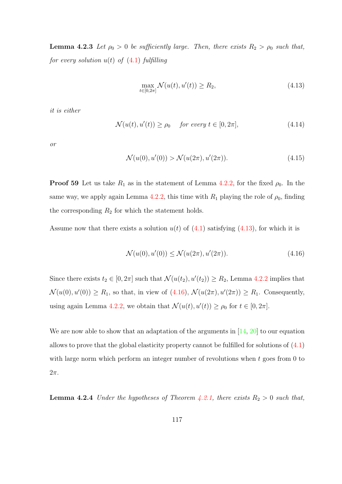<span id="page-125-5"></span>**Lemma 4.2.3** Let  $\rho_0 > 0$  be sufficiently large. Then, there exists  $R_2 > \rho_0$  such that, for every solution  $u(t)$  of  $(4.1)$  fulfilling

<span id="page-125-0"></span>
$$
\max_{t \in [0, 2\pi]} \mathcal{N}(u(t), u'(t)) \ge R_2,
$$
\n(4.13)

it is either

<span id="page-125-3"></span>
$$
\mathcal{N}(u(t), u'(t)) \ge \rho_0 \quad \text{for every } t \in [0, 2\pi], \tag{4.14}
$$

or

<span id="page-125-2"></span>
$$
\mathcal{N}(u(0), u'(0)) > \mathcal{N}(u(2\pi), u'(2\pi)).
$$
\n(4.15)

**Proof 59** Let us take  $R_1$  as in the statement of Lemma [4.2.2,](#page-122-1) for the fixed  $\rho_0$ . In the same way, we apply again Lemma [4.2.2,](#page-122-1) this time with  $R_1$  playing the role of  $\rho_0$ , finding the corresponding  $R_2$  for which the statement holds.

Assume now that there exists a solution  $u(t)$  of  $(4.1)$  satisfying  $(4.13)$ , for which it is

<span id="page-125-1"></span>
$$
\mathcal{N}(u(0), u'(0)) \le \mathcal{N}(u(2\pi), u'(2\pi)).\tag{4.16}
$$

Since there exists  $t_2 \in [0, 2\pi]$  such that  $\mathcal{N}(u(t_2), u'(t_2)) \ge R_2$ , Lemma [4.2.2](#page-122-1) implies that  $\mathcal{N}(u(0), u'(0)) \geq R_1$ , so that, in view of  $(4.16)$ ,  $\mathcal{N}(u(2\pi), u'(2\pi)) \geq R_1$ . Consequently, using again Lemma [4.2.2,](#page-122-1) we obtain that  $\mathcal{N}(u(t), u'(t)) \ge \rho_0$  for  $t \in [0, 2\pi]$ .

We are now able to show that an adaptation of the arguments in [\[14,](#page-138-2) [20\]](#page-139-1) to our equation allows to prove that the global elasticity property cannot be fulfilled for solutions of [\(4.1\)](#page-114-0) with large norm which perform an integer number of revolutions when  $t$  goes from  $0$  to  $2\pi$ .

<span id="page-125-4"></span>**Lemma 4.2.4** Under the hypotheses of Theorem [4.2.1,](#page-118-2) there exists  $R_2 > 0$  such that,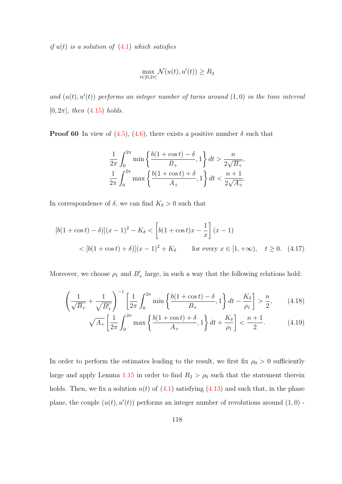if  $u(t)$  is a solution of  $(4.1)$  which satisfies

$$
\max_{t \in [0,2\pi]} \mathcal{N}(u(t), u'(t)) \ge R_2
$$

and  $(u(t), u'(t))$  performs an integer number of turns around  $(1, 0)$  in the time interval  $[0, 2\pi]$ , then  $(4.15)$  holds.

**Proof 60** In view of  $(4.5)$ ,  $(4.6)$ , there exists a positive number  $\delta$  such that

<span id="page-126-0"></span>
$$
\frac{1}{2\pi} \int_0^{2\pi} \min\left\{\frac{b(1+\cos t) - \delta}{B_+}, 1\right\} dt > \frac{n}{2\sqrt{B_+}},
$$
  

$$
\frac{1}{2\pi} \int_0^{2\pi} \max\left\{\frac{b(1+\cos t) + \delta}{A_+}, 1\right\} dt < \frac{n+1}{2\sqrt{A_+}}.
$$

In correspondence of  $\delta$ , we can find  $K_{\delta} > 0$  such that

$$
[b(1+\cos t) - \delta][(x-1)^2 - K_{\delta} < \left[b(1+\cos t)x - \frac{1}{x}\right](x-1) \\
&< [b(1+\cos t) + \delta][(x-1)^2 + K_{\delta} \quad \text{for every } x \in [1, +\infty), \quad t \ge 0. \tag{4.17}
$$

Moreover, we choose  $\rho_1$  and  $B'_+$  large, in such a way that the following relations hold:

$$
\left(\frac{1}{\sqrt{B_+}} + \frac{1}{\sqrt{B'_+}}\right)^{-1} \left[\frac{1}{2\pi} \int_0^{2\pi} \min\left\{\frac{b(1+\cos t) - \delta}{B_+}, 1\right\} dt - \frac{K_\delta}{\rho_1}\right] > \frac{n}{2},\qquad(4.18)
$$

<span id="page-126-2"></span><span id="page-126-1"></span>
$$
\sqrt{A_{+}} \left[ \frac{1}{2\pi} \int_{0}^{2\pi} \max \left\{ \frac{b(1+\cos t) + \delta}{A_{+}}, 1 \right\} dt + \frac{K_{\delta}}{\rho_{1}} \right] < \frac{n+1}{2}.\tag{4.19}
$$

In order to perform the estimates leading to the result, we first fix  $\rho_0 > 0$  sufficiently large and apply Lemma [1.15](#page-20-0) in order to find  $R_2 > \rho_0$  such that the statement therein holds. Then, we fix a solution  $u(t)$  of  $(4.1)$  satisfying  $(4.13)$  and such that, in the phase plane, the couple  $(u(t), u'(t))$  performs an integer number of revolutions around  $(1, 0)$  -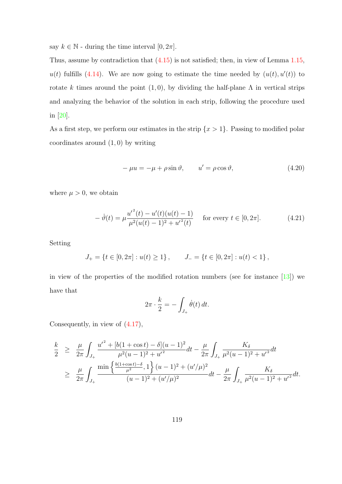<span id="page-127-1"></span>say  $k \in \mathbb{N}$  - during the time interval  $[0, 2\pi]$ .

Thus, assume by contradiction that  $(4.15)$  is not satisfied; then, in view of Lemma [1.15,](#page-20-0)  $u(t)$  fulfills [\(4.14\)](#page-125-3). We are now going to estimate the time needed by  $(u(t), u'(t))$  to rotate k times around the point  $(1, 0)$ , by dividing the half-plane  $\Lambda$  in vertical strips and analyzing the behavior of the solution in each strip, following the procedure used in [\[20\]](#page-139-1).

As a first step, we perform our estimates in the strip  $\{x > 1\}$ . Passing to modified polar coordinates around  $(1,0)$  by writing

$$
-\mu u = -\mu + \rho \sin \vartheta, \qquad u' = \rho \cos \vartheta,
$$
\n(4.20)

where  $\mu > 0$ , we obtain

<span id="page-127-0"></span>
$$
- \dot{\vartheta}(t) = \mu \frac{u'^2(t) - u'(t)(u(t) - 1)}{\mu^2(u(t) - 1)^2 + u'^2(t)} \quad \text{for every } t \in [0, 2\pi]. \tag{4.21}
$$

Setting

$$
J_+ = \{ t \in [0, 2\pi] : u(t) \ge 1 \}, \qquad J_- = \{ t \in [0, 2\pi] : u(t) < 1 \},
$$

in view of the properties of the modified rotation numbers (see for instance  $[13]$ ) we have that

$$
2\pi \cdot \frac{k}{2} = -\int_{J_+} \dot{\theta}(t) dt.
$$

Consequently, in view of [\(4.17\)](#page-126-0),

$$
\frac{k}{2} \geq \frac{\mu}{2\pi} \int_{J_+} \frac{{u'}^2 + [b(1+\cos t) - \delta](u-1)^2}{\mu^2 (u-1)^2 + {u'}^2} dt - \frac{\mu}{2\pi} \int_{J_+} \frac{K_\delta}{\mu^2 (u-1)^2 + {u'}^2} dt
$$
\n
$$
\geq \frac{\mu}{2\pi} \int_{J_+} \frac{\min\left\{\frac{b(1+\cos t) - \delta}{\mu^2}, 1\right\}(u-1)^2 + (u'/\mu)^2}{(u-1)^2 + (u'/\mu)^2} dt - \frac{\mu}{2\pi} \int_{J_+} \frac{K_\delta}{\mu^2 (u-1)^2 + {u'}^2} dt.
$$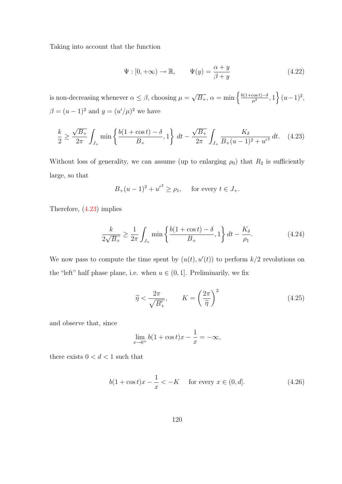Taking into account that the function

<span id="page-128-4"></span>
$$
\Psi : [0, +\infty) \to \mathbb{R}, \qquad \Psi(y) = \frac{\alpha + y}{\beta + y} \tag{4.22}
$$

is non-decreasing whenever  $\alpha \leq \beta$ , choosing  $\mu =$  $\sqrt{B_+}, \alpha = \min\left\{\frac{b(1+\cos t)-\delta}{\mu^2}\right\}$  $\left\{\frac{\cos t - \delta}{\mu^2}, 1\right\} (u-1)^2,$  $\beta = (u-1)^2$  and  $y = (u'/\mu)^2$  we have

<span id="page-128-0"></span>
$$
\frac{k}{2} \ge \frac{\sqrt{B_+}}{2\pi} \int_{J_+} \min\left\{\frac{b(1+\cos t) - \delta}{B_+}, 1\right\} dt - \frac{\sqrt{B_+}}{2\pi} \int_{J_+} \frac{K_\delta}{B_+(u-1)^2 + {u'}^2} dt. \tag{4.23}
$$

Without loss of generality, we can assume (up to enlarging  $\rho_0$ ) that  $R_2$  is sufficiently large, so that

$$
B_{+}(u-1)^{2} + {u'}^{2} \ge \rho_{1}
$$
, for every  $t \in J_{+}$ .

Therefore, [\(4.23\)](#page-128-0) implies

<span id="page-128-3"></span>
$$
\frac{k}{2\sqrt{B_+}} \ge \frac{1}{2\pi} \int_{J_+} \min\left\{\frac{b(1+\cos t) - \delta}{B_+}, 1\right\} dt - \frac{K_\delta}{\rho_1}.\tag{4.24}
$$

We now pass to compute the time spent by  $(u(t), u'(t))$  to perform  $k/2$  revolutions on the "left" half phase plane, i.e. when  $u \in (0, 1]$ . Preliminarily, we fix

<span id="page-128-2"></span>
$$
\widetilde{\eta} < \frac{2\pi}{\sqrt{B'_+}}, \qquad K = \left(\frac{2\pi}{\widetilde{\eta}}\right)^2 \tag{4.25}
$$

and observe that, since

$$
\lim_{x \to 0^+} b(1 + \cos t)x - \frac{1}{x} = -\infty,
$$

there exists  $0 < d < 1$  such that

<span id="page-128-1"></span>
$$
b(1 + \cos t)x - \frac{1}{x} < -K
$$
 for every  $x \in (0, d]$ . (4.26)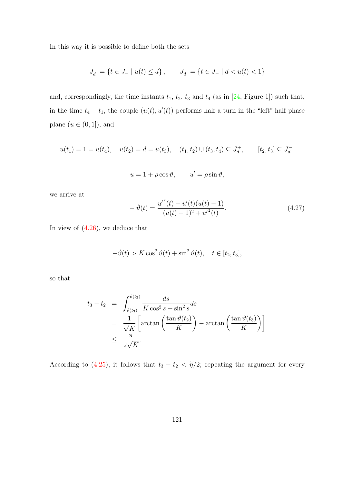<span id="page-129-1"></span>In this way it is possible to define both the sets

$$
J_d^- = \{ t \in J_- \mid u(t) \le d \}, \qquad J_d^+ = \{ t \in J_- \mid d < u(t) < 1 \}
$$

and, correspondingly, the time instants  $t_1$ ,  $t_2$ ,  $t_3$  and  $t_4$  (as in [\[24,](#page-139-0) Figure 1]) such that, in the time  $t_4 - t_1$ , the couple  $(u(t), u'(t))$  performs half a turn in the "left" half phase plane  $(u \in (0,1])$ , and

$$
u(t_1) = 1 = u(t_4), \quad u(t_2) = d = u(t_3), \quad (t_1, t_2) \cup (t_3, t_4) \subseteq J_d^+, \qquad [t_2, t_3] \subseteq J_d^-.
$$

$$
u = 1 + \rho \cos \vartheta, \qquad u' = \rho \sin \vartheta,
$$

we arrive at

<span id="page-129-0"></span>
$$
- \dot{\vartheta}(t) = \frac{u'^2(t) - u'(t)(u(t) - 1)}{(u(t) - 1)^2 + u'^2(t)}.
$$
\n(4.27)

In view of [\(4.26\)](#page-128-1), we deduce that

$$
-\dot{\vartheta}(t) > K \cos^2 \vartheta(t) + \sin^2 \vartheta(t), \quad t \in [t_2, t_3],
$$

so that

$$
t_3 - t_2 = \int_{\vartheta(t_3)}^{\vartheta(t_2)} \frac{ds}{K \cos^2 s + \sin^2 s} ds
$$
  
=  $\frac{1}{\sqrt{K}} \left[ \arctan \left( \frac{\tan \vartheta(t_2)}{K} \right) - \arctan \left( \frac{\tan \vartheta(t_3)}{K} \right) \right]$   
 $\leq \frac{\pi}{2\sqrt{K}}.$ 

According to [\(4.25\)](#page-128-2), it follows that  $t_3 - t_2 < \tilde{\eta}/2$ ; repeating the argument for every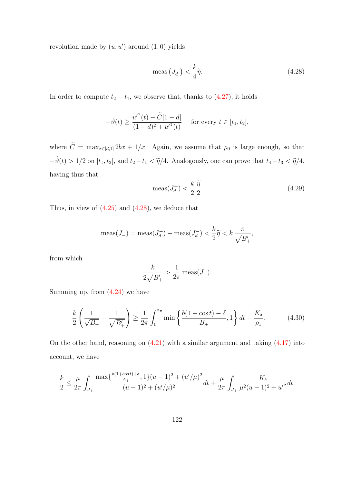revolution made by  $(u, u')$  around  $(1, 0)$  yields

<span id="page-130-0"></span>
$$
\text{meas}\left(J_d^-\right) < \frac{k}{4}\tilde{\eta}.\tag{4.28}
$$

In order to compute  $t_2 - t_1$ , we observe that, thanks to  $(4.27)$ , it holds

$$
-\dot{\vartheta}(t) \ge \frac{u'^2(t) - \tilde{C}|1 - d|}{(1 - d)^2 + u'^2(t)} \quad \text{ for every } t \in [t_1, t_2],
$$

where  $\widetilde{C} = \max_{x \in [d,1]} 2bx + 1/x$ . Again, we assume that  $\rho_0$  is large enough, so that  $-\dot{\vartheta}(t) > 1/2$  on  $[t_1, t_2]$ , and  $t_2 - t_1 < \tilde{\eta}/4$ . Analogously, one can prove that  $t_4 - t_3 < \tilde{\eta}/4$ , having thus that

$$
\text{meas}(J_d^+) < \frac{k}{2} \frac{\tilde{\eta}}{2}.\tag{4.29}
$$

Thus, in view of  $(4.25)$  and  $(4.28)$ , we deduce that

$$
\operatorname{meas}(J_{-}) = \operatorname{meas}(J_{d}^{+}) + \operatorname{meas}(J_{d}^{-}) < \frac{k}{2}\widetilde{\eta} < k\frac{\pi}{\sqrt{B_{+}'}},
$$

from which

$$
\frac{k}{2\sqrt{B'_+}} > \frac{1}{2\pi} \operatorname{meas}(J_-).
$$

Summing up, from  $(4.24)$  we have

<span id="page-130-1"></span>
$$
\frac{k}{2} \left( \frac{1}{\sqrt{B_+}} + \frac{1}{\sqrt{B'_+}} \right) \ge \frac{1}{2\pi} \int_0^{2\pi} \min \left\{ \frac{b(1 + \cos t) - \delta}{B_+}, 1 \right\} dt - \frac{K_\delta}{\rho_1}.
$$
 (4.30)

On the other hand, reasoning on  $(4.21)$  with a similar argument and taking  $(4.17)$  into account, we have

$$
\frac{k}{2} \le \frac{\mu}{2\pi} \int_{J_+} \frac{\max\{\frac{b(1+\cos t)+\delta}{A_+}, 1\}(u-1)^2 + (u'/\mu)^2}{(u-1)^2 + (u'/\mu)^2} dt + \frac{\mu}{2\pi} \int_{J_+} \frac{K_\delta}{\mu^2(u-1)^2 + {u'}^2} dt.
$$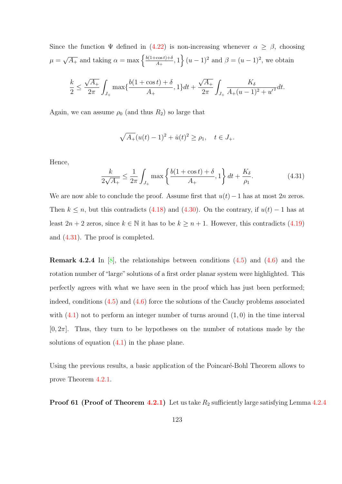<span id="page-131-1"></span>Since the function  $\Psi$  defined in [\(4.22\)](#page-128-4) is non-increasing whenever  $\alpha \geq \beta$ , choosing  $\mu =$  $\sqrt{A_+}$  and taking  $\alpha = \max \left\{ \frac{b(1+\cos t)+\delta}{A_+} \right\}$  $\left\{\frac{\cos t}{A_+}, 1\right\} (u-1)^2$  and  $\beta = (u-1)^2$ , we obtain

$$
\frac{k}{2} \le \frac{\sqrt{A_+}}{2\pi} \int_{J_+} \max\{\frac{b(1+\cos t) + \delta}{A_+}, 1\} dt + \frac{\sqrt{A_+}}{2\pi} \int_{J_+} \frac{K_{\delta}}{A_+(u-1)^2 + {u'}^2} dt.
$$

Again, we can assume  $\rho_0$  (and thus  $R_2$ ) so large that

$$
\sqrt{A_+}(u(t)-1)^2 + \dot{u}(t)^2 \ge \rho_1, \quad t \in J_+.
$$

Hence,

<span id="page-131-0"></span>
$$
\frac{k}{2\sqrt{A_+}} \le \frac{1}{2\pi} \int_{J_+} \max\left\{\frac{b(1+\cos t) + \delta}{A_+}, 1\right\} dt + \frac{K_\delta}{\rho_1}.\tag{4.31}
$$

We are now able to conclude the proof. Assume first that  $u(t)-1$  has at most 2n zeros. Then  $k \leq n$ , but this contradicts [\(4.18\)](#page-126-1) and [\(4.30\)](#page-130-1). On the contrary, if  $u(t) - 1$  has at least  $2n + 2$  zeros, since  $k \in \mathbb{N}$  it has to be  $k \geq n + 1$ . However, this contradicts [\(4.19\)](#page-126-2) and [\(4.31\)](#page-131-0). The proof is completed.

**Remark 4.2.4** In  $[8]$ , the relationships between conditions  $(4.5)$  and  $(4.6)$  and the rotation number of "large" solutions of a first order planar system were highlighted. This perfectly agrees with what we have seen in the proof which has just been performed; indeed, conditions [\(4.5\)](#page-118-0) and [\(4.6\)](#page-118-1) force the solutions of the Cauchy problems associated with  $(4.1)$  not to perform an integer number of turns around  $(1, 0)$  in the time interval  $[0, 2\pi]$ . Thus, they turn to be hypotheses on the number of rotations made by the solutions of equation  $(4.1)$  in the phase plane.

Using the previous results, a basic application of the Poincaré-Bohl Theorem allows to prove Theorem [4.2.1.](#page-118-2)

**Proof 61 (Proof of Theorem [4.2.1\)](#page-118-2)** Let us take  $R_2$  sufficiently large satisfying Lemma [4.2.4](#page-125-4)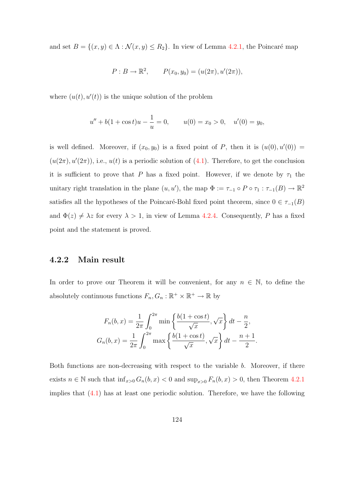and set  $B = \{(x, y) \in \Lambda : \mathcal{N}(x, y) \le R_2\}$ . In view of Lemma [4.2.1,](#page-121-1) the Poincaré map

$$
P: B \to \mathbb{R}^2
$$
,  $P(x_0, y_0) = (u(2\pi), u'(2\pi))$ ,

where  $(u(t), u'(t))$  is the unique solution of the problem

$$
u'' + b(1 + \cos t)u - \frac{1}{u} = 0, \qquad u(0) = x_0 > 0, \quad u'(0) = y_0,
$$

is well defined. Moreover, if  $(x_0, y_0)$  is a fixed point of P, then it is  $(u(0), u'(0)) =$  $(u(2\pi), u'(2\pi))$ , i.e.,  $u(t)$  is a periodic solution of [\(4.1\)](#page-114-0). Therefore, to get the conclusion it is sufficient to prove that P has a fixed point. However, if we denote by  $\tau_1$  the unitary right translation in the plane  $(u, u')$ , the map  $\Phi := \tau_{-1} \circ P \circ \tau_1 : \tau_{-1}(B) \to \mathbb{R}^2$ satisfies all the hypotheses of the Poincaré-Bohl fixed point theorem, since  $0 \in \tau_{-1}(B)$ and  $\Phi(z) \neq \lambda z$  for every  $\lambda > 1$ , in view of Lemma [4.2.4.](#page-125-4) Consequently, P has a fixed point and the statement is proved.

#### 4.2.2 Main result

In order to prove our Theorem it will be convenient, for any  $n \in \mathbb{N}$ , to define the absolutely continuous functions  $F_n, G_n : \mathbb{R}^+ \times \mathbb{R}^+ \to \mathbb{R}$  by

$$
F_n(b, x) = \frac{1}{2\pi} \int_0^{2\pi} \min\left\{\frac{b(1 + \cos t)}{\sqrt{x}}, \sqrt{x}\right\} dt - \frac{n}{2},
$$
  

$$
G_n(b, x) = \frac{1}{2\pi} \int_0^{2\pi} \max\left\{\frac{b(1 + \cos t)}{\sqrt{x}}, \sqrt{x}\right\} dt - \frac{n + 1}{2}.
$$

Both functions are non-decreasing with respect to the variable b. Moreover, if there exists  $n \in \mathbb{N}$  such that  $\inf_{x>0} G_n(b, x) < 0$  and  $\sup_{x>0} F_n(b, x) > 0$ , then Theorem [4.2.1](#page-118-2) implies that [\(4.1\)](#page-114-0) has at least one periodic solution. Therefore, we have the following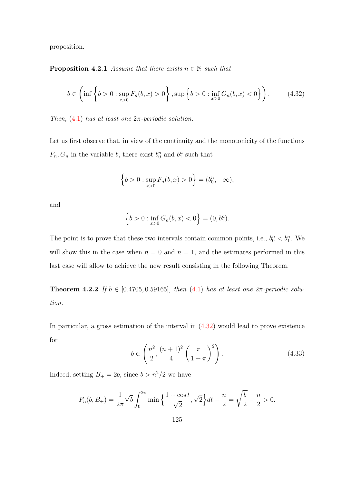proposition.

**Proposition 4.2.1** Assume that there exists  $n \in \mathbb{N}$  such that

<span id="page-133-0"></span>
$$
b \in \left(\inf\left\{b > 0 : \sup_{x>0} F_n(b, x) > 0\right\}, \sup\left\{b > 0 : \inf_{x>0} G_n(b, x) < 0\right\}\right). \tag{4.32}
$$

Then,  $(4.1)$  has at least one  $2\pi$ -periodic solution.

Let us first observe that, in view of the continuity and the monotonicity of the functions  $F_n, G_n$  in the variable b, there exist  $b_0^n$  and  $b_1^n$  such that

$$
\left\{b>0: \sup_{x>0} F_n(b,x) > 0\right\} = (b_0^n, +\infty),
$$

and

$$
\left\{b>0:\inf_{x>0}G_n(b,x)<0\right\}=(0,b_1^n).
$$

The point is to prove that these two intervals contain common points, i.e.,  $b_0^n < b_1^n$ . We will show this in the case when  $n = 0$  and  $n = 1$ , and the estimates performed in this last case will allow to achieve the new result consisting in the following Theorem.

<span id="page-133-2"></span>**Theorem 4.2.2** If  $b \in [0.4705, 0.59165]$ , then  $(4.1)$  has at least one  $2\pi$ -periodic solution.

In particular, a gross estimation of the interval in [\(4.32\)](#page-133-0) would lead to prove existence for

<span id="page-133-1"></span>
$$
b \in \left(\frac{n^2}{2}, \frac{(n+1)^2}{4}\left(\frac{\pi}{1+\pi}\right)^2\right).
$$
 (4.33)

Indeed, setting  $B_+ = 2b$ , since  $b > n^2/2$  we have

$$
F_n(b, B_+) = \frac{1}{2\pi} \sqrt{b} \int_0^{2\pi} \min\left\{\frac{1 + \cos t}{\sqrt{2}}, \sqrt{2}\right\} dt - \frac{n}{2} = \sqrt{\frac{b}{2}} - \frac{n}{2} > 0.
$$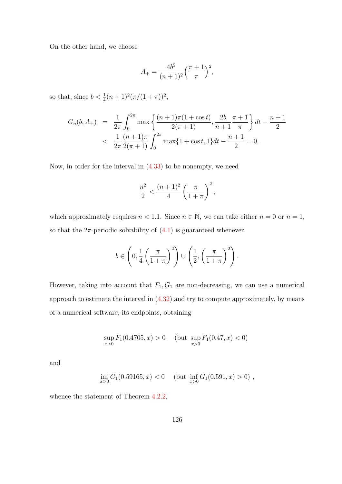On the other hand, we choose

$$
A_{+} = \frac{4b^2}{(n+1)^2} \left(\frac{\pi+1}{\pi}\right)^2,
$$

so that, since  $b < \frac{1}{4}(n+1)^2(\pi/(1+\pi))^2$ ,

$$
G_n(b, A_+) = \frac{1}{2\pi} \int_0^{2\pi} \max\left\{ \frac{(n+1)\pi(1+\cos t)}{2(\pi+1)}, \frac{2b}{n+1} \frac{\pi+1}{\pi} \right\} dt - \frac{n+1}{2}
$$
  
< 
$$
< \frac{1}{2\pi} \frac{(n+1)\pi}{2(\pi+1)} \int_0^{2\pi} \max\{1+\cos t, 1\} dt - \frac{n+1}{2} = 0.
$$

Now, in order for the interval in [\(4.33\)](#page-133-1) to be nonempty, we need

$$
\frac{n^2}{2} < \frac{(n+1)^2}{4} \left(\frac{\pi}{1+\pi}\right)^2,
$$

which approximately requires  $n < 1.1$ . Since  $n \in \mathbb{N}$ , we can take either  $n = 0$  or  $n = 1$ , so that the  $2\pi$ -periodic solvability of  $(4.1)$  is guaranteed whenever

$$
b \in \left(0, \frac{1}{4} \left(\frac{\pi}{1+\pi}\right)^2\right) \cup \left(\frac{1}{2}, \left(\frac{\pi}{1+\pi}\right)^2\right).
$$

However, taking into account that  $F_1, G_1$  are non-decreasing, we can use a numerical approach to estimate the interval in  $(4.32)$  and try to compute approximately, by means of a numerical software, its endpoints, obtaining

$$
\sup_{x>0} F_1(0.4705, x) > 0 \quad (\text{but } \sup_{x>0} F_1(0.47, x) < 0)
$$

and

$$
\inf_{x>0} G_1(0.59165, x) < 0 \quad \text{(but } \inf_{x>0} G_1(0.591, x) > 0),
$$

whence the statement of Theorem [4.2.2.](#page-133-2)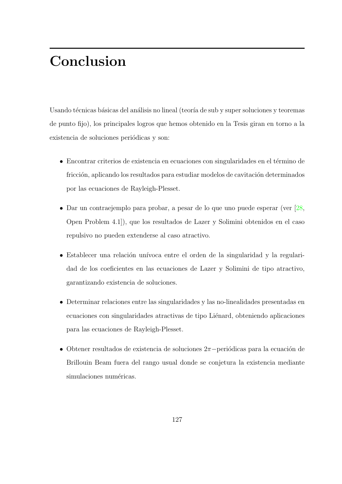## <span id="page-135-0"></span>Conclusion

Usando técnicas básicas del análisis no lineal (teoría de sub y super soluciones y teoremas de punto fijo), los principales logros que hemos obtenido en la Tesis giran en torno a la existencia de soluciones periódicas y son:

- Encontrar criterios de existencia en ecuaciones con singularidades en el término de fricción, aplicando los resultados para estudiar modelos de cavitación determinados por las ecuaciones de Rayleigh-Plesset.
- Dar un contraejemplo para probar, a pesar de lo que uno puede esperar (ver [\[28,](#page-140-0) Open Problem 4.1]), que los resultados de Lazer y Solimini obtenidos en el caso repulsivo no pueden extenderse al caso atractivo.
- Establecer una relación unívoca entre el orden de la singularidad y la regularidad de los coeficientes en las ecuaciones de Lazer y Solimini de tipo atractivo, garantizando existencia de soluciones.
- Determinar relaciones entre las singularidades y las no-linealidades presentadas en ecuaciones con singularidades atractivas de tipo Liénard, obteniendo aplicaciones para las ecuaciones de Rayleigh-Plesset.
- Obtener resultados de existencia de soluciones  $2\pi$ −periódicas para la ecuación de Brillouin Beam fuera del rango usual donde se conjetura la existencia mediante simulaciones numéricas.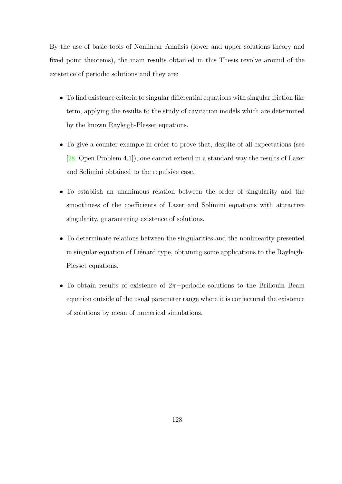<span id="page-136-0"></span>By the use of basic tools of Nonlinear Analisis (lower and upper solutions theory and fixed point theorems), the main results obtained in this Thesis revolve around of the existence of periodic solutions and they are:

- To find existence criteria to singular differential equations with singular friction like term, applying the results to the study of cavitation models which are determined by the known Rayleigh-Plesset equations.
- To give a counter-example in order to prove that, despite of all expectations (see [\[28,](#page-140-0) Open Problem 4.1]), one cannot extend in a standard way the results of Lazer and Solimini obtained to the repulsive case.
- To establish an unanimous relation between the order of singularity and the smoothness of the coefficients of Lazer and Solimini equations with attractive singularity, guaranteeing existence of solutions.
- To determinate relations between the singularities and the nonlinearity presented in singular equation of Liénard type, obtaining some applications to the Rayleigh-Plesset equations.
- To obtain results of existence of 2π−periodic solutions to the Brillouin Beam equation outside of the usual parameter range where it is conjectured the existence of solutions by mean of numerical simulations.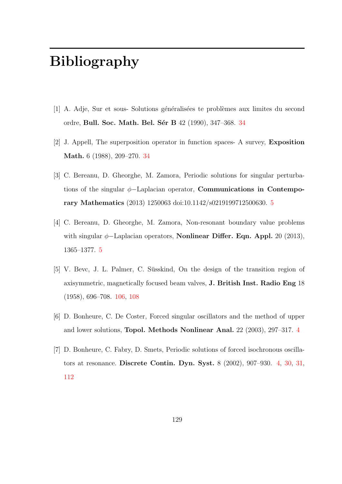# Bibliography

- [1] A. Adje, Sur et sous- Solutions généralisées te problèmes aux limites du second ordre, Bull. Soc. Math. Bel. Sér B 42 (1990), [34](#page-42-0)7-368. 34
- [2] J. Appell, The superposition operator in function spaces- A survey, Exposition Math. 6 (1988), 209–270. [34](#page-42-0)
- [3] C. Bereanu, D. Gheorghe, M. Zamora, Periodic solutions for singular perturbations of the singular  $\phi$ -Laplacian operator, **Communications in Contempo**rary Mathematics (2013) 1250063 doi:10.1142/s0219199712500630. [5](#page-13-0)
- [4] C. Bereanu, D. Gheorghe, M. Zamora, Non-resonant boundary value problems with singular  $\phi$ -Laplacian operators, **Nonlinear Differ. Eqn. Appl.** 20 (2013), 1365–1377. [5](#page-13-0)
- <span id="page-137-0"></span> $[5]$  V. Bevc, J. L. Palmer, C. Süsskind, On the design of the transition region of axisymmetric, magnetically focused beam valves, J. British Inst. Radio Eng 18 (1958), 696–708. [106,](#page-114-1) [108](#page-116-1)
- [6] D. Bonheure, C. De Coster, Forced singular oscillators and the method of upper and lower solutions, Topol. Methods Nonlinear Anal. 22 (2003), 297–317. [4](#page-12-0)
- <span id="page-137-1"></span>[7] D. Bonheure, C. Fabry, D. Smets, Periodic solutions of forced isochronous oscillators at resonance. Discrete Contin. Dyn. Syst. 8 (2002), 907–930. [4,](#page-12-0) [30,](#page-38-0) [31,](#page-39-0) [112](#page-120-0)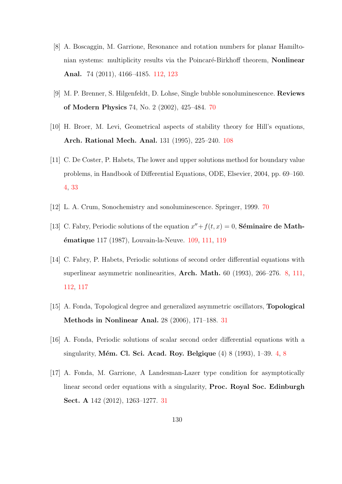- <span id="page-138-3"></span>[8] A. Boscaggin, M. Garrione, Resonance and rotation numbers for planar Hamiltonian systems: multiplicity results via the Poincaré-Birkhoff theorem, Nonlinear Anal. 74 (2011), 4166–4185. [112,](#page-120-0) [123](#page-131-1)
- [9] M. P. Brenner, S. Hilgenfeldt, D. Lohse, Single bubble sonoluminescence. Reviews of Modern Physics 74, No. 2 (2002), 425–484. [70](#page-78-0)
- <span id="page-138-0"></span>[10] H. Broer, M. Levi, Geometrical aspects of stability theory for Hill's equations, Arch. Rational Mech. Anal. 131 (1995), 225–240. [108](#page-116-1)
- [11] C. De Coster, P. Habets, The lower and upper solutions method for boundary value problems, in Handbook of Differential Equations, ODE, Elsevier, 2004, pp. 69–160. [4,](#page-12-0) [33](#page-41-0)
- [12] L. A. Crum, Sonochemistry and sonoluminescence. Springer, 1999. [70](#page-78-0)
- <span id="page-138-1"></span>[13] C. Fabry, Periodic solutions of the equation  $x'' + f(t, x) = 0$ , Séminaire de Math**ématique** 117 (1987), Louvain-la-Neuve. [109,](#page-117-0) [111,](#page-119-1) [119](#page-127-1)
- <span id="page-138-2"></span>[14] C. Fabry, P. Habets, Periodic solutions of second order differential equations with superlinear asymmetric nonlinearities, Arch. Math. 60 (1993), 266–276. [8,](#page-16-0) [111,](#page-119-1) [112,](#page-120-0) [117](#page-125-5)
- [15] A. Fonda, Topological degree and generalized asymmetric oscillators, Topological Methods in Nonlinear Anal. 28 (2006), 171–188. [31](#page-39-0)
- [16] A. Fonda, Periodic solutions of scalar second order differential equations with a singularity, Mém. Cl. Sci. Acad. Roy. Belgique  $(4) 8 (1993)$  $(4) 8 (1993)$  $(4) 8 (1993)$ , 1–39. [4,](#page-12-0) 8
- [17] A. Fonda, M. Garrione, A Landesman-Lazer type condition for asymptotically linear second order equations with a singularity, Proc. Royal Soc. Edinburgh Sect. A 142 (2012), 1263–1277. [31](#page-39-0)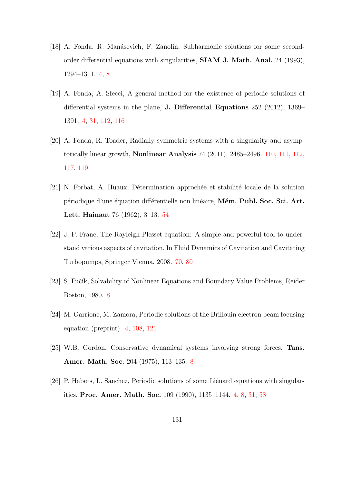- [18] A. Fonda, R. Man´asevich, F. Zanolin, Subharmonic solutions for some secondorder differential equations with singularities, SIAM J. Math. Anal. 24 (1993), 1294–1311. [4,](#page-12-0) [8](#page-16-0)
- <span id="page-139-2"></span>[19] A. Fonda, A. Sfecci, A general method for the existence of periodic solutions of differential systems in the plane, J. Differential Equations 252 (2012), 1369– 1391. [4,](#page-12-0) [31,](#page-39-0) [112,](#page-120-0) [116](#page-124-1)
- <span id="page-139-1"></span>[20] A. Fonda, R. Toader, Radially symmetric systems with a singularity and asymptotically linear growth, Nonlinear Analysis 74 (2011), 2485–2496. [110,](#page-118-4) [111,](#page-119-1) [112,](#page-120-0) [117,](#page-125-5) [119](#page-127-1)
- [21] N. Forbat, A. Huaux, Détermination approchée et stabilité locale de la solution périodique d'une équation différentielle non linéaire, Mém. Publ. Soc. Sci. Art. Lett. Hainaut 76 (1962), 3–13. [54](#page-62-0)
- [22] J. P. Franc, The Rayleigh-Plesset equation: A simple and powerful tool to understand various aspects of cavitation. In Fluid Dynamics of Cavitation and Cavitating Turbopumps, Springer Vienna, 2008. [70,](#page-78-0) [80](#page-88-0)
- [23] S. Fučík, Solvability of Nonlinear Equations and Boundary Value Problems, Reider Boston, 1980. [8](#page-16-0)
- <span id="page-139-0"></span>[24] M. Garrione, M. Zamora, Periodic solutions of the Brillouin electron beam focusing equation (preprint). [4,](#page-12-0) [108,](#page-116-1) [121](#page-129-1)
- [25] W.B. Gordon, Conservative dynamical systems involving strong forces, Tans. Amer. Math. Soc. 204 (1975), 113–135. [8](#page-16-0)
- [26] P. Habets, L. Sanchez, Periodic solutions of some Liénard equations with singularities, Proc. Amer. Math. Soc. 109 (1990), 1135–1144. [4,](#page-12-0) [8,](#page-16-0) [31,](#page-39-0) [58](#page-66-0)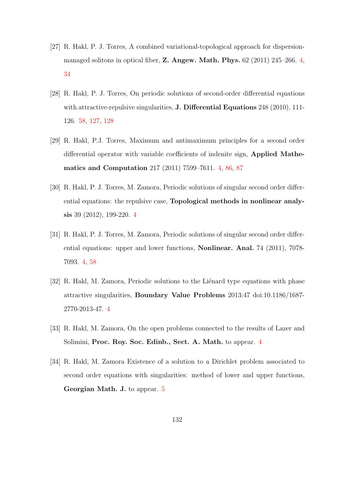- [27] R. Hakl, P. J. Torres, A combined variational-topological approach for dispersionmanaged solitons in optical fiber, Z. Angew. Math. Phys. 62 (2011) 245–266. [4,](#page-12-0) [34](#page-42-0)
- <span id="page-140-0"></span>[28] R. Hakl, P. J. Torres, On periodic solutions of second-order differential equations with attractive-repulsive singularities, **J. Differential Equations** 248 (2010), 111-126. [58,](#page-66-0) [127,](#page-135-0) [128](#page-136-0)
- [29] R. Hakl, P.J. Torres, Maximum and antimaximum principles for a second order differential operator with variable coefficients of indenite sign, Applied Mathematics and Computation 217 (2011) 7599–7611. [4,](#page-12-0) [86,](#page-94-1) [87](#page-95-1)
- [30] R. Hakl, P. J. Torres, M. Zamora, Periodic solutions of singular second order differential equations: the repulsive case, Topological methods in nonlinear analysis 39 (2012), 199-220. [4](#page-12-0)
- [31] R. Hakl, P. J. Torres, M. Zamora, Periodic solutions of singular second order differential equations: upper and lower functions, Nonlinear. Anal. 74 (2011), 7078- 7093. [4,](#page-12-0) [58](#page-66-0)
- [32] R. Hakl, M. Zamora, Periodic solutions to the Liénard type equations with phase attractive singularities, Boundary Value Problems 2013:47 doi:10.1186/1687- 2770-2013-47. [4](#page-12-0)
- [33] R. Hakl, M. Zamora, On the open problems connected to the results of Lazer and Solimini, Proc. Roy. Soc. Edinb., Sect. A. Math. to appear. [4](#page-12-0)
- [34] R. Hakl, M. Zamora Existence of a solution to a Dirichlet problem associated to second order equations with singularities: method of lower and upper functions, Georgian Math. J. to appear. [5](#page-13-0)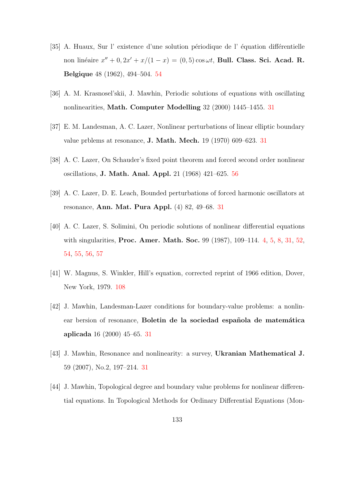- [35] A. Huaux, Sur l'existence d'une solution périodique de l'équation différentielle non linéaire  $x'' + 0$ ,  $2x' + x/(1 - x) = (0, 5) \cos \omega t$ , Bull. Class. Sci. Acad. R. Belgique 48 (1962), 494–504. [54](#page-62-0)
- [36] A. M. Krasnosel'skii, J. Mawhin, Periodic solutions of equations with oscillating nonlinearities, Math. Computer Modelling 32 (2000) 1445–1455. [31](#page-39-0)
- [37] E. M. Landesman, A. C. Lazer, Nonlinear perturbations of linear elliptic boundary value prblems at resonance, J. Math. Mech. 19 (1970) 609–623. [31](#page-39-0)
- [38] A. C. Lazer, On Schauder's fixed point theorem and forced second order nonlinear oscillations, J. Math. Anal. Appl. 21 (1968) 421–625. [56](#page-64-0)
- [39] A. C. Lazer, D. E. Leach, Bounded perturbations of forced harmonic oscillators at resonance, Ann. Mat. Pura Appl. (4) 82, 49–68. [31](#page-39-0)
- [40] A. C. Lazer, S. Solimini, On periodic solutions of nonlinear differential equations with singularities, **Proc. Amer. Math. Soc.** 99 (1987), 109–114. [4,](#page-12-0) [5,](#page-13-0) [8,](#page-16-0) [31,](#page-39-0) [52,](#page-60-0) [54,](#page-62-0) [55,](#page-63-0) [56,](#page-64-0) [57](#page-65-1)
- <span id="page-141-0"></span>[41] W. Magnus, S. Winkler, Hill's equation, corrected reprint of 1966 edition, Dover, New York, 1979. [108](#page-116-1)
- [42] J. Mawhin, Landesman-Lazer conditions for boundary-value problems: a nonlinear bersion of resonance, Boletin de la sociedad española de matemática aplicada 16 (2000) 45–65. [31](#page-39-0)
- [43] J. Mawhin, Resonance and nonlinearity: a survey, Ukranian Mathematical J. 59 (2007), No.2, 197–214. [31](#page-39-0)
- [44] J. Mawhin, Topological degree and boundary value problems for nonlinear differential equations. In Topological Methods for Ordinary Differential Equations (Mon-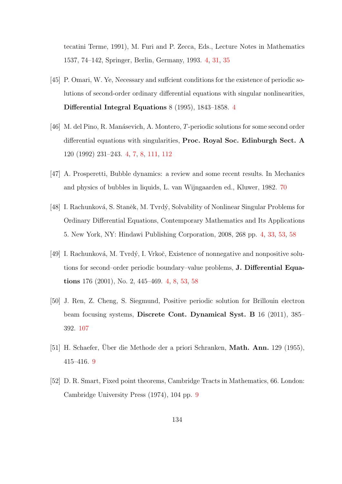tecatini Terme, 1991), M. Furi and P. Zecca, Eds., Lecture Notes in Mathematics 1537, 74–142, Springer, Berlin, Germany, 1993. [4,](#page-12-0) [31,](#page-39-0) [35](#page-43-0)

- [45] P. Omari, W. Ye, Necessary and sufficient conditions for the existence of periodic solutions of second-order ordinary differential equations with singular nonlinearities, Differential Integral Equations 8 (1995), 1843–1858. [4](#page-12-0)
- <span id="page-142-1"></span>[46] M. del Pino, R. Man´asevich, A. Montero, T-periodic solutions for some second order differential equations with singularities, Proc. Royal Soc. Edinburgh Sect. A 120 (1992) 231–243. [4,](#page-12-0) [7,](#page-15-0) [8,](#page-16-0) [111,](#page-119-1) [112](#page-120-0)
- [47] A. Prosperetti, Bubble dynamics: a review and some recent results. In Mechanics and physics of bubbles in liquids, L. van Wijngaarden ed., Kluwer, 1982. [70](#page-78-0)
- [48] I. Rachunková, S. Staněk, M. Tvrdý, Solvability of Nonlinear Singular Problems for Ordinary Differential Equations, Contemporary Mathematics and Its Applications 5. New York, NY: Hindawi Publishing Corporation, 2008, 268 pp. [4,](#page-12-0) [33,](#page-41-0) [53,](#page-61-0) [58](#page-66-0)
- [49] I. Rachunková, M. Tvrdý, I. Vrkoč, Existence of nonnegative and nonpositive solutions for second–order periodic boundary–value problems, J. Differential Equations 176 (2001), No. 2, 445–469. [4,](#page-12-0) [8,](#page-16-0) [53,](#page-61-0) [58](#page-66-0)
- <span id="page-142-0"></span>[50] J. Ren, Z. Cheng, S. Siegmund, Positive periodic solution for Brillouin electron beam focusing systems, Discrete Cont. Dynamical Syst. B 16 (2011), 385– 392. [107](#page-115-2)
- [51] H. Schaefer, Uber die Methode der a priori Schranken, **Math. Ann.** 129 (1955), 415–416. [9](#page-17-0)
- [52] D. R. Smart, Fixed point theorems, Cambridge Tracts in Mathematics, 66. London: Cambridge University Press (1974), 104 pp. [9](#page-17-0)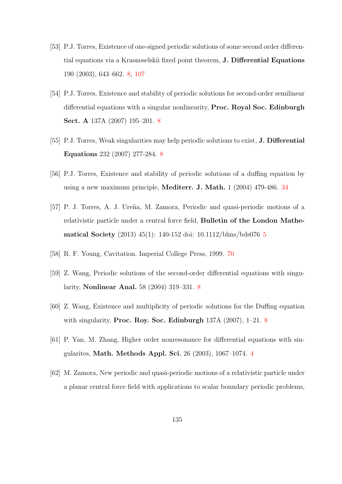- <span id="page-143-0"></span>[53] P.J. Torres, Existence of one-signed periodic solutions of some second order differential equations via a Krasnoselskii fixed point theorem, J. Differential Equations 190 (2003), 643–662. [8,](#page-16-0) [107](#page-115-2)
- [54] P.J. Torres, Existence and stability of periodic solutions for second-order semilinear differential equations with a singular nonlinearity, Proc. Royal Soc. Edinburgh Sect. A 137A (2007) 195–201. [8](#page-16-0)
- [55] P.J. Torres, Weak singularities may help periodic solutions to exist, **J. Differential** Equations 232 (2007) 277-284. [8](#page-16-0)
- [56] P.J. Torres, Existence and stability of periodic solutions of a duffing equation by using a new maximum principle, Mediterr. J. Math. 1 (2004) 479-486. [34](#page-42-0)
- [57] P. J. Torres, A. J. Ureña, M. Zamora, Periodic and quasi-periodic motions of a relativistic particle under a central force field, Bulletin of the London Mathematical Society (2013) 45(1): 140-152 doi: 10.1112/blms/bds076 [5](#page-13-0)
- [58] R. F. Young, Cavitation. Imperial College Press, 1999. [70](#page-78-0)
- [59] Z. Wang, Periodic solutions of the second-order differential equations with singularity, Nonlinear Anal. 58 (2004) 319–331. [8](#page-16-0)
- [60] Z. Wang, Existence and multiplicity of periodic solutions for the Duffing equation with singularity, Proc. Roy. Soc. Edinburgh 137A (2007), 1–21. [8](#page-16-0)
- [61] P. Yan, M. Zhang, Higher order nonresonance for differential equations with singularites, Math. Methods Appl. Sci. 26 (2003), 1067–1074. [4](#page-12-0)
- [62] M. Zamora, New periodic and quasi-periodic motions of a relativistic particle under a planar central force field with applications to scalar boundary periodic problems,